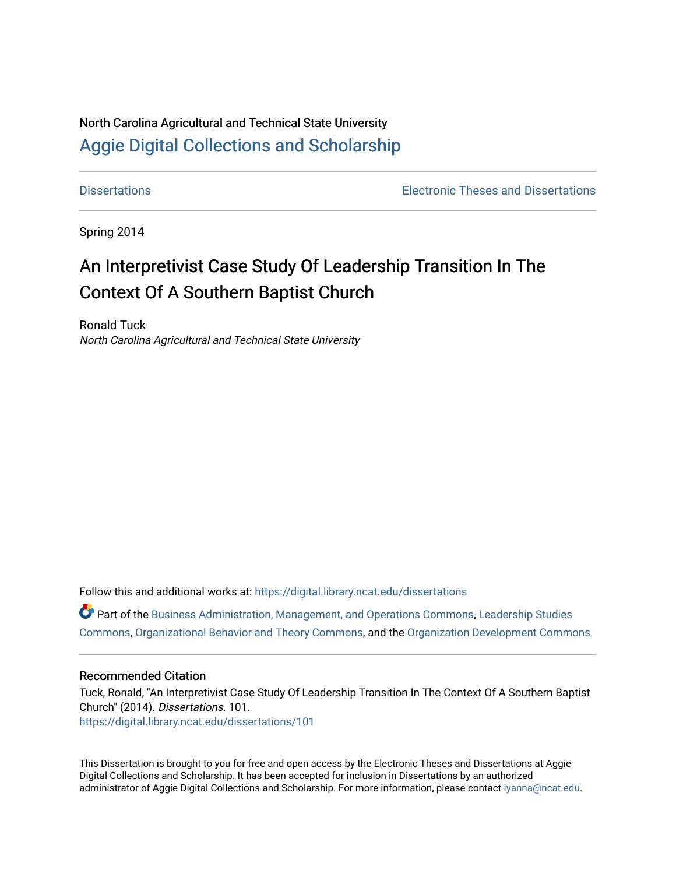# North Carolina Agricultural and Technical State University [Aggie Digital Collections and Scholarship](https://digital.library.ncat.edu/)

[Dissertations](https://digital.library.ncat.edu/dissertations) [Electronic Theses and Dissertations](https://digital.library.ncat.edu/etds) 

Spring 2014

# An Interpretivist Case Study Of Leadership Transition In The Context Of A Southern Baptist Church

Ronald Tuck North Carolina Agricultural and Technical State University

Follow this and additional works at: [https://digital.library.ncat.edu/dissertations](https://digital.library.ncat.edu/dissertations?utm_source=digital.library.ncat.edu%2Fdissertations%2F101&utm_medium=PDF&utm_campaign=PDFCoverPages)

Part of the [Business Administration, Management, and Operations Commons](http://network.bepress.com/hgg/discipline/623?utm_source=digital.library.ncat.edu%2Fdissertations%2F101&utm_medium=PDF&utm_campaign=PDFCoverPages), [Leadership Studies](http://network.bepress.com/hgg/discipline/1250?utm_source=digital.library.ncat.edu%2Fdissertations%2F101&utm_medium=PDF&utm_campaign=PDFCoverPages)  [Commons](http://network.bepress.com/hgg/discipline/1250?utm_source=digital.library.ncat.edu%2Fdissertations%2F101&utm_medium=PDF&utm_campaign=PDFCoverPages), [Organizational Behavior and Theory Commons,](http://network.bepress.com/hgg/discipline/639?utm_source=digital.library.ncat.edu%2Fdissertations%2F101&utm_medium=PDF&utm_campaign=PDFCoverPages) and the [Organization Development Commons](http://network.bepress.com/hgg/discipline/1242?utm_source=digital.library.ncat.edu%2Fdissertations%2F101&utm_medium=PDF&utm_campaign=PDFCoverPages) 

## Recommended Citation

Tuck, Ronald, "An Interpretivist Case Study Of Leadership Transition In The Context Of A Southern Baptist Church" (2014). Dissertations. 101. [https://digital.library.ncat.edu/dissertations/101](https://digital.library.ncat.edu/dissertations/101?utm_source=digital.library.ncat.edu%2Fdissertations%2F101&utm_medium=PDF&utm_campaign=PDFCoverPages)

This Dissertation is brought to you for free and open access by the Electronic Theses and Dissertations at Aggie Digital Collections and Scholarship. It has been accepted for inclusion in Dissertations by an authorized administrator of Aggie Digital Collections and Scholarship. For more information, please contact [iyanna@ncat.edu](mailto:iyanna@ncat.edu).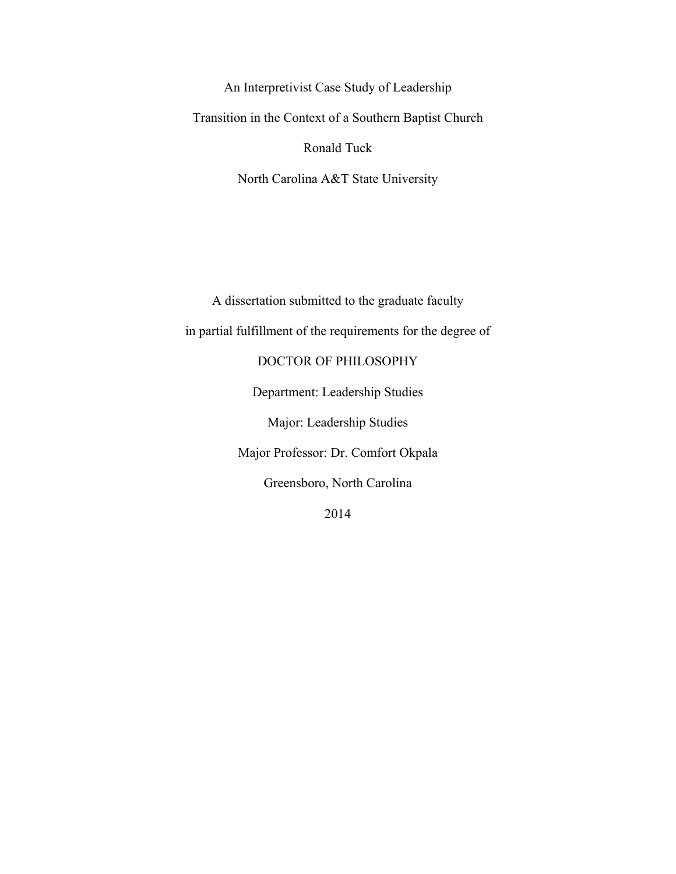An Interpretivist Case Study of Leadership Transition in the Context of a Southern Baptist Church Ronald Tuck North Carolina A&T State University

A dissertation submitted to the graduate faculty in partial fulfillment of the requirements for the degree of DOCTOR OF PHILOSOPHY Department: Leadership Studies Major: Leadership Studies Major Professor: Dr. Comfort Okpala Greensboro, North Carolina 2014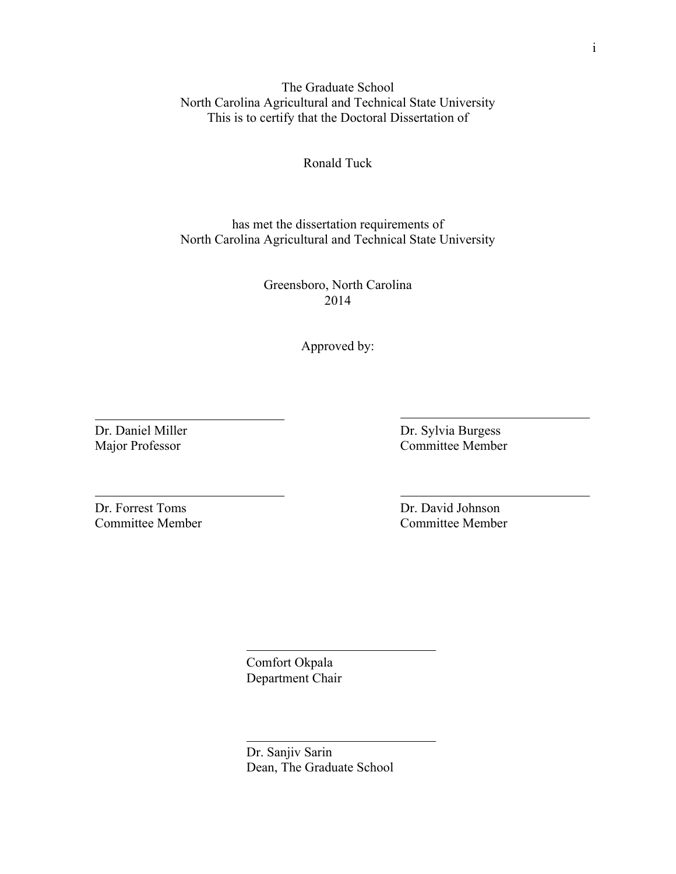The Graduate School North Carolina Agricultural and Technical State University This is to certify that the Doctoral Dissertation of

Ronald Tuck

has met the dissertation requirements of North Carolina Agricultural and Technical State University

> Greensboro, North Carolina 2014

> > Approved by:

Dr. Daniel Miller Major Professor

Dr. Sylvia Burgess Committee Member

Dr. Forrest Toms Committee Member Dr. David Johnson Committee Member

Comfort Okpala Department Chair

Dr. Sanjiv Sarin Dean, The Graduate School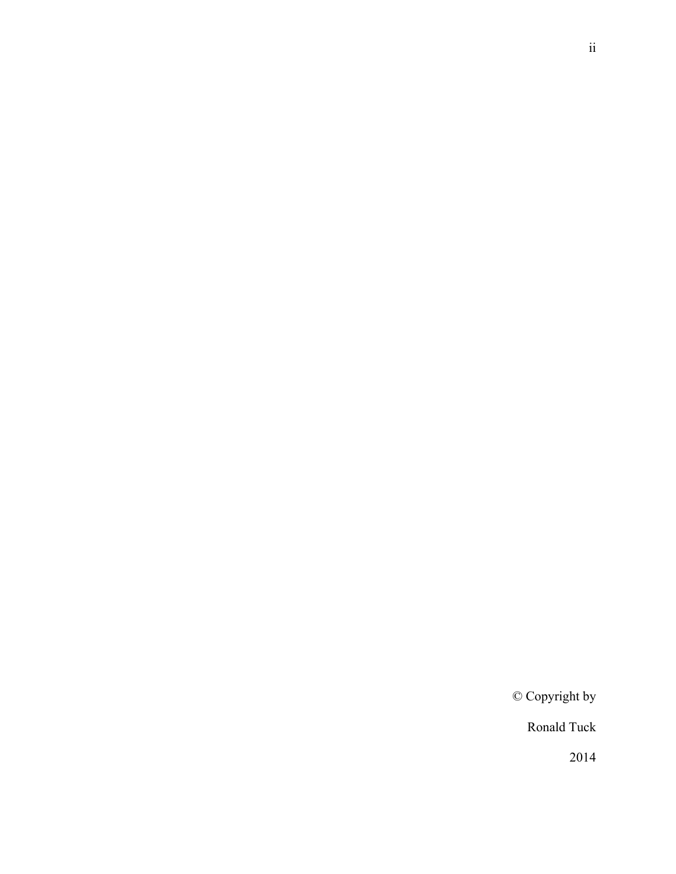© Copyright by

Ronald Tuck

2014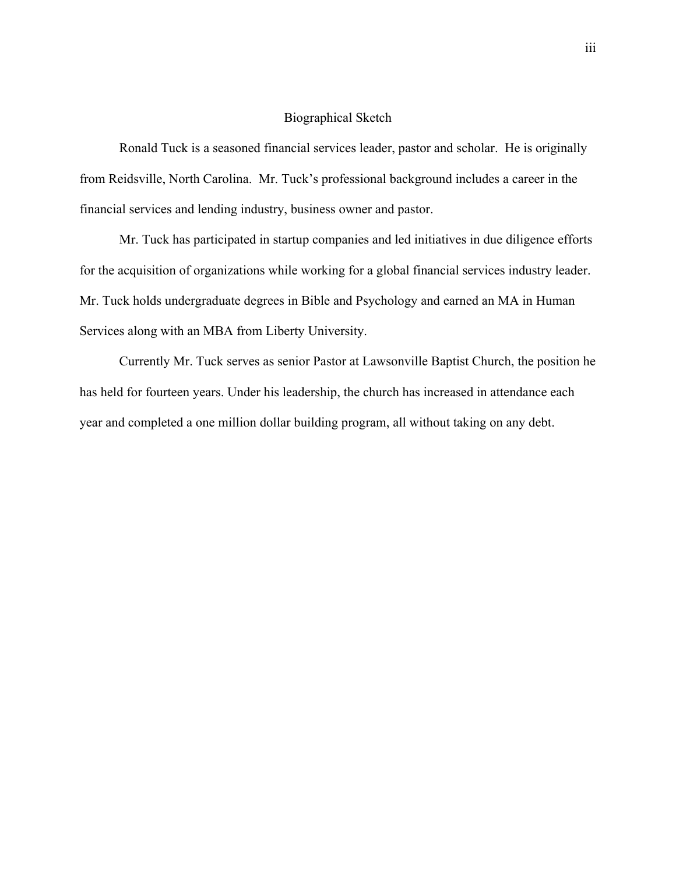# Biographical Sketch

Ronald Tuck is a seasoned financial services leader, pastor and scholar. He is originally from Reidsville, North Carolina. Mr. Tuck's professional background includes a career in the financial services and lending industry, business owner and pastor.

Mr. Tuck has participated in startup companies and led initiatives in due diligence efforts for the acquisition of organizations while working for a global financial services industry leader. Mr. Tuck holds undergraduate degrees in Bible and Psychology and earned an MA in Human Services along with an MBA from Liberty University.

Currently Mr. Tuck serves as senior Pastor at Lawsonville Baptist Church, the position he has held for fourteen years. Under his leadership, the church has increased in attendance each year and completed a one million dollar building program, all without taking on any debt.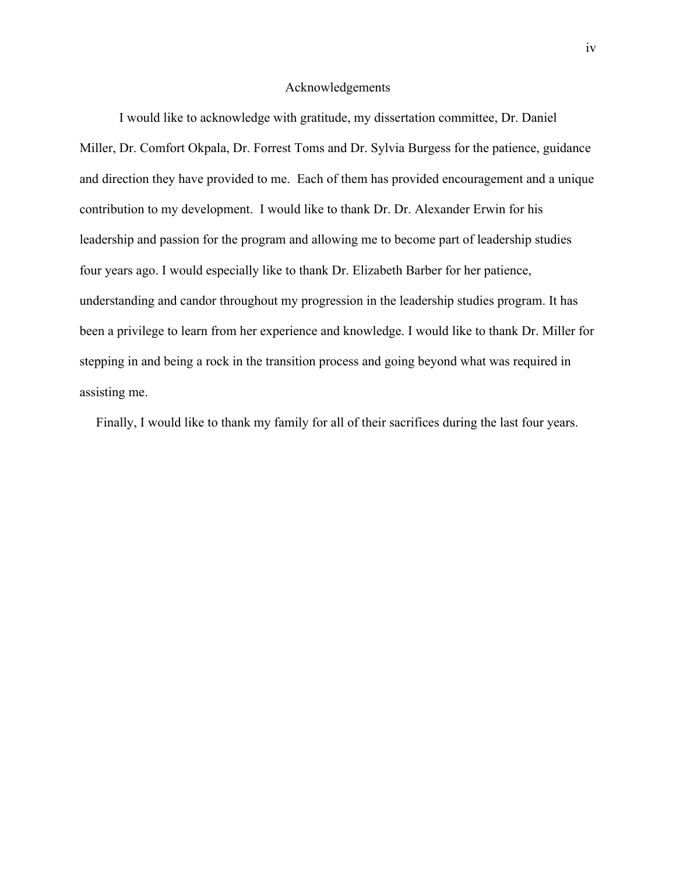# Acknowledgements

I would like to acknowledge with gratitude, my dissertation committee, Dr. Daniel Miller, Dr. Comfort Okpala, Dr. Forrest Toms and Dr. Sylvia Burgess for the patience, guidance and direction they have provided to me. Each of them has provided encouragement and a unique contribution to my development. I would like to thank Dr. Dr. Alexander Erwin for his leadership and passion for the program and allowing me to become part of leadership studies four years ago. I would especially like to thank Dr. Elizabeth Barber for her patience, understanding and candor throughout my progression in the leadership studies program. It has been a privilege to learn from her experience and knowledge. I would like to thank Dr. Miller for stepping in and being a rock in the transition process and going beyond what was required in assisting me.

Finally, I would like to thank my family for all of their sacrifices during the last four years.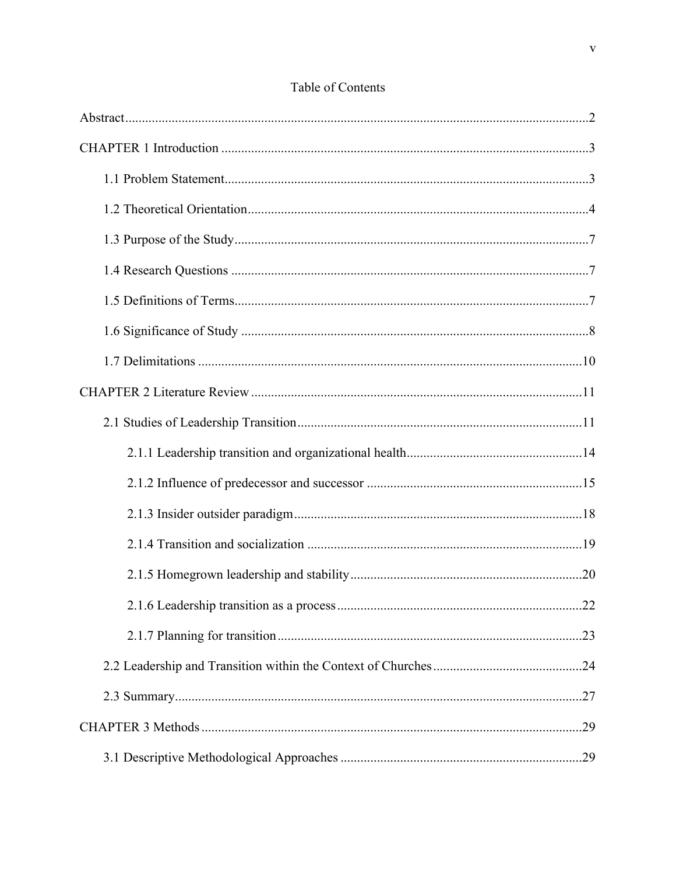# Table of Contents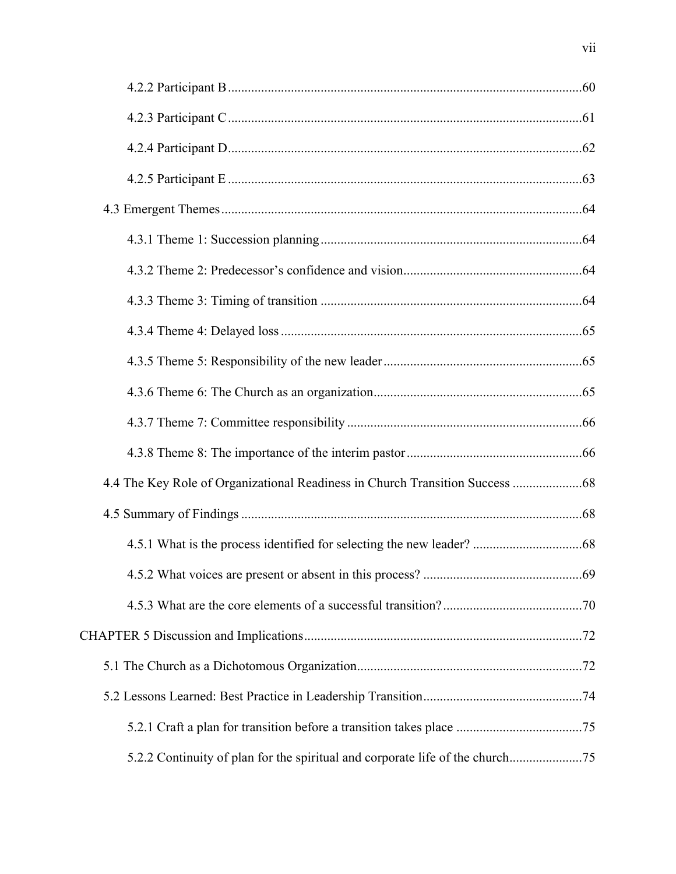| 4.4 The Key Role of Organizational Readiness in Church Transition Success  68 |  |
|-------------------------------------------------------------------------------|--|
|                                                                               |  |
|                                                                               |  |
|                                                                               |  |
|                                                                               |  |
|                                                                               |  |
|                                                                               |  |
|                                                                               |  |
|                                                                               |  |
|                                                                               |  |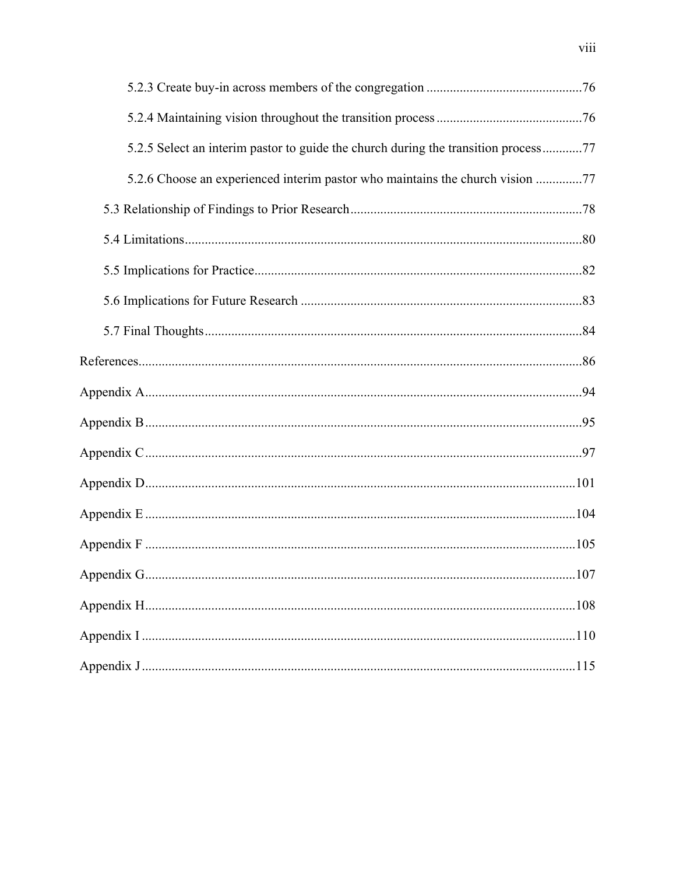| 5.2.5 Select an interim pastor to guide the church during the transition process77 |  |
|------------------------------------------------------------------------------------|--|
| 5.2.6 Choose an experienced interim pastor who maintains the church vision 77      |  |
|                                                                                    |  |
|                                                                                    |  |
|                                                                                    |  |
|                                                                                    |  |
|                                                                                    |  |
|                                                                                    |  |
|                                                                                    |  |
|                                                                                    |  |
|                                                                                    |  |
|                                                                                    |  |
|                                                                                    |  |
|                                                                                    |  |
|                                                                                    |  |
|                                                                                    |  |
|                                                                                    |  |
|                                                                                    |  |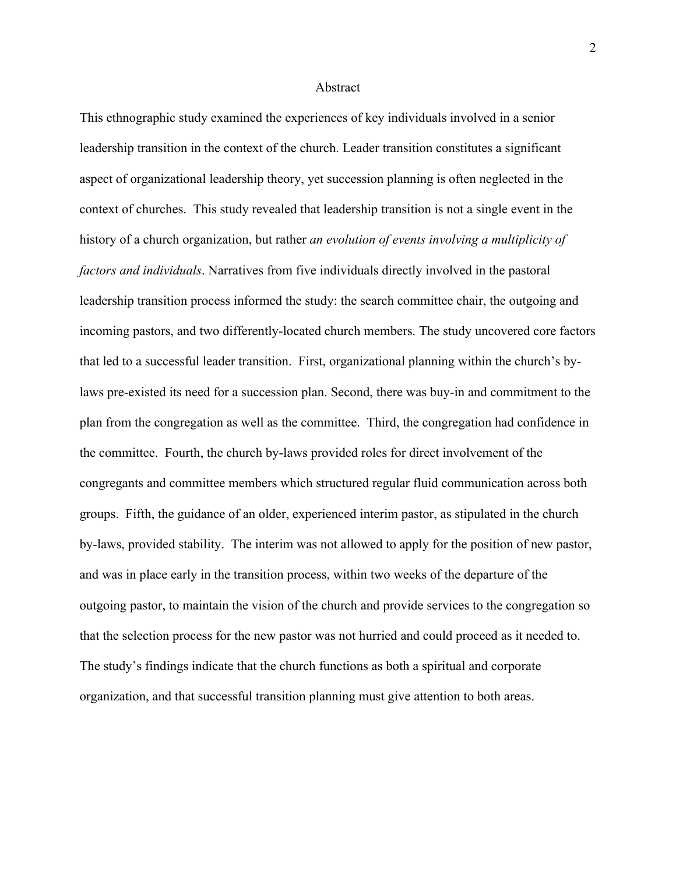## Abstract

This ethnographic study examined the experiences of key individuals involved in a senior leadership transition in the context of the church. Leader transition constitutes a significant aspect of organizational leadership theory, yet succession planning is often neglected in the context of churches. This study revealed that leadership transition is not a single event in the history of a church organization, but rather *an evolution of events involving a multiplicity of factors and individuals*. Narratives from five individuals directly involved in the pastoral leadership transition process informed the study: the search committee chair, the outgoing and incoming pastors, and two differently-located church members. The study uncovered core factors that led to a successful leader transition. First, organizational planning within the church's bylaws pre-existed its need for a succession plan. Second, there was buy-in and commitment to the plan from the congregation as well as the committee. Third, the congregation had confidence in the committee. Fourth, the church by-laws provided roles for direct involvement of the congregants and committee members which structured regular fluid communication across both groups. Fifth, the guidance of an older, experienced interim pastor, as stipulated in the church by-laws, provided stability. The interim was not allowed to apply for the position of new pastor, and was in place early in the transition process, within two weeks of the departure of the outgoing pastor, to maintain the vision of the church and provide services to the congregation so that the selection process for the new pastor was not hurried and could proceed as it needed to. The study's findings indicate that the church functions as both a spiritual and corporate organization, and that successful transition planning must give attention to both areas.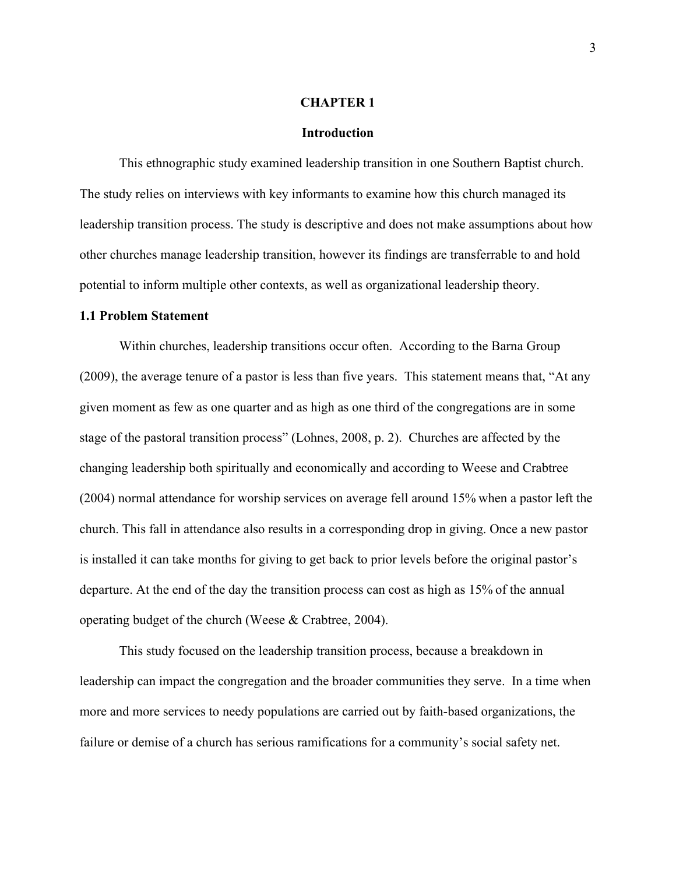### **CHAPTER 1**

### **Introduction**

This ethnographic study examined leadership transition in one Southern Baptist church. The study relies on interviews with key informants to examine how this church managed its leadership transition process. The study is descriptive and does not make assumptions about how other churches manage leadership transition, however its findings are transferrable to and hold potential to inform multiple other contexts, as well as organizational leadership theory.

# **1.1 Problem Statement**

Within churches, leadership transitions occur often. According to the Barna Group (2009), the average tenure of a pastor is less than five years. This statement means that, "At any given moment as few as one quarter and as high as one third of the congregations are in some stage of the pastoral transition process" (Lohnes, 2008, p. 2). Churches are affected by the changing leadership both spiritually and economically and according to Weese and Crabtree (2004) normal attendance for worship services on average fell around 15% when a pastor left the church. This fall in attendance also results in a corresponding drop in giving. Once a new pastor is installed it can take months for giving to get back to prior levels before the original pastor's departure. At the end of the day the transition process can cost as high as 15% of the annual operating budget of the church (Weese & Crabtree, 2004).

This study focused on the leadership transition process, because a breakdown in leadership can impact the congregation and the broader communities they serve. In a time when more and more services to needy populations are carried out by faith-based organizations, the failure or demise of a church has serious ramifications for a community's social safety net.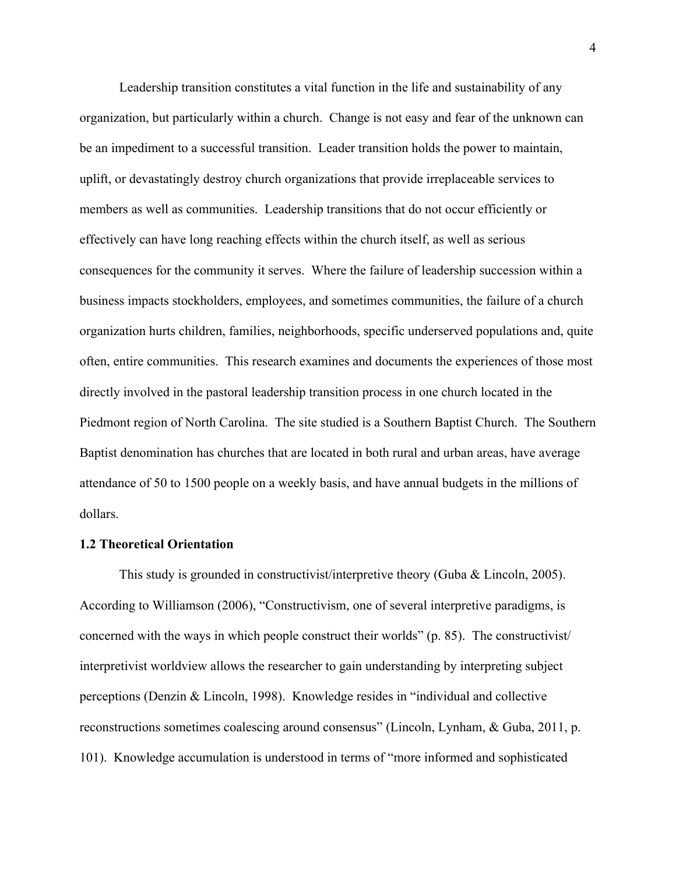Leadership transition constitutes a vital function in the life and sustainability of any organization, but particularly within a church. Change is not easy and fear of the unknown can be an impediment to a successful transition. Leader transition holds the power to maintain, uplift, or devastatingly destroy church organizations that provide irreplaceable services to members as well as communities. Leadership transitions that do not occur efficiently or effectively can have long reaching effects within the church itself, as well as serious consequences for the community it serves. Where the failure of leadership succession within a business impacts stockholders, employees, and sometimes communities, the failure of a church organization hurts children, families, neighborhoods, specific underserved populations and, quite often, entire communities. This research examines and documents the experiences of those most directly involved in the pastoral leadership transition process in one church located in the Piedmont region of North Carolina. The site studied is a Southern Baptist Church. The Southern Baptist denomination has churches that are located in both rural and urban areas, have average attendance of 50 to 1500 people on a weekly basis, and have annual budgets in the millions of dollars.

# **1.2 Theoretical Orientation**

This study is grounded in constructivist/interpretive theory (Guba & Lincoln, 2005). According to Williamson (2006), "Constructivism, one of several interpretive paradigms, is concerned with the ways in which people construct their worlds" (p. 85). The constructivist/ interpretivist worldview allows the researcher to gain understanding by interpreting subject perceptions (Denzin & Lincoln, 1998). Knowledge resides in "individual and collective reconstructions sometimes coalescing around consensus" (Lincoln, Lynham, & Guba, 2011, p. 101). Knowledge accumulation is understood in terms of "more informed and sophisticated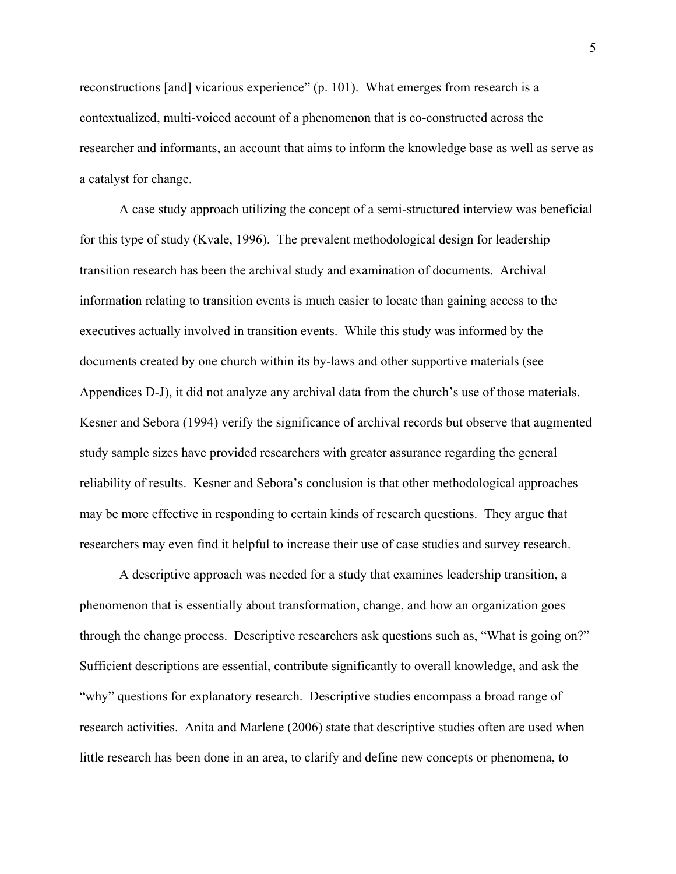reconstructions [and] vicarious experience" (p. 101). What emerges from research is a contextualized, multi-voiced account of a phenomenon that is co-constructed across the researcher and informants, an account that aims to inform the knowledge base as well as serve as a catalyst for change.

A case study approach utilizing the concept of a semi-structured interview was beneficial for this type of study (Kvale, 1996). The prevalent methodological design for leadership transition research has been the archival study and examination of documents. Archival information relating to transition events is much easier to locate than gaining access to the executives actually involved in transition events. While this study was informed by the documents created by one church within its by-laws and other supportive materials (see Appendices D-J), it did not analyze any archival data from the church's use of those materials. Kesner and Sebora (1994) verify the significance of archival records but observe that augmented study sample sizes have provided researchers with greater assurance regarding the general reliability of results. Kesner and Sebora's conclusion is that other methodological approaches may be more effective in responding to certain kinds of research questions. They argue that researchers may even find it helpful to increase their use of case studies and survey research.

A descriptive approach was needed for a study that examines leadership transition, a phenomenon that is essentially about transformation, change, and how an organization goes through the change process. Descriptive researchers ask questions such as, "What is going on?" Sufficient descriptions are essential, contribute significantly to overall knowledge, and ask the "why" questions for explanatory research. Descriptive studies encompass a broad range of research activities. Anita and Marlene (2006) state that descriptive studies often are used when little research has been done in an area, to clarify and define new concepts or phenomena, to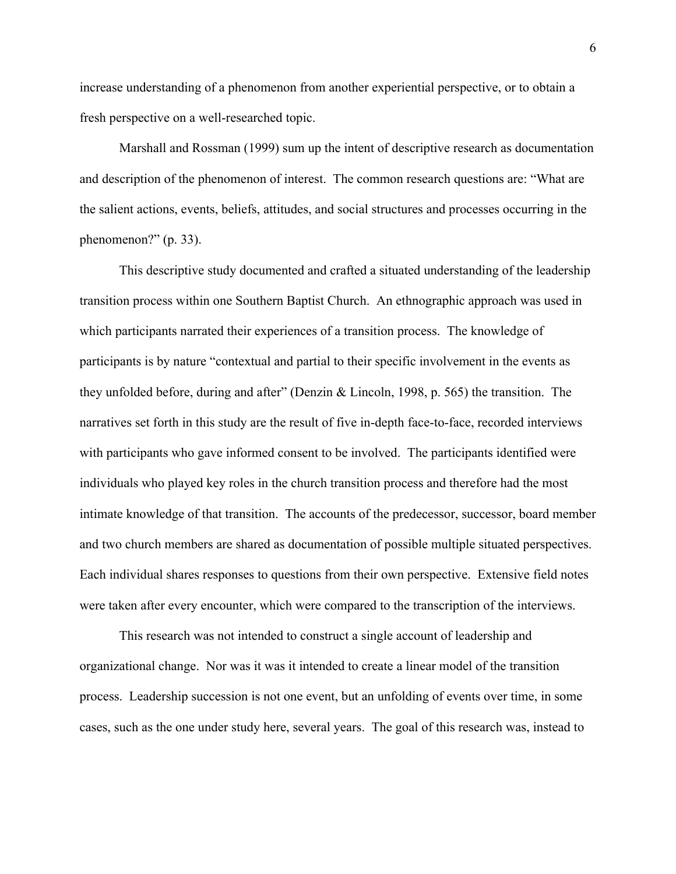increase understanding of a phenomenon from another experiential perspective, or to obtain a fresh perspective on a well-researched topic.

Marshall and Rossman (1999) sum up the intent of descriptive research as documentation and description of the phenomenon of interest. The common research questions are: "What are the salient actions, events, beliefs, attitudes, and social structures and processes occurring in the phenomenon?" (p. 33).

This descriptive study documented and crafted a situated understanding of the leadership transition process within one Southern Baptist Church. An ethnographic approach was used in which participants narrated their experiences of a transition process. The knowledge of participants is by nature "contextual and partial to their specific involvement in the events as they unfolded before, during and after" (Denzin & Lincoln, 1998, p. 565) the transition. The narratives set forth in this study are the result of five in-depth face-to-face, recorded interviews with participants who gave informed consent to be involved. The participants identified were individuals who played key roles in the church transition process and therefore had the most intimate knowledge of that transition. The accounts of the predecessor, successor, board member and two church members are shared as documentation of possible multiple situated perspectives. Each individual shares responses to questions from their own perspective. Extensive field notes were taken after every encounter, which were compared to the transcription of the interviews.

This research was not intended to construct a single account of leadership and organizational change. Nor was it was it intended to create a linear model of the transition process. Leadership succession is not one event, but an unfolding of events over time, in some cases, such as the one under study here, several years. The goal of this research was, instead to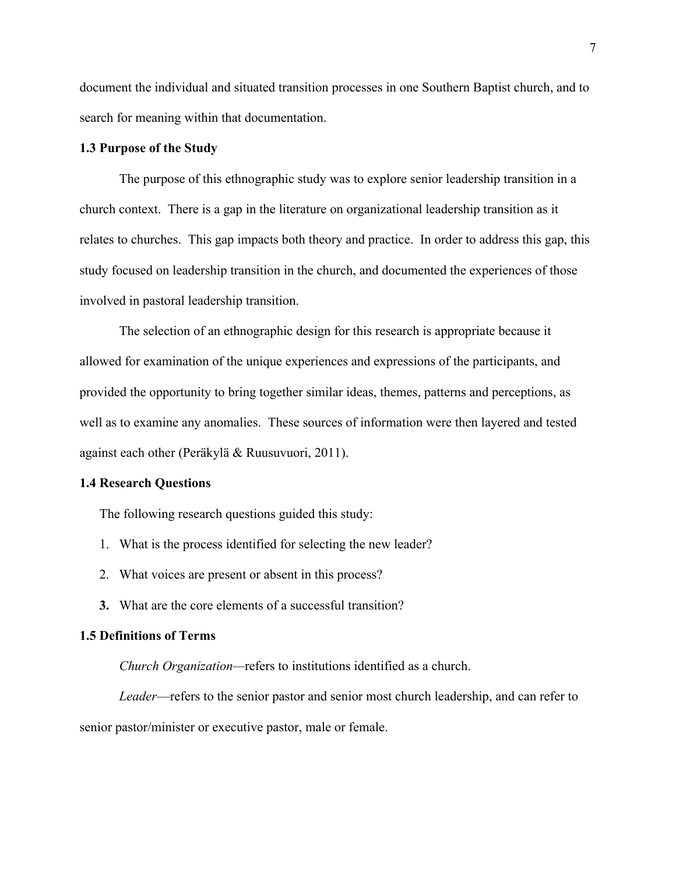document the individual and situated transition processes in one Southern Baptist church, and to search for meaning within that documentation.

# **1.3 Purpose of the Study**

The purpose of this ethnographic study was to explore senior leadership transition in a church context. There is a gap in the literature on organizational leadership transition as it relates to churches. This gap impacts both theory and practice. In order to address this gap, this study focused on leadership transition in the church, and documented the experiences of those involved in pastoral leadership transition.

The selection of an ethnographic design for this research is appropriate because it allowed for examination of the unique experiences and expressions of the participants, and provided the opportunity to bring together similar ideas, themes, patterns and perceptions, as well as to examine any anomalies. These sources of information were then layered and tested against each other (Peräkylä & Ruusuvuori, 2011).

### **1.4 Research Questions**

The following research questions guided this study:

- 1. What is the process identified for selecting the new leader?
- 2. What voices are present or absent in this process?
- **3.** What are the core elements of a successful transition?

# **1.5 Definitions of Terms**

*Church Organization—*refers to institutions identified as a church.

*Leader*—refers to the senior pastor and senior most church leadership, and can refer to senior pastor/minister or executive pastor, male or female.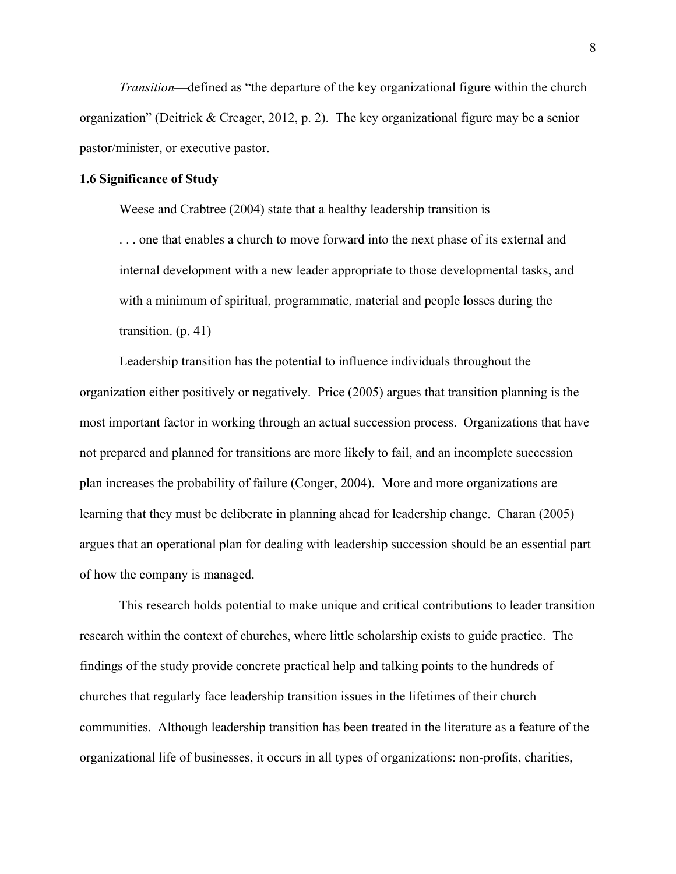*Transition*—defined as "the departure of the key organizational figure within the church organization" (Deitrick & Creager, 2012, p. 2). The key organizational figure may be a senior pastor/minister, or executive pastor.

# **1.6 Significance of Study**

Weese and Crabtree (2004) state that a healthy leadership transition is

. . . one that enables a church to move forward into the next phase of its external and internal development with a new leader appropriate to those developmental tasks, and with a minimum of spiritual, programmatic, material and people losses during the transition. (p. 41)

Leadership transition has the potential to influence individuals throughout the organization either positively or negatively. Price (2005) argues that transition planning is the most important factor in working through an actual succession process. Organizations that have not prepared and planned for transitions are more likely to fail, and an incomplete succession plan increases the probability of failure (Conger, 2004). More and more organizations are learning that they must be deliberate in planning ahead for leadership change. Charan (2005) argues that an operational plan for dealing with leadership succession should be an essential part of how the company is managed.

This research holds potential to make unique and critical contributions to leader transition research within the context of churches, where little scholarship exists to guide practice. The findings of the study provide concrete practical help and talking points to the hundreds of churches that regularly face leadership transition issues in the lifetimes of their church communities. Although leadership transition has been treated in the literature as a feature of the organizational life of businesses, it occurs in all types of organizations: non-profits, charities,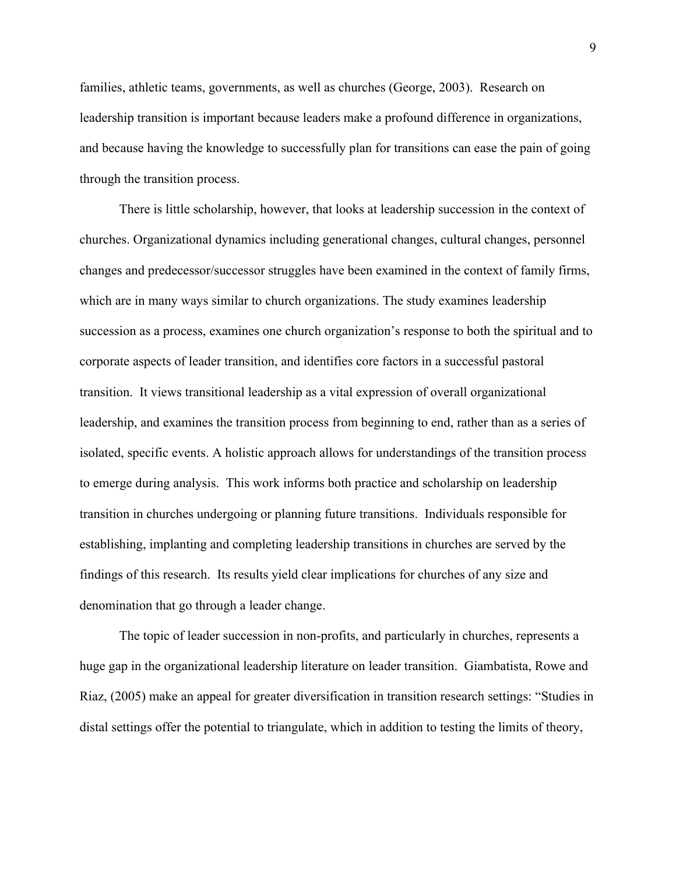families, athletic teams, governments, as well as churches (George, 2003). Research on leadership transition is important because leaders make a profound difference in organizations, and because having the knowledge to successfully plan for transitions can ease the pain of going through the transition process.

There is little scholarship, however, that looks at leadership succession in the context of churches. Organizational dynamics including generational changes, cultural changes, personnel changes and predecessor/successor struggles have been examined in the context of family firms, which are in many ways similar to church organizations. The study examines leadership succession as a process, examines one church organization's response to both the spiritual and to corporate aspects of leader transition, and identifies core factors in a successful pastoral transition. It views transitional leadership as a vital expression of overall organizational leadership, and examines the transition process from beginning to end, rather than as a series of isolated, specific events. A holistic approach allows for understandings of the transition process to emerge during analysis. This work informs both practice and scholarship on leadership transition in churches undergoing or planning future transitions. Individuals responsible for establishing, implanting and completing leadership transitions in churches are served by the findings of this research. Its results yield clear implications for churches of any size and denomination that go through a leader change.

The topic of leader succession in non-profits, and particularly in churches, represents a huge gap in the organizational leadership literature on leader transition. Giambatista, Rowe and Riaz, (2005) make an appeal for greater diversification in transition research settings: "Studies in distal settings offer the potential to triangulate, which in addition to testing the limits of theory,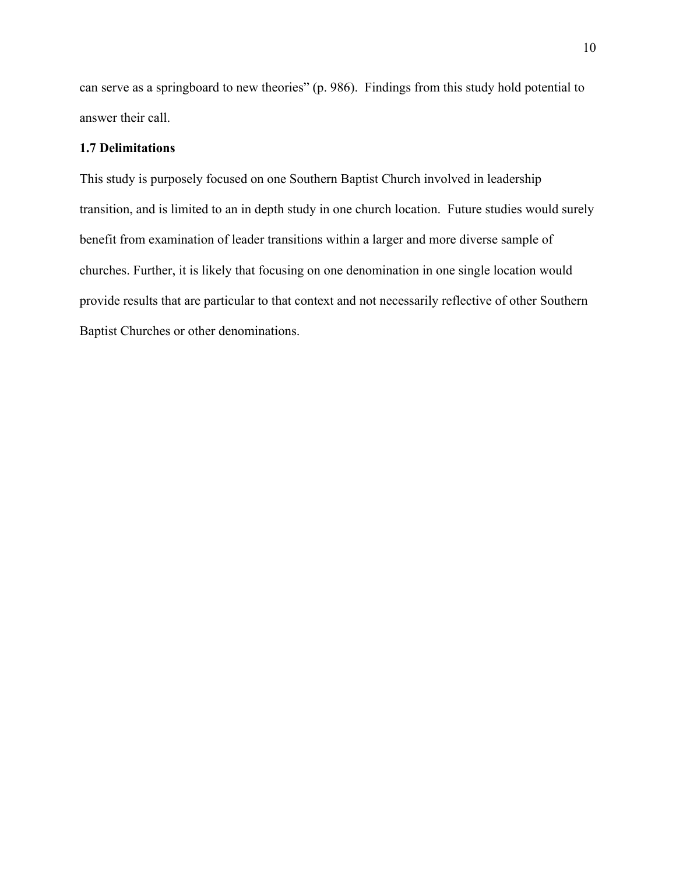can serve as a springboard to new theories" (p. 986). Findings from this study hold potential to answer their call.

# **1.7 Delimitations**

This study is purposely focused on one Southern Baptist Church involved in leadership transition, and is limited to an in depth study in one church location. Future studies would surely benefit from examination of leader transitions within a larger and more diverse sample of churches. Further, it is likely that focusing on one denomination in one single location would provide results that are particular to that context and not necessarily reflective of other Southern Baptist Churches or other denominations.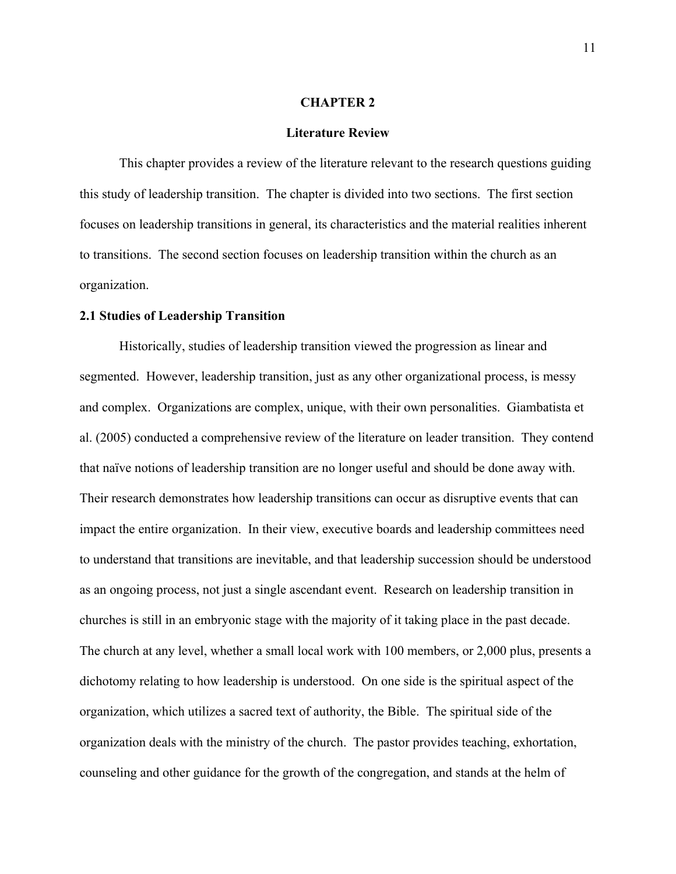## **CHAPTER 2**

## **Literature Review**

This chapter provides a review of the literature relevant to the research questions guiding this study of leadership transition. The chapter is divided into two sections. The first section focuses on leadership transitions in general, its characteristics and the material realities inherent to transitions. The second section focuses on leadership transition within the church as an organization.

# **2.1 Studies of Leadership Transition**

Historically, studies of leadership transition viewed the progression as linear and segmented. However, leadership transition, just as any other organizational process, is messy and complex. Organizations are complex, unique, with their own personalities. Giambatista et al. (2005) conducted a comprehensive review of the literature on leader transition. They contend that naïve notions of leadership transition are no longer useful and should be done away with. Their research demonstrates how leadership transitions can occur as disruptive events that can impact the entire organization. In their view, executive boards and leadership committees need to understand that transitions are inevitable, and that leadership succession should be understood as an ongoing process, not just a single ascendant event. Research on leadership transition in churches is still in an embryonic stage with the majority of it taking place in the past decade. The church at any level, whether a small local work with 100 members, or 2,000 plus, presents a dichotomy relating to how leadership is understood. On one side is the spiritual aspect of the organization, which utilizes a sacred text of authority, the Bible. The spiritual side of the organization deals with the ministry of the church. The pastor provides teaching, exhortation, counseling and other guidance for the growth of the congregation, and stands at the helm of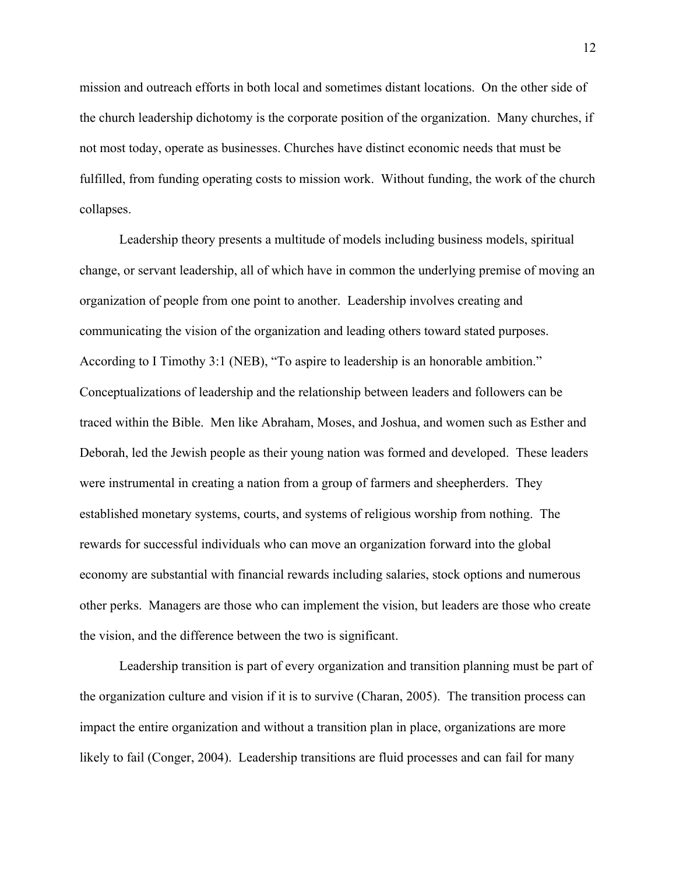mission and outreach efforts in both local and sometimes distant locations. On the other side of the church leadership dichotomy is the corporate position of the organization. Many churches, if not most today, operate as businesses. Churches have distinct economic needs that must be fulfilled, from funding operating costs to mission work. Without funding, the work of the church collapses.

Leadership theory presents a multitude of models including business models, spiritual change, or servant leadership, all of which have in common the underlying premise of moving an organization of people from one point to another. Leadership involves creating and communicating the vision of the organization and leading others toward stated purposes. According to I Timothy 3:1 (NEB), "To aspire to leadership is an honorable ambition." Conceptualizations of leadership and the relationship between leaders and followers can be traced within the Bible. Men like Abraham, Moses, and Joshua, and women such as Esther and Deborah, led the Jewish people as their young nation was formed and developed. These leaders were instrumental in creating a nation from a group of farmers and sheepherders. They established monetary systems, courts, and systems of religious worship from nothing. The rewards for successful individuals who can move an organization forward into the global economy are substantial with financial rewards including salaries, stock options and numerous other perks. Managers are those who can implement the vision, but leaders are those who create the vision, and the difference between the two is significant.

Leadership transition is part of every organization and transition planning must be part of the organization culture and vision if it is to survive (Charan, 2005). The transition process can impact the entire organization and without a transition plan in place, organizations are more likely to fail (Conger, 2004). Leadership transitions are fluid processes and can fail for many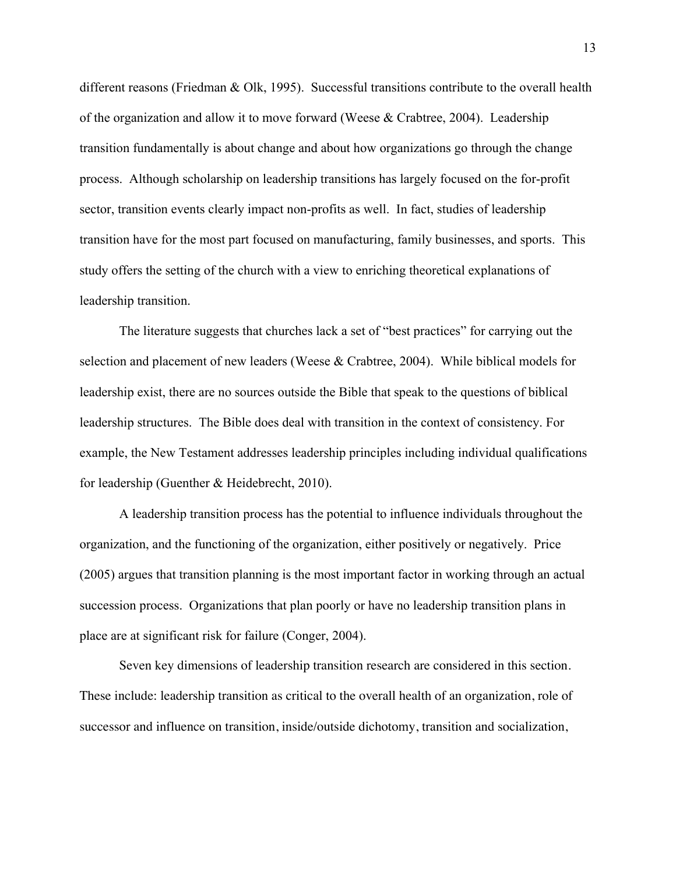different reasons (Friedman & Olk, 1995). Successful transitions contribute to the overall health of the organization and allow it to move forward (Weese & Crabtree, 2004). Leadership transition fundamentally is about change and about how organizations go through the change process. Although scholarship on leadership transitions has largely focused on the for-profit sector, transition events clearly impact non-profits as well. In fact, studies of leadership transition have for the most part focused on manufacturing, family businesses, and sports. This study offers the setting of the church with a view to enriching theoretical explanations of leadership transition.

The literature suggests that churches lack a set of "best practices" for carrying out the selection and placement of new leaders (Weese & Crabtree, 2004). While biblical models for leadership exist, there are no sources outside the Bible that speak to the questions of biblical leadership structures. The Bible does deal with transition in the context of consistency. For example, the New Testament addresses leadership principles including individual qualifications for leadership (Guenther & Heidebrecht, 2010).

A leadership transition process has the potential to influence individuals throughout the organization, and the functioning of the organization, either positively or negatively. Price (2005) argues that transition planning is the most important factor in working through an actual succession process. Organizations that plan poorly or have no leadership transition plans in place are at significant risk for failure (Conger, 2004).

Seven key dimensions of leadership transition research are considered in this section. These include: leadership transition as critical to the overall health of an organization, role of successor and influence on transition, inside/outside dichotomy, transition and socialization,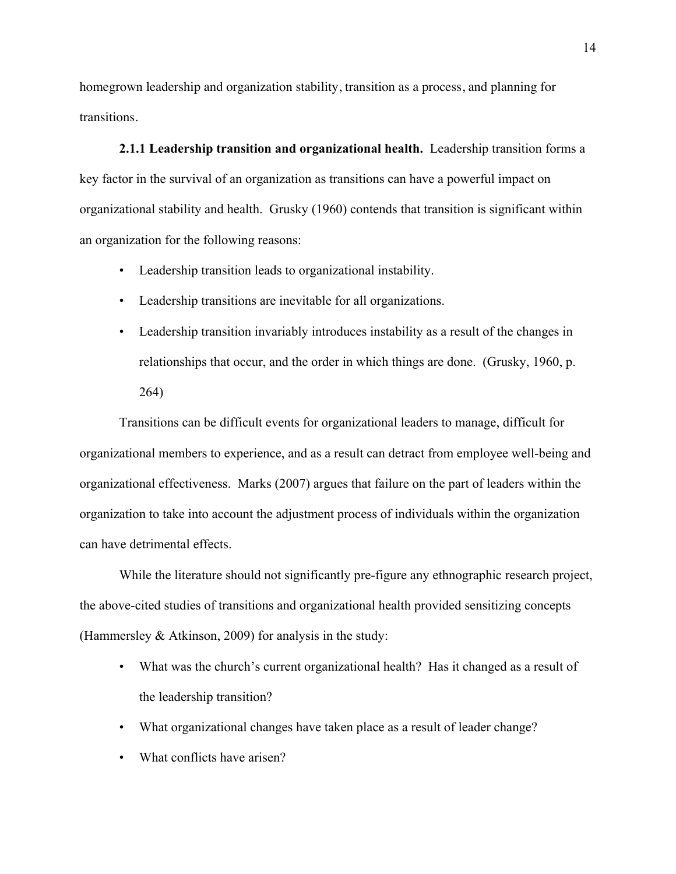homegrown leadership and organization stability, transition as a process, and planning for transitions.

**2.1.1 Leadership transition and organizational health.** Leadership transition forms a key factor in the survival of an organization as transitions can have a powerful impact on organizational stability and health. Grusky (1960) contends that transition is significant within an organization for the following reasons:

- Leadership transition leads to organizational instability.
- Leadership transitions are inevitable for all organizations.
- Leadership transition invariably introduces instability as a result of the changes in relationships that occur, and the order in which things are done. (Grusky, 1960, p. 264)

Transitions can be difficult events for organizational leaders to manage, difficult for organizational members to experience, and as a result can detract from employee well-being and organizational effectiveness. Marks (2007) argues that failure on the part of leaders within the organization to take into account the adjustment process of individuals within the organization can have detrimental effects.

While the literature should not significantly pre-figure any ethnographic research project, the above-cited studies of transitions and organizational health provided sensitizing concepts (Hammersley & Atkinson, 2009) for analysis in the study:

- What was the church's current organizational health? Has it changed as a result of the leadership transition?
- What organizational changes have taken place as a result of leader change?
- What conflicts have arisen?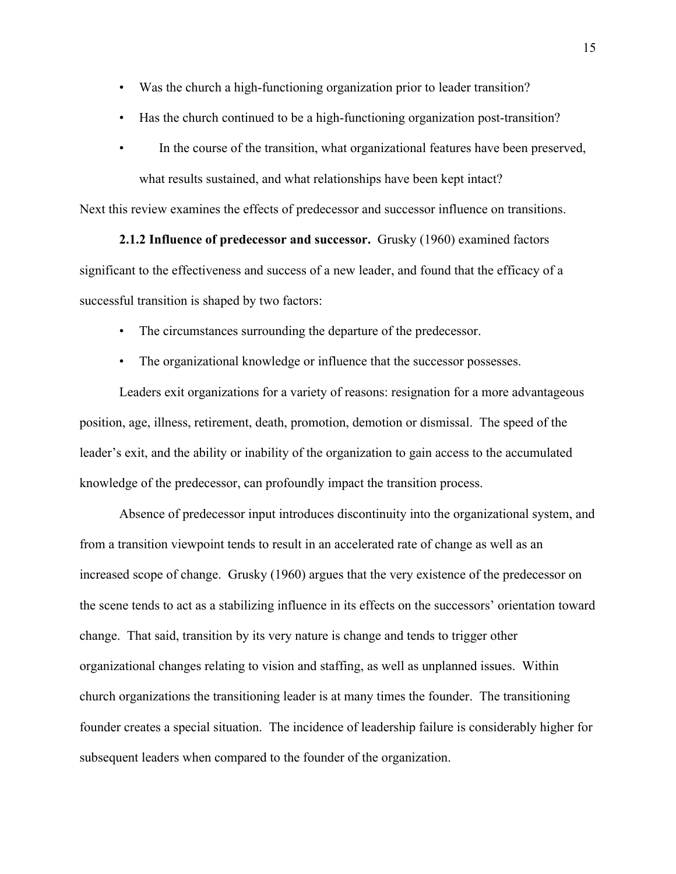- Was the church a high-functioning organization prior to leader transition?
- Has the church continued to be a high-functioning organization post-transition?
- In the course of the transition, what organizational features have been preserved, what results sustained, and what relationships have been kept intact?

Next this review examines the effects of predecessor and successor influence on transitions.

**2.1.2 Influence of predecessor and successor.** Grusky (1960) examined factors significant to the effectiveness and success of a new leader, and found that the efficacy of a successful transition is shaped by two factors:

- The circumstances surrounding the departure of the predecessor.
- The organizational knowledge or influence that the successor possesses.

Leaders exit organizations for a variety of reasons: resignation for a more advantageous position, age, illness, retirement, death, promotion, demotion or dismissal. The speed of the leader's exit, and the ability or inability of the organization to gain access to the accumulated knowledge of the predecessor, can profoundly impact the transition process.

Absence of predecessor input introduces discontinuity into the organizational system, and from a transition viewpoint tends to result in an accelerated rate of change as well as an increased scope of change. Grusky (1960) argues that the very existence of the predecessor on the scene tends to act as a stabilizing influence in its effects on the successors' orientation toward change. That said, transition by its very nature is change and tends to trigger other organizational changes relating to vision and staffing, as well as unplanned issues. Within church organizations the transitioning leader is at many times the founder. The transitioning founder creates a special situation. The incidence of leadership failure is considerably higher for subsequent leaders when compared to the founder of the organization.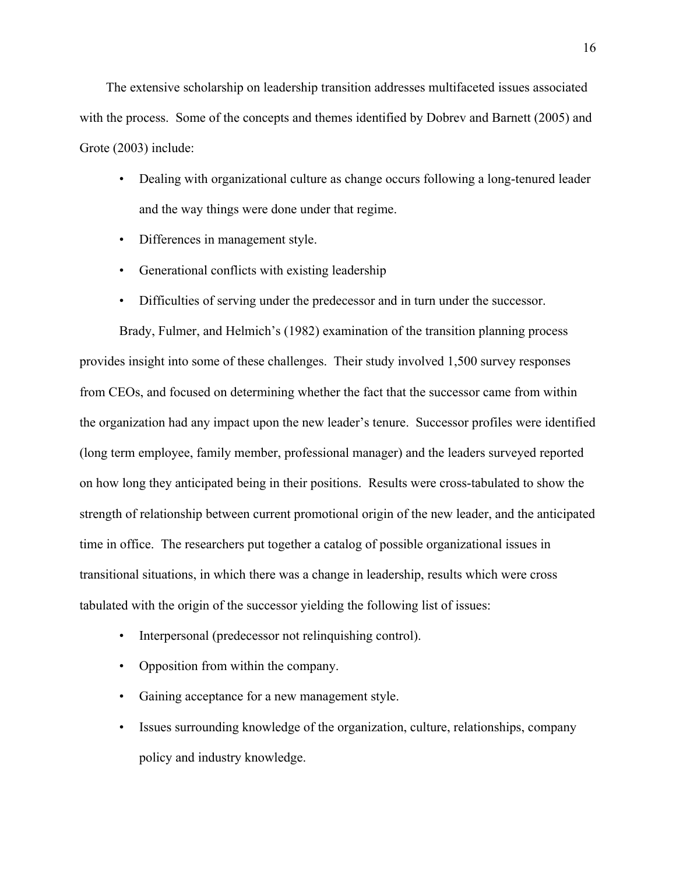The extensive scholarship on leadership transition addresses multifaceted issues associated with the process. Some of the concepts and themes identified by Dobrev and Barnett (2005) and Grote (2003) include:

- Dealing with organizational culture as change occurs following a long-tenured leader and the way things were done under that regime.
- Differences in management style.
- Generational conflicts with existing leadership
- Difficulties of serving under the predecessor and in turn under the successor.

Brady, Fulmer, and Helmich's (1982) examination of the transition planning process provides insight into some of these challenges. Their study involved 1,500 survey responses from CEOs, and focused on determining whether the fact that the successor came from within the organization had any impact upon the new leader's tenure. Successor profiles were identified (long term employee, family member, professional manager) and the leaders surveyed reported on how long they anticipated being in their positions. Results were cross-tabulated to show the strength of relationship between current promotional origin of the new leader, and the anticipated time in office. The researchers put together a catalog of possible organizational issues in transitional situations, in which there was a change in leadership, results which were cross tabulated with the origin of the successor yielding the following list of issues:

- Interpersonal (predecessor not relinquishing control).
- Opposition from within the company.
- Gaining acceptance for a new management style.
- Issues surrounding knowledge of the organization, culture, relationships, company policy and industry knowledge.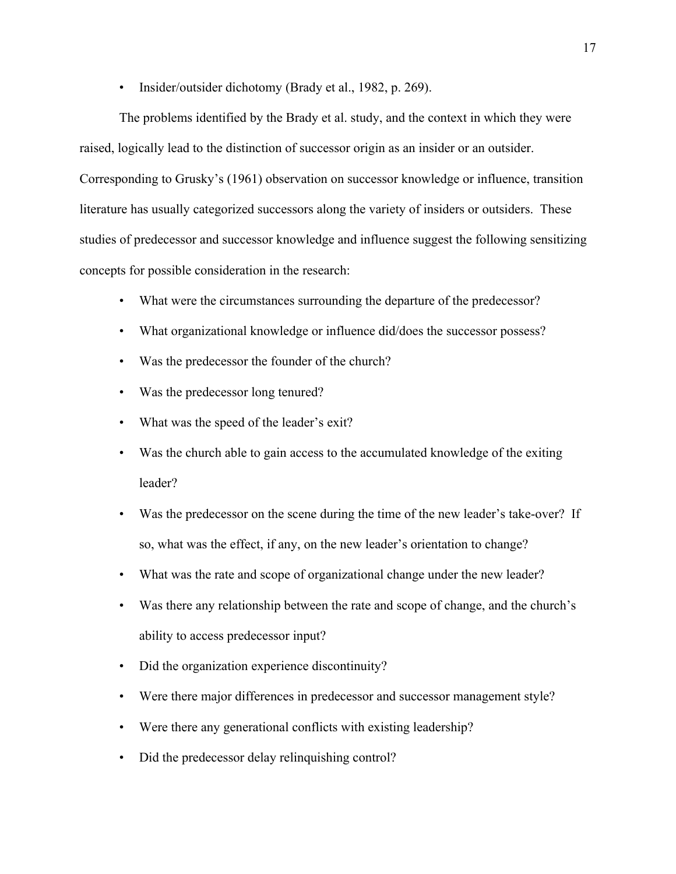• Insider/outsider dichotomy (Brady et al., 1982, p. 269).

The problems identified by the Brady et al. study, and the context in which they were raised, logically lead to the distinction of successor origin as an insider or an outsider. Corresponding to Grusky's (1961) observation on successor knowledge or influence, transition literature has usually categorized successors along the variety of insiders or outsiders. These studies of predecessor and successor knowledge and influence suggest the following sensitizing concepts for possible consideration in the research:

- What were the circumstances surrounding the departure of the predecessor?
- What organizational knowledge or influence did/does the successor possess?
- Was the predecessor the founder of the church?
- Was the predecessor long tenured?
- What was the speed of the leader's exit?
- Was the church able to gain access to the accumulated knowledge of the exiting leader?
- Was the predecessor on the scene during the time of the new leader's take-over? If so, what was the effect, if any, on the new leader's orientation to change?
- What was the rate and scope of organizational change under the new leader?
- Was there any relationship between the rate and scope of change, and the church's ability to access predecessor input?
- Did the organization experience discontinuity?
- Were there major differences in predecessor and successor management style?
- Were there any generational conflicts with existing leadership?
- Did the predecessor delay relinquishing control?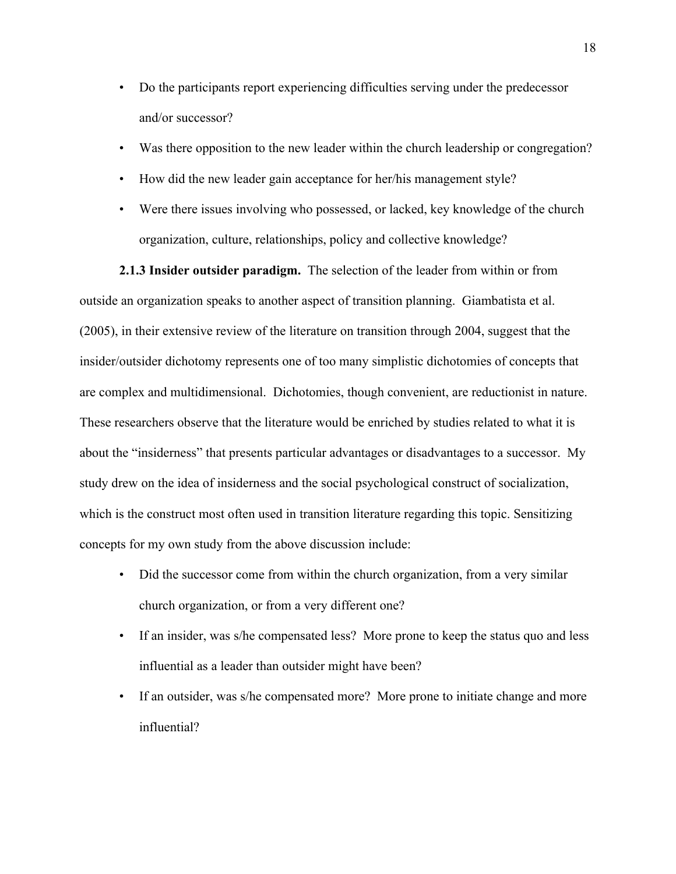- Do the participants report experiencing difficulties serving under the predecessor and/or successor?
- Was there opposition to the new leader within the church leadership or congregation?
- How did the new leader gain acceptance for her/his management style?
- Were there issues involving who possessed, or lacked, key knowledge of the church organization, culture, relationships, policy and collective knowledge?

**2.1.3 Insider outsider paradigm.** The selection of the leader from within or from outside an organization speaks to another aspect of transition planning. Giambatista et al. (2005), in their extensive review of the literature on transition through 2004, suggest that the insider/outsider dichotomy represents one of too many simplistic dichotomies of concepts that are complex and multidimensional. Dichotomies, though convenient, are reductionist in nature. These researchers observe that the literature would be enriched by studies related to what it is about the "insiderness" that presents particular advantages or disadvantages to a successor. My study drew on the idea of insiderness and the social psychological construct of socialization, which is the construct most often used in transition literature regarding this topic. Sensitizing concepts for my own study from the above discussion include:

- Did the successor come from within the church organization, from a very similar church organization, or from a very different one?
- If an insider, was s/he compensated less? More prone to keep the status quo and less influential as a leader than outsider might have been?
- If an outsider, was s/he compensated more? More prone to initiate change and more influential?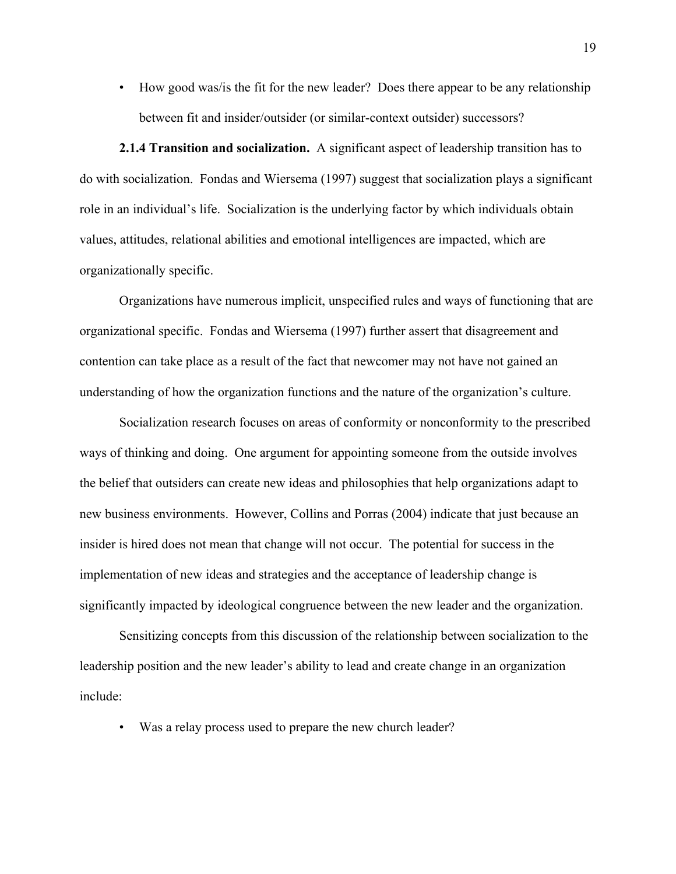• How good was/is the fit for the new leader? Does there appear to be any relationship between fit and insider/outsider (or similar-context outsider) successors?

**2.1.4 Transition and socialization.** A significant aspect of leadership transition has to do with socialization. Fondas and Wiersema (1997) suggest that socialization plays a significant role in an individual's life. Socialization is the underlying factor by which individuals obtain values, attitudes, relational abilities and emotional intelligences are impacted, which are organizationally specific.

Organizations have numerous implicit, unspecified rules and ways of functioning that are organizational specific. Fondas and Wiersema (1997) further assert that disagreement and contention can take place as a result of the fact that newcomer may not have not gained an understanding of how the organization functions and the nature of the organization's culture.

Socialization research focuses on areas of conformity or nonconformity to the prescribed ways of thinking and doing. One argument for appointing someone from the outside involves the belief that outsiders can create new ideas and philosophies that help organizations adapt to new business environments. However, Collins and Porras (2004) indicate that just because an insider is hired does not mean that change will not occur. The potential for success in the implementation of new ideas and strategies and the acceptance of leadership change is significantly impacted by ideological congruence between the new leader and the organization.

Sensitizing concepts from this discussion of the relationship between socialization to the leadership position and the new leader's ability to lead and create change in an organization include:

• Was a relay process used to prepare the new church leader?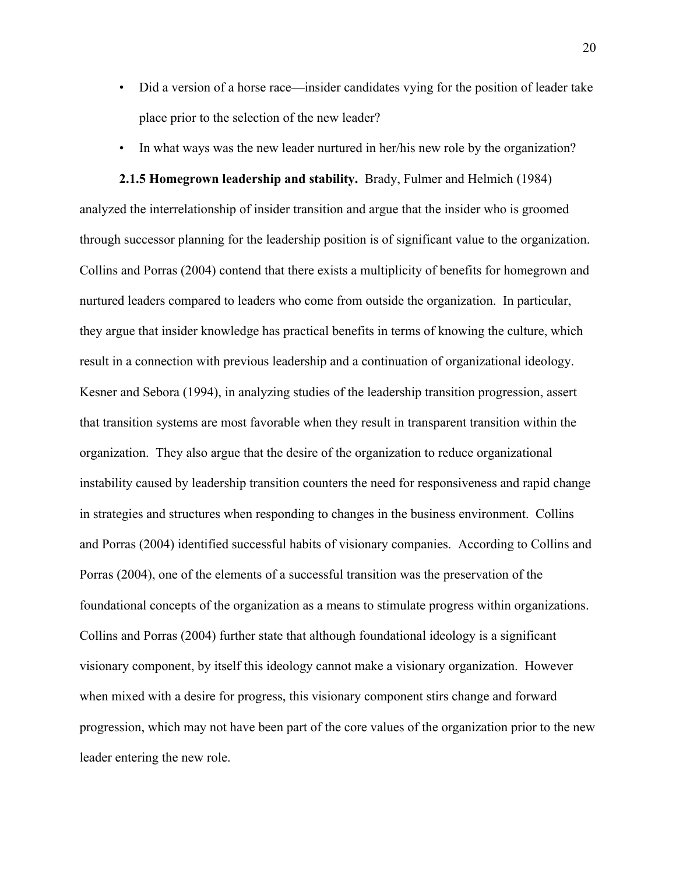- Did a version of a horse race—insider candidates vying for the position of leader take place prior to the selection of the new leader?
- In what ways was the new leader nurtured in her/his new role by the organization?

**2.1.5 Homegrown leadership and stability.** Brady, Fulmer and Helmich (1984) analyzed the interrelationship of insider transition and argue that the insider who is groomed through successor planning for the leadership position is of significant value to the organization. Collins and Porras (2004) contend that there exists a multiplicity of benefits for homegrown and nurtured leaders compared to leaders who come from outside the organization. In particular, they argue that insider knowledge has practical benefits in terms of knowing the culture, which result in a connection with previous leadership and a continuation of organizational ideology. Kesner and Sebora (1994), in analyzing studies of the leadership transition progression, assert that transition systems are most favorable when they result in transparent transition within the organization. They also argue that the desire of the organization to reduce organizational instability caused by leadership transition counters the need for responsiveness and rapid change in strategies and structures when responding to changes in the business environment. Collins and Porras (2004) identified successful habits of visionary companies. According to Collins and Porras (2004), one of the elements of a successful transition was the preservation of the foundational concepts of the organization as a means to stimulate progress within organizations. Collins and Porras (2004) further state that although foundational ideology is a significant visionary component, by itself this ideology cannot make a visionary organization. However when mixed with a desire for progress, this visionary component stirs change and forward progression, which may not have been part of the core values of the organization prior to the new leader entering the new role.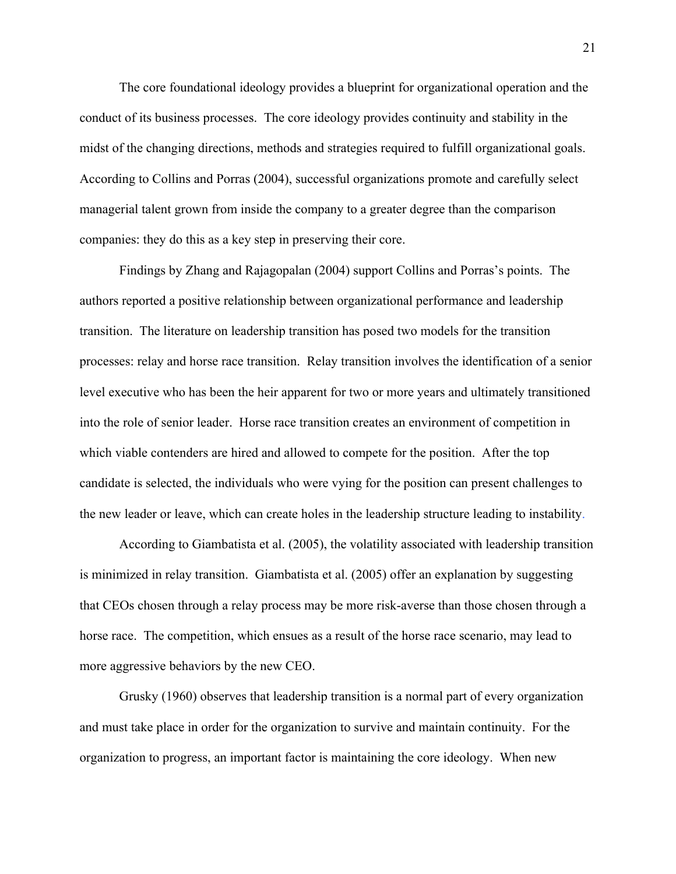The core foundational ideology provides a blueprint for organizational operation and the conduct of its business processes. The core ideology provides continuity and stability in the midst of the changing directions, methods and strategies required to fulfill organizational goals. According to Collins and Porras (2004), successful organizations promote and carefully select managerial talent grown from inside the company to a greater degree than the comparison companies: they do this as a key step in preserving their core.

Findings by Zhang and Rajagopalan (2004) support Collins and Porras's points. The authors reported a positive relationship between organizational performance and leadership transition. The literature on leadership transition has posed two models for the transition processes: relay and horse race transition. Relay transition involves the identification of a senior level executive who has been the heir apparent for two or more years and ultimately transitioned into the role of senior leader. Horse race transition creates an environment of competition in which viable contenders are hired and allowed to compete for the position. After the top candidate is selected, the individuals who were vying for the position can present challenges to the new leader or leave, which can create holes in the leadership structure leading to instability.

According to Giambatista et al. (2005), the volatility associated with leadership transition is minimized in relay transition. Giambatista et al. (2005) offer an explanation by suggesting that CEOs chosen through a relay process may be more risk-averse than those chosen through a horse race. The competition, which ensues as a result of the horse race scenario, may lead to more aggressive behaviors by the new CEO.

Grusky (1960) observes that leadership transition is a normal part of every organization and must take place in order for the organization to survive and maintain continuity. For the organization to progress, an important factor is maintaining the core ideology. When new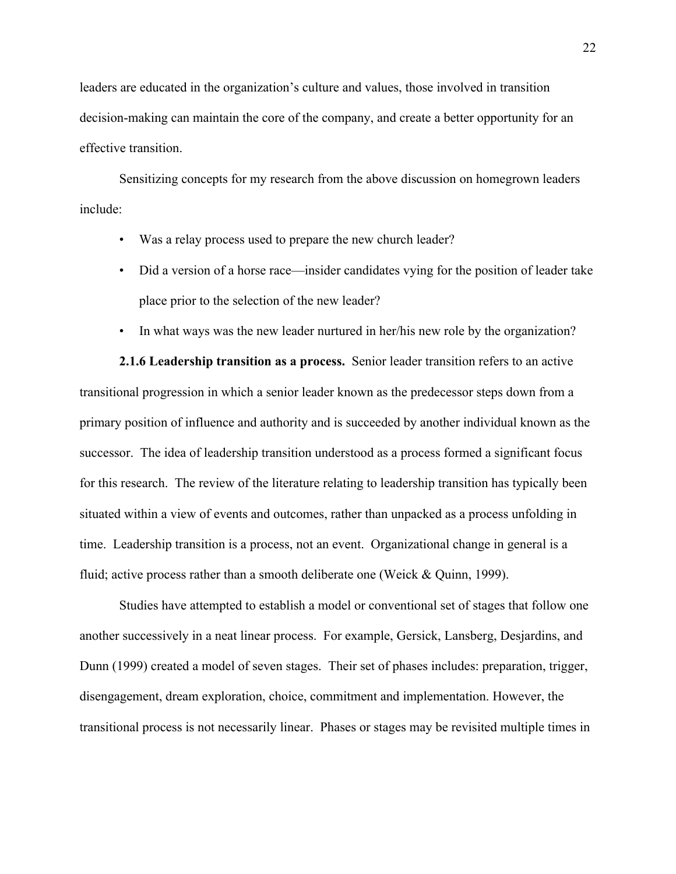leaders are educated in the organization's culture and values, those involved in transition decision-making can maintain the core of the company, and create a better opportunity for an effective transition.

Sensitizing concepts for my research from the above discussion on homegrown leaders include:

- Was a relay process used to prepare the new church leader?
- Did a version of a horse race—insider candidates vying for the position of leader take place prior to the selection of the new leader?
- In what ways was the new leader nurtured in her/his new role by the organization?

**2.1.6 Leadership transition as a process.** Senior leader transition refers to an active transitional progression in which a senior leader known as the predecessor steps down from a primary position of influence and authority and is succeeded by another individual known as the successor. The idea of leadership transition understood as a process formed a significant focus for this research. The review of the literature relating to leadership transition has typically been situated within a view of events and outcomes, rather than unpacked as a process unfolding in time. Leadership transition is a process, not an event. Organizational change in general is a fluid; active process rather than a smooth deliberate one (Weick & Quinn, 1999).

Studies have attempted to establish a model or conventional set of stages that follow one another successively in a neat linear process. For example, Gersick, Lansberg, Desjardins, and Dunn (1999) created a model of seven stages. Their set of phases includes: preparation, trigger, disengagement, dream exploration, choice, commitment and implementation. However, the transitional process is not necessarily linear. Phases or stages may be revisited multiple times in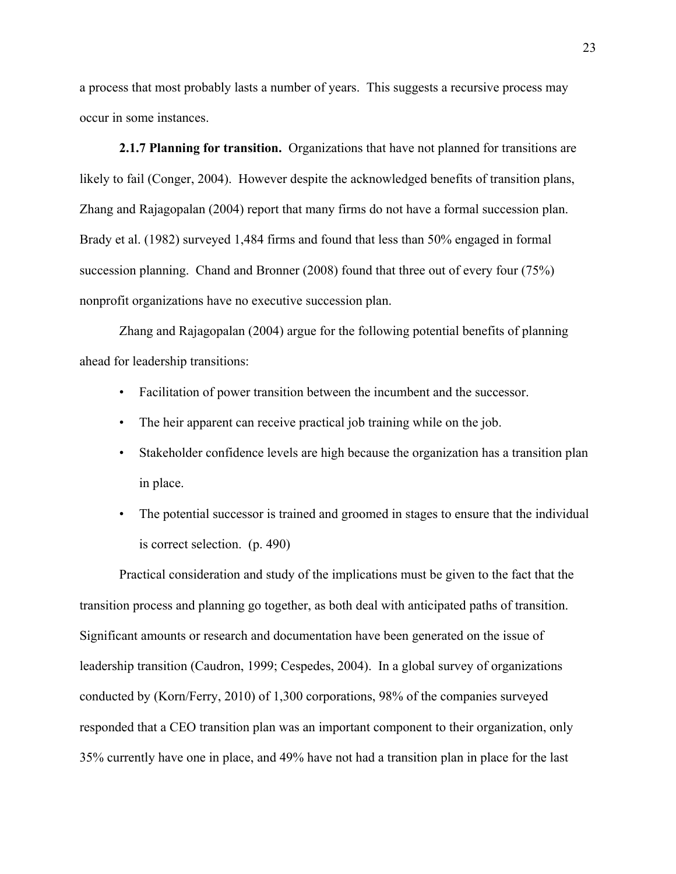a process that most probably lasts a number of years. This suggests a recursive process may occur in some instances.

**2.1.7 Planning for transition.** Organizations that have not planned for transitions are likely to fail (Conger, 2004). However despite the acknowledged benefits of transition plans, Zhang and Rajagopalan (2004) report that many firms do not have a formal succession plan. Brady et al. (1982) surveyed 1,484 firms and found that less than 50% engaged in formal succession planning. Chand and Bronner (2008) found that three out of every four (75%) nonprofit organizations have no executive succession plan.

Zhang and Rajagopalan (2004) argue for the following potential benefits of planning ahead for leadership transitions:

- Facilitation of power transition between the incumbent and the successor.
- The heir apparent can receive practical job training while on the job.
- Stakeholder confidence levels are high because the organization has a transition plan in place.
- The potential successor is trained and groomed in stages to ensure that the individual is correct selection. (p. 490)

Practical consideration and study of the implications must be given to the fact that the transition process and planning go together, as both deal with anticipated paths of transition. Significant amounts or research and documentation have been generated on the issue of leadership transition (Caudron, 1999; Cespedes, 2004). In a global survey of organizations conducted by (Korn/Ferry, 2010) of 1,300 corporations, 98% of the companies surveyed responded that a CEO transition plan was an important component to their organization, only 35% currently have one in place, and 49% have not had a transition plan in place for the last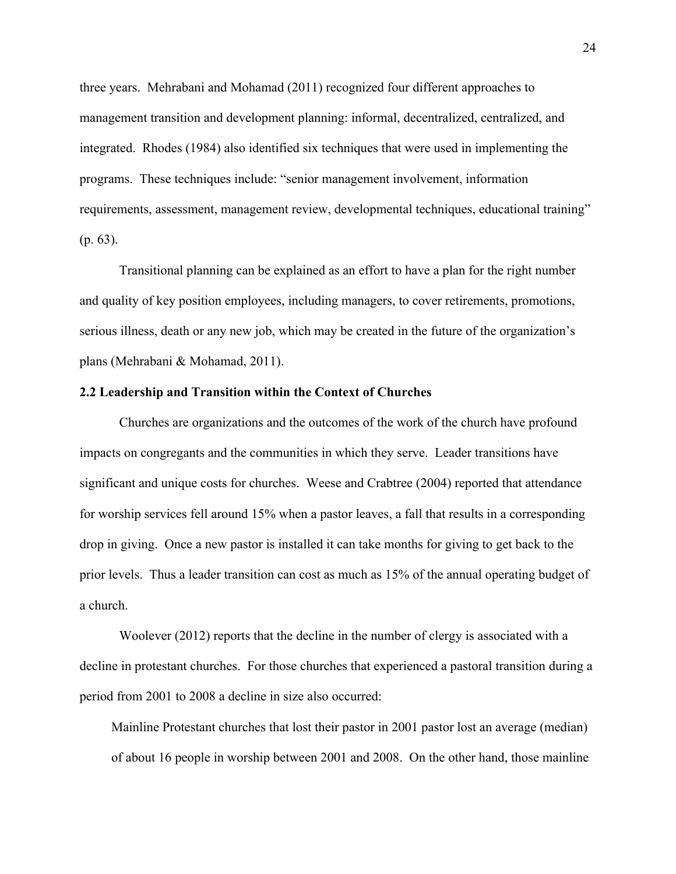three years. Mehrabani and Mohamad (2011) recognized four different approaches to management transition and development planning: informal, decentralized, centralized, and integrated. Rhodes (1984) also identified six techniques that were used in implementing the programs. These techniques include: "senior management involvement, information requirements, assessment, management review, developmental techniques, educational training" (p. 63).

Transitional planning can be explained as an effort to have a plan for the right number and quality of key position employees, including managers, to cover retirements, promotions, serious illness, death or any new job, which may be created in the future of the organization's plans (Mehrabani & Mohamad, 2011).

# **2.2 Leadership and Transition within the Context of Churches**

Churches are organizations and the outcomes of the work of the church have profound impacts on congregants and the communities in which they serve. Leader transitions have significant and unique costs for churches. Weese and Crabtree (2004) reported that attendance for worship services fell around 15% when a pastor leaves, a fall that results in a corresponding drop in giving. Once a new pastor is installed it can take months for giving to get back to the prior levels. Thus a leader transition can cost as much as 15% of the annual operating budget of a church.

Woolever (2012) reports that the decline in the number of clergy is associated with a decline in protestant churches. For those churches that experienced a pastoral transition during a period from 2001 to 2008 a decline in size also occurred:

Mainline Protestant churches that lost their pastor in 2001 pastor lost an average (median) of about 16 people in worship between 2001 and 2008. On the other hand, those mainline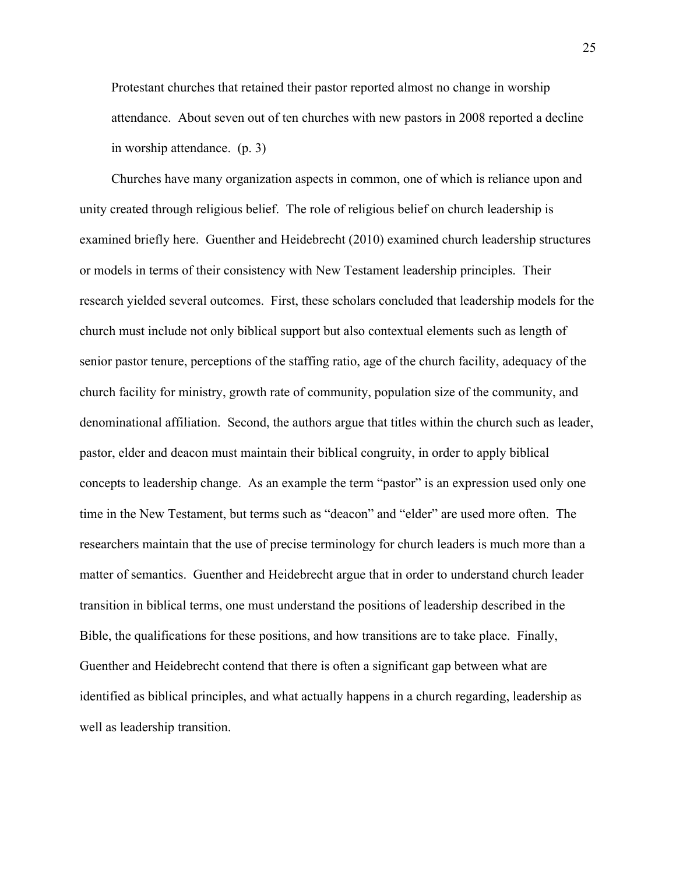Protestant churches that retained their pastor reported almost no change in worship attendance. About seven out of ten churches with new pastors in 2008 reported a decline in worship attendance. (p. 3)

Churches have many organization aspects in common, one of which is reliance upon and unity created through religious belief. The role of religious belief on church leadership is examined briefly here. Guenther and Heidebrecht (2010) examined church leadership structures or models in terms of their consistency with New Testament leadership principles. Their research yielded several outcomes. First, these scholars concluded that leadership models for the church must include not only biblical support but also contextual elements such as length of senior pastor tenure, perceptions of the staffing ratio, age of the church facility, adequacy of the church facility for ministry, growth rate of community, population size of the community, and denominational affiliation. Second, the authors argue that titles within the church such as leader, pastor, elder and deacon must maintain their biblical congruity, in order to apply biblical concepts to leadership change. As an example the term "pastor" is an expression used only one time in the New Testament, but terms such as "deacon" and "elder" are used more often. The researchers maintain that the use of precise terminology for church leaders is much more than a matter of semantics. Guenther and Heidebrecht argue that in order to understand church leader transition in biblical terms, one must understand the positions of leadership described in the Bible, the qualifications for these positions, and how transitions are to take place. Finally, Guenther and Heidebrecht contend that there is often a significant gap between what are identified as biblical principles, and what actually happens in a church regarding, leadership as well as leadership transition.

25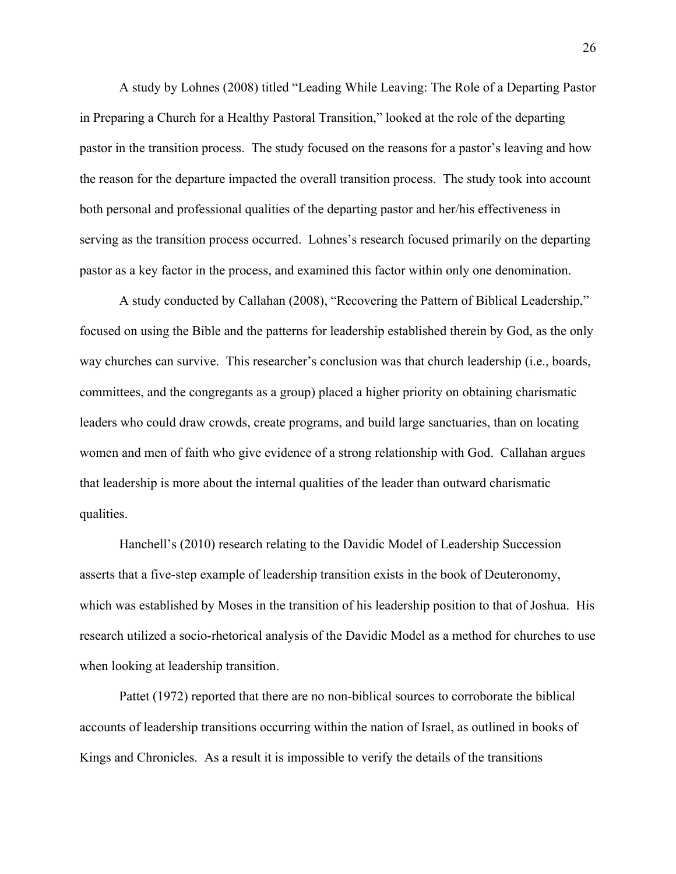A study by Lohnes (2008) titled "Leading While Leaving: The Role of a Departing Pastor in Preparing a Church for a Healthy Pastoral Transition," looked at the role of the departing pastor in the transition process. The study focused on the reasons for a pastor's leaving and how the reason for the departure impacted the overall transition process. The study took into account both personal and professional qualities of the departing pastor and her/his effectiveness in serving as the transition process occurred. Lohnes's research focused primarily on the departing pastor as a key factor in the process, and examined this factor within only one denomination.

A study conducted by Callahan (2008), "Recovering the Pattern of Biblical Leadership," focused on using the Bible and the patterns for leadership established therein by God, as the only way churches can survive. This researcher's conclusion was that church leadership (i.e., boards, committees, and the congregants as a group) placed a higher priority on obtaining charismatic leaders who could draw crowds, create programs, and build large sanctuaries, than on locating women and men of faith who give evidence of a strong relationship with God. Callahan argues that leadership is more about the internal qualities of the leader than outward charismatic qualities.

Hanchell's (2010) research relating to the Davidic Model of Leadership Succession asserts that a five-step example of leadership transition exists in the book of Deuteronomy, which was established by Moses in the transition of his leadership position to that of Joshua. His research utilized a socio-rhetorical analysis of the Davidic Model as a method for churches to use when looking at leadership transition.

Pattet (1972) reported that there are no non-biblical sources to corroborate the biblical accounts of leadership transitions occurring within the nation of Israel, as outlined in books of Kings and Chronicles. As a result it is impossible to verify the details of the transitions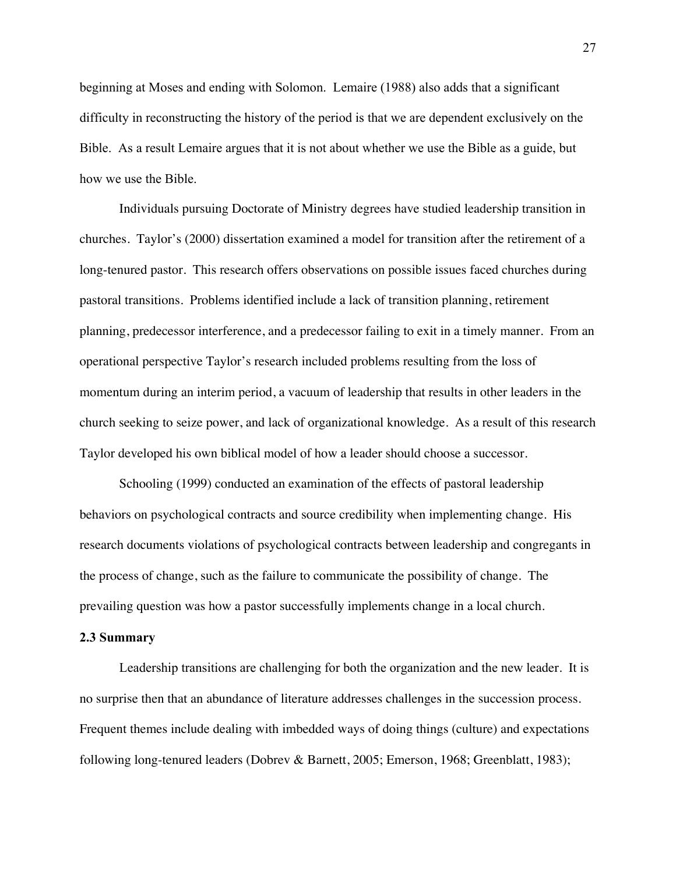beginning at Moses and ending with Solomon. Lemaire (1988) also adds that a significant difficulty in reconstructing the history of the period is that we are dependent exclusively on the Bible. As a result Lemaire argues that it is not about whether we use the Bible as a guide, but how we use the Bible.

Individuals pursuing Doctorate of Ministry degrees have studied leadership transition in churches. Taylor's (2000) dissertation examined a model for transition after the retirement of a long-tenured pastor. This research offers observations on possible issues faced churches during pastoral transitions. Problems identified include a lack of transition planning, retirement planning, predecessor interference, and a predecessor failing to exit in a timely manner. From an operational perspective Taylor's research included problems resulting from the loss of momentum during an interim period, a vacuum of leadership that results in other leaders in the church seeking to seize power, and lack of organizational knowledge. As a result of this research Taylor developed his own biblical model of how a leader should choose a successor.

Schooling (1999) conducted an examination of the effects of pastoral leadership behaviors on psychological contracts and source credibility when implementing change. His research documents violations of psychological contracts between leadership and congregants in the process of change, such as the failure to communicate the possibility of change. The prevailing question was how a pastor successfully implements change in a local church.

#### **2.3 Summary**

Leadership transitions are challenging for both the organization and the new leader. It is no surprise then that an abundance of literature addresses challenges in the succession process. Frequent themes include dealing with imbedded ways of doing things (culture) and expectations following long-tenured leaders (Dobrev & Barnett, 2005; Emerson, 1968; Greenblatt, 1983);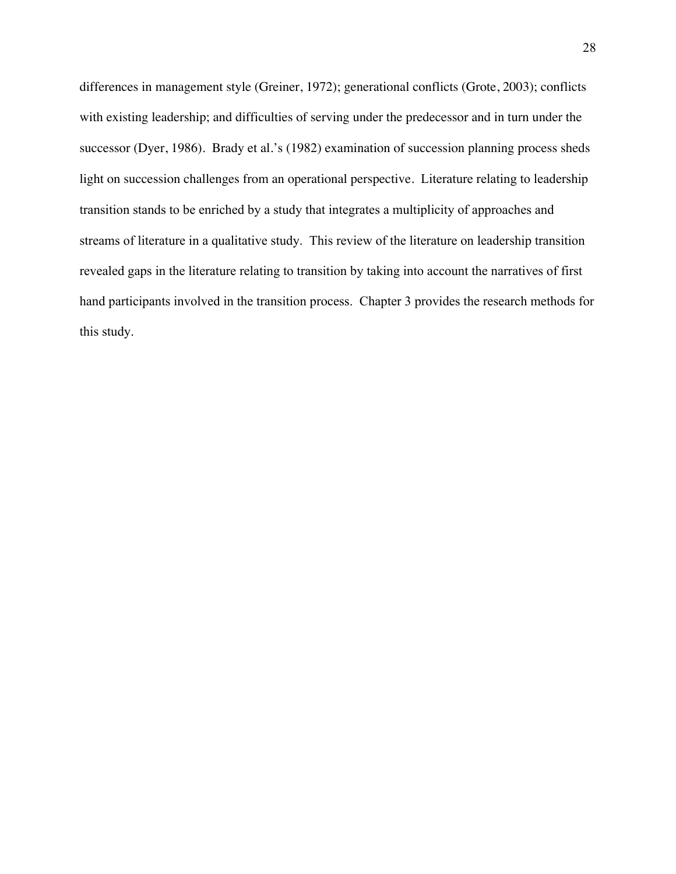differences in management style (Greiner, 1972); generational conflicts (Grote, 2003); conflicts with existing leadership; and difficulties of serving under the predecessor and in turn under the successor (Dyer, 1986). Brady et al.'s (1982) examination of succession planning process sheds light on succession challenges from an operational perspective. Literature relating to leadership transition stands to be enriched by a study that integrates a multiplicity of approaches and streams of literature in a qualitative study. This review of the literature on leadership transition revealed gaps in the literature relating to transition by taking into account the narratives of first hand participants involved in the transition process. Chapter 3 provides the research methods for this study.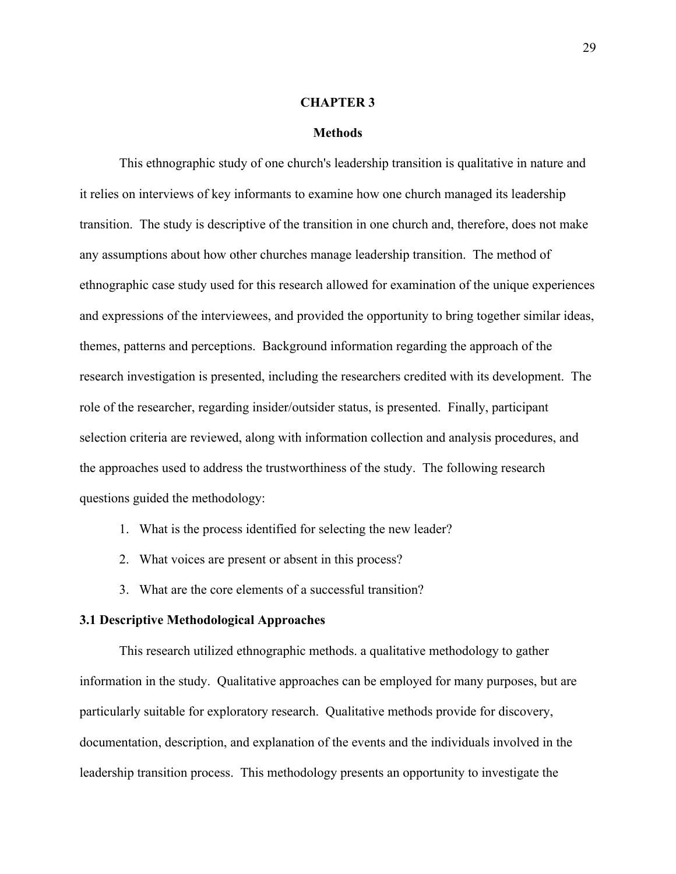### **CHAPTER 3**

### **Methods**

This ethnographic study of one church's leadership transition is qualitative in nature and it relies on interviews of key informants to examine how one church managed its leadership transition. The study is descriptive of the transition in one church and, therefore, does not make any assumptions about how other churches manage leadership transition. The method of ethnographic case study used for this research allowed for examination of the unique experiences and expressions of the interviewees, and provided the opportunity to bring together similar ideas, themes, patterns and perceptions. Background information regarding the approach of the research investigation is presented, including the researchers credited with its development. The role of the researcher, regarding insider/outsider status, is presented. Finally, participant selection criteria are reviewed, along with information collection and analysis procedures, and the approaches used to address the trustworthiness of the study. The following research questions guided the methodology:

- 1. What is the process identified for selecting the new leader?
- 2. What voices are present or absent in this process?
- 3. What are the core elements of a successful transition?

# **3.1 Descriptive Methodological Approaches**

This research utilized ethnographic methods. a qualitative methodology to gather information in the study. Qualitative approaches can be employed for many purposes, but are particularly suitable for exploratory research. Qualitative methods provide for discovery, documentation, description, and explanation of the events and the individuals involved in the leadership transition process. This methodology presents an opportunity to investigate the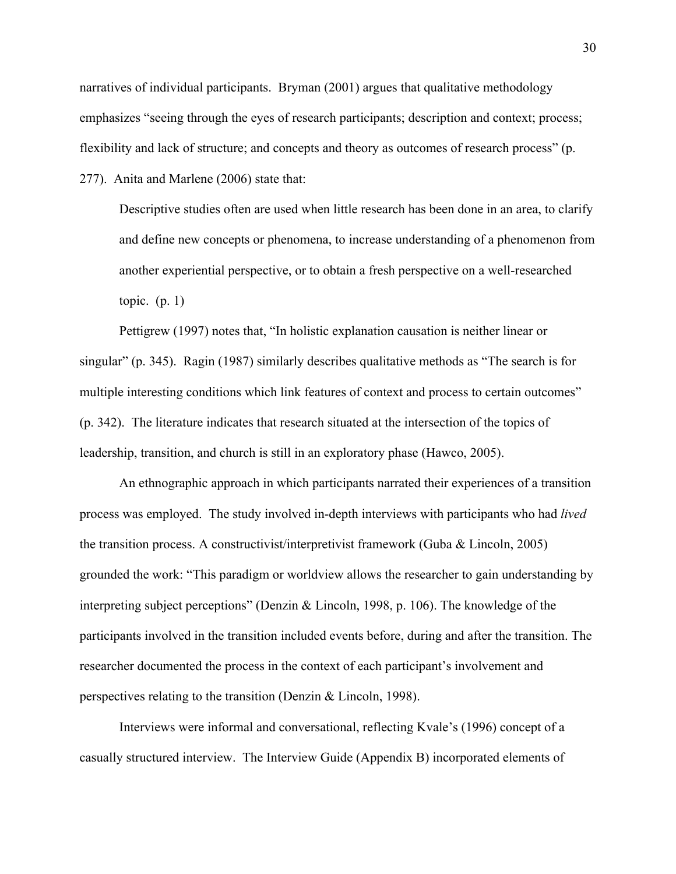narratives of individual participants. Bryman (2001) argues that qualitative methodology emphasizes "seeing through the eyes of research participants; description and context; process; flexibility and lack of structure; and concepts and theory as outcomes of research process" (p.

277). Anita and Marlene (2006) state that:

Descriptive studies often are used when little research has been done in an area, to clarify and define new concepts or phenomena, to increase understanding of a phenomenon from another experiential perspective, or to obtain a fresh perspective on a well-researched topic. (p. 1)

Pettigrew (1997) notes that, "In holistic explanation causation is neither linear or singular" (p. 345). Ragin (1987) similarly describes qualitative methods as "The search is for multiple interesting conditions which link features of context and process to certain outcomes" (p. 342). The literature indicates that research situated at the intersection of the topics of leadership, transition, and church is still in an exploratory phase (Hawco, 2005).

An ethnographic approach in which participants narrated their experiences of a transition process was employed. The study involved in-depth interviews with participants who had *lived* the transition process. A constructivist/interpretivist framework (Guba & Lincoln, 2005) grounded the work: "This paradigm or worldview allows the researcher to gain understanding by interpreting subject perceptions" (Denzin & Lincoln, 1998, p. 106). The knowledge of the participants involved in the transition included events before, during and after the transition. The researcher documented the process in the context of each participant's involvement and perspectives relating to the transition (Denzin & Lincoln, 1998).

Interviews were informal and conversational, reflecting Kvale's (1996) concept of a casually structured interview. The Interview Guide (Appendix B) incorporated elements of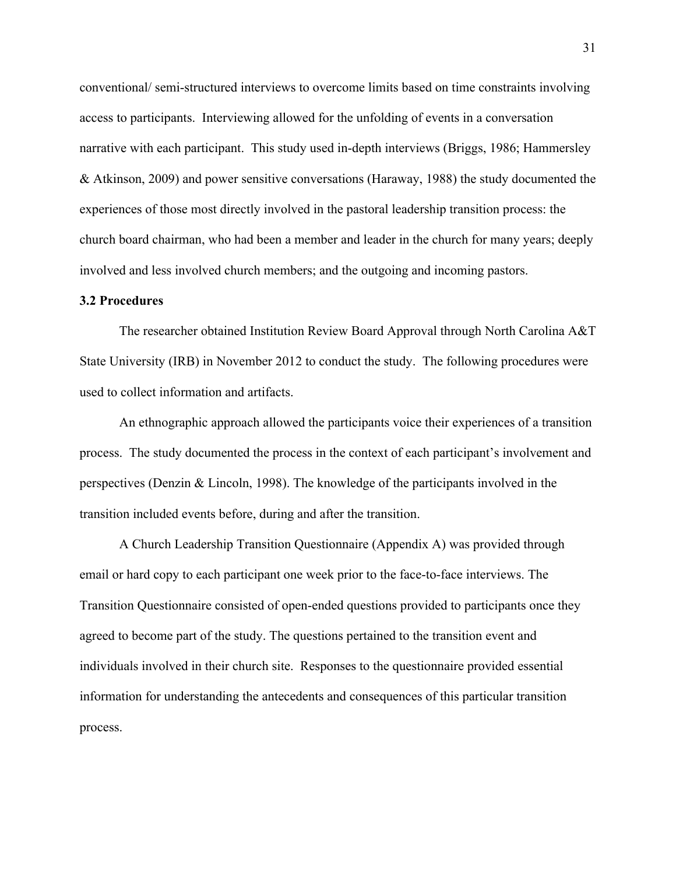conventional/ semi-structured interviews to overcome limits based on time constraints involving access to participants. Interviewing allowed for the unfolding of events in a conversation narrative with each participant. This study used in-depth interviews (Briggs, 1986; Hammersley & Atkinson, 2009) and power sensitive conversations (Haraway, 1988) the study documented the experiences of those most directly involved in the pastoral leadership transition process: the church board chairman, who had been a member and leader in the church for many years; deeply involved and less involved church members; and the outgoing and incoming pastors.

### **3.2 Procedures**

The researcher obtained Institution Review Board Approval through North Carolina A&T State University (IRB) in November 2012 to conduct the study. The following procedures were used to collect information and artifacts.

An ethnographic approach allowed the participants voice their experiences of a transition process. The study documented the process in the context of each participant's involvement and perspectives (Denzin & Lincoln, 1998). The knowledge of the participants involved in the transition included events before, during and after the transition.

A Church Leadership Transition Questionnaire (Appendix A) was provided through email or hard copy to each participant one week prior to the face-to-face interviews. The Transition Questionnaire consisted of open-ended questions provided to participants once they agreed to become part of the study. The questions pertained to the transition event and individuals involved in their church site. Responses to the questionnaire provided essential information for understanding the antecedents and consequences of this particular transition process.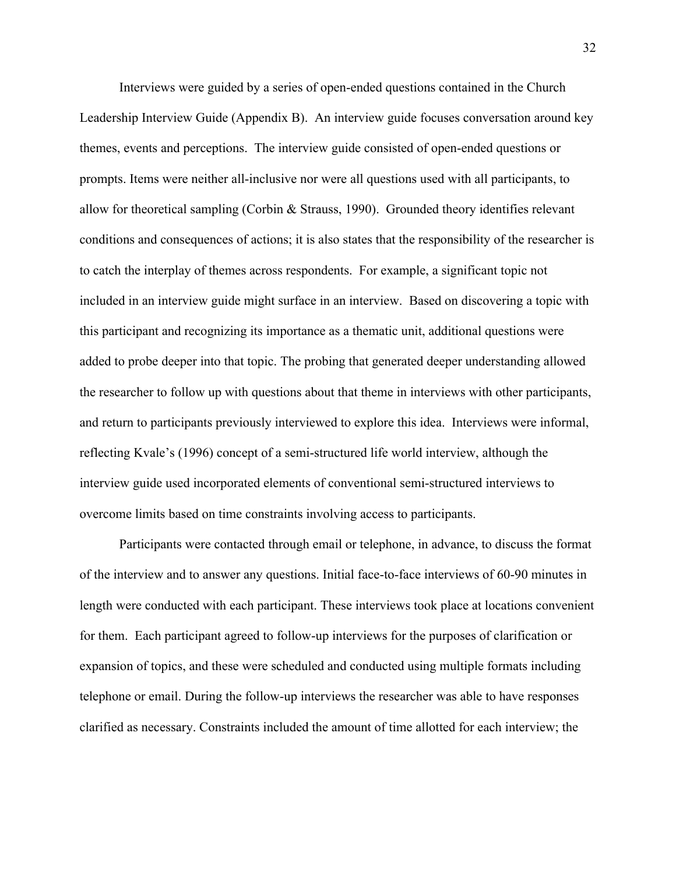Interviews were guided by a series of open-ended questions contained in the Church Leadership Interview Guide (Appendix B). An interview guide focuses conversation around key themes, events and perceptions. The interview guide consisted of open-ended questions or prompts. Items were neither all-inclusive nor were all questions used with all participants, to allow for theoretical sampling (Corbin & Strauss, 1990). Grounded theory identifies relevant conditions and consequences of actions; it is also states that the responsibility of the researcher is to catch the interplay of themes across respondents. For example, a significant topic not included in an interview guide might surface in an interview. Based on discovering a topic with this participant and recognizing its importance as a thematic unit, additional questions were added to probe deeper into that topic. The probing that generated deeper understanding allowed the researcher to follow up with questions about that theme in interviews with other participants, and return to participants previously interviewed to explore this idea. Interviews were informal, reflecting Kvale's (1996) concept of a semi-structured life world interview, although the interview guide used incorporated elements of conventional semi-structured interviews to overcome limits based on time constraints involving access to participants.

Participants were contacted through email or telephone, in advance, to discuss the format of the interview and to answer any questions. Initial face-to-face interviews of 60-90 minutes in length were conducted with each participant. These interviews took place at locations convenient for them. Each participant agreed to follow-up interviews for the purposes of clarification or expansion of topics, and these were scheduled and conducted using multiple formats including telephone or email. During the follow-up interviews the researcher was able to have responses clarified as necessary. Constraints included the amount of time allotted for each interview; the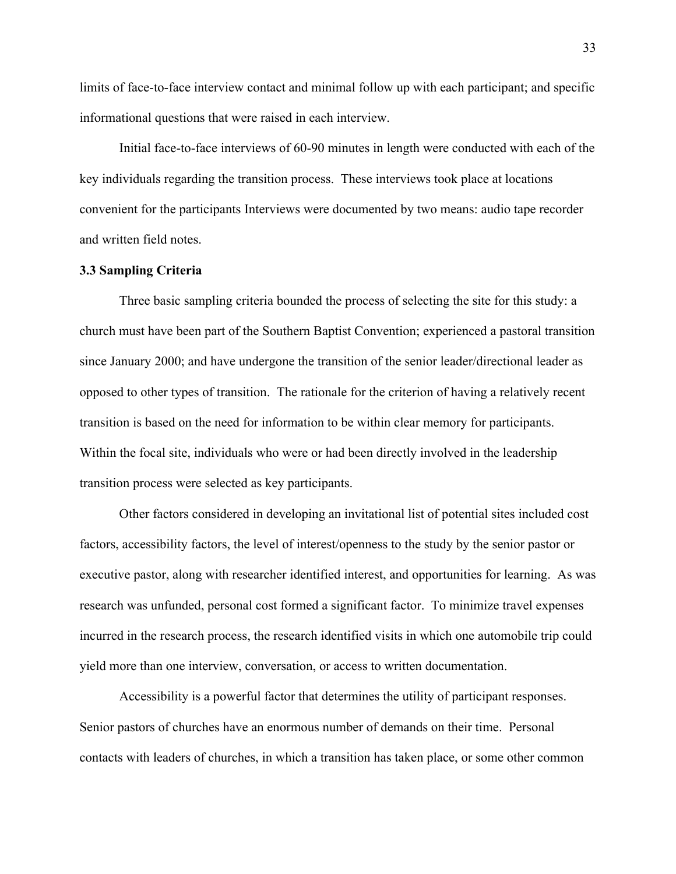limits of face-to-face interview contact and minimal follow up with each participant; and specific informational questions that were raised in each interview.

Initial face-to-face interviews of 60-90 minutes in length were conducted with each of the key individuals regarding the transition process. These interviews took place at locations convenient for the participants Interviews were documented by two means: audio tape recorder and written field notes.

## **3.3 Sampling Criteria**

Three basic sampling criteria bounded the process of selecting the site for this study: a church must have been part of the Southern Baptist Convention; experienced a pastoral transition since January 2000; and have undergone the transition of the senior leader/directional leader as opposed to other types of transition. The rationale for the criterion of having a relatively recent transition is based on the need for information to be within clear memory for participants. Within the focal site, individuals who were or had been directly involved in the leadership transition process were selected as key participants.

Other factors considered in developing an invitational list of potential sites included cost factors, accessibility factors, the level of interest/openness to the study by the senior pastor or executive pastor, along with researcher identified interest, and opportunities for learning. As was research was unfunded, personal cost formed a significant factor. To minimize travel expenses incurred in the research process, the research identified visits in which one automobile trip could yield more than one interview, conversation, or access to written documentation.

Accessibility is a powerful factor that determines the utility of participant responses. Senior pastors of churches have an enormous number of demands on their time. Personal contacts with leaders of churches, in which a transition has taken place, or some other common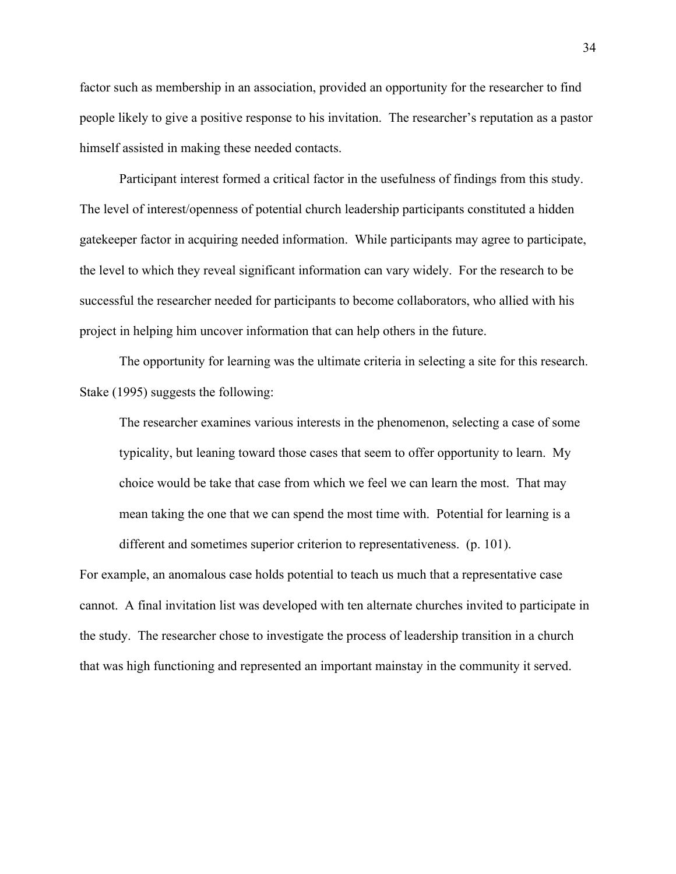factor such as membership in an association, provided an opportunity for the researcher to find people likely to give a positive response to his invitation. The researcher's reputation as a pastor himself assisted in making these needed contacts.

Participant interest formed a critical factor in the usefulness of findings from this study. The level of interest/openness of potential church leadership participants constituted a hidden gatekeeper factor in acquiring needed information. While participants may agree to participate, the level to which they reveal significant information can vary widely. For the research to be successful the researcher needed for participants to become collaborators, who allied with his project in helping him uncover information that can help others in the future.

The opportunity for learning was the ultimate criteria in selecting a site for this research. Stake (1995) suggests the following:

The researcher examines various interests in the phenomenon, selecting a case of some typicality, but leaning toward those cases that seem to offer opportunity to learn. My choice would be take that case from which we feel we can learn the most. That may mean taking the one that we can spend the most time with. Potential for learning is a different and sometimes superior criterion to representativeness. (p. 101).

For example, an anomalous case holds potential to teach us much that a representative case cannot. A final invitation list was developed with ten alternate churches invited to participate in the study. The researcher chose to investigate the process of leadership transition in a church that was high functioning and represented an important mainstay in the community it served.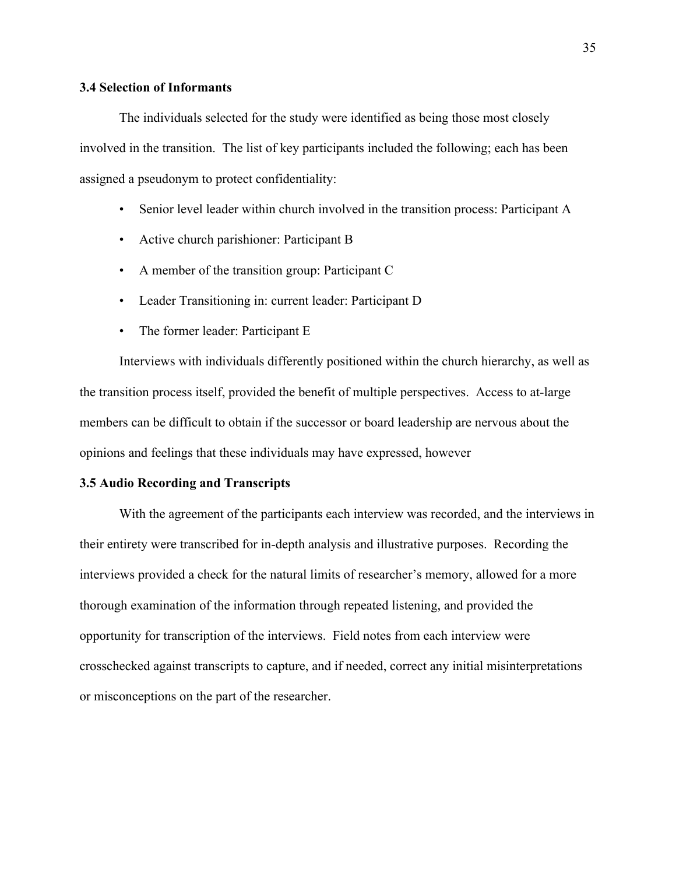# **3.4 Selection of Informants**

The individuals selected for the study were identified as being those most closely involved in the transition. The list of key participants included the following; each has been assigned a pseudonym to protect confidentiality:

- Senior level leader within church involved in the transition process: Participant A
- Active church parishioner: Participant B
- A member of the transition group: Participant C
- Leader Transitioning in: current leader: Participant D
- The former leader: Participant E

Interviews with individuals differently positioned within the church hierarchy, as well as the transition process itself, provided the benefit of multiple perspectives. Access to at-large members can be difficult to obtain if the successor or board leadership are nervous about the opinions and feelings that these individuals may have expressed, however

#### **3.5 Audio Recording and Transcripts**

With the agreement of the participants each interview was recorded, and the interviews in their entirety were transcribed for in-depth analysis and illustrative purposes. Recording the interviews provided a check for the natural limits of researcher's memory, allowed for a more thorough examination of the information through repeated listening, and provided the opportunity for transcription of the interviews. Field notes from each interview were crosschecked against transcripts to capture, and if needed, correct any initial misinterpretations or misconceptions on the part of the researcher.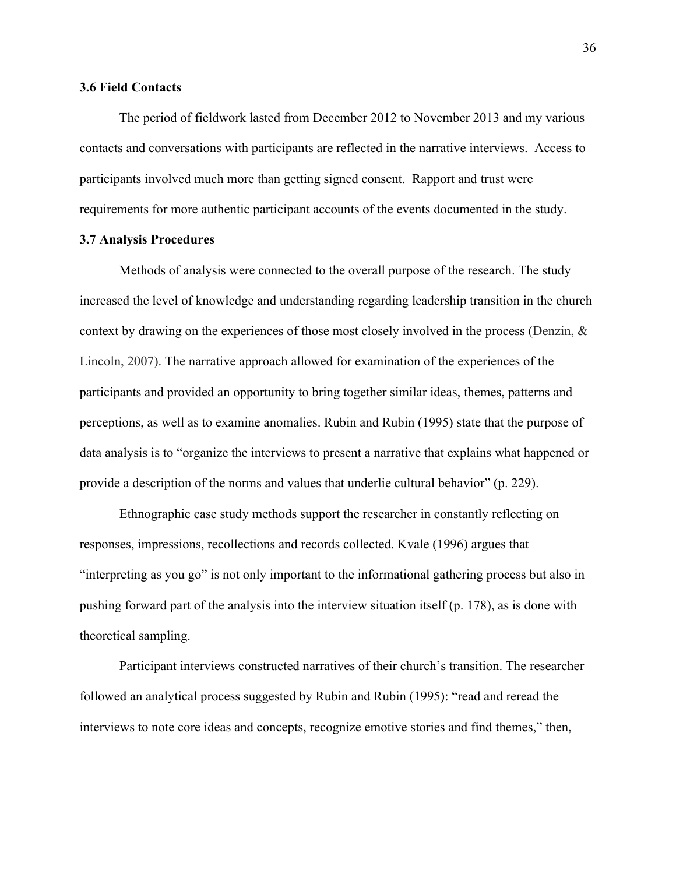### **3.6 Field Contacts**

The period of fieldwork lasted from December 2012 to November 2013 and my various contacts and conversations with participants are reflected in the narrative interviews. Access to participants involved much more than getting signed consent. Rapport and trust were requirements for more authentic participant accounts of the events documented in the study.

### **3.7 Analysis Procedures**

Methods of analysis were connected to the overall purpose of the research. The study increased the level of knowledge and understanding regarding leadership transition in the church context by drawing on the experiences of those most closely involved in the process (Denzin, & Lincoln, 2007). The narrative approach allowed for examination of the experiences of the participants and provided an opportunity to bring together similar ideas, themes, patterns and perceptions, as well as to examine anomalies. Rubin and Rubin (1995) state that the purpose of data analysis is to "organize the interviews to present a narrative that explains what happened or provide a description of the norms and values that underlie cultural behavior" (p. 229).

Ethnographic case study methods support the researcher in constantly reflecting on responses, impressions, recollections and records collected. Kvale (1996) argues that "interpreting as you go" is not only important to the informational gathering process but also in pushing forward part of the analysis into the interview situation itself (p. 178), as is done with theoretical sampling.

Participant interviews constructed narratives of their church's transition. The researcher followed an analytical process suggested by Rubin and Rubin (1995): "read and reread the interviews to note core ideas and concepts, recognize emotive stories and find themes," then,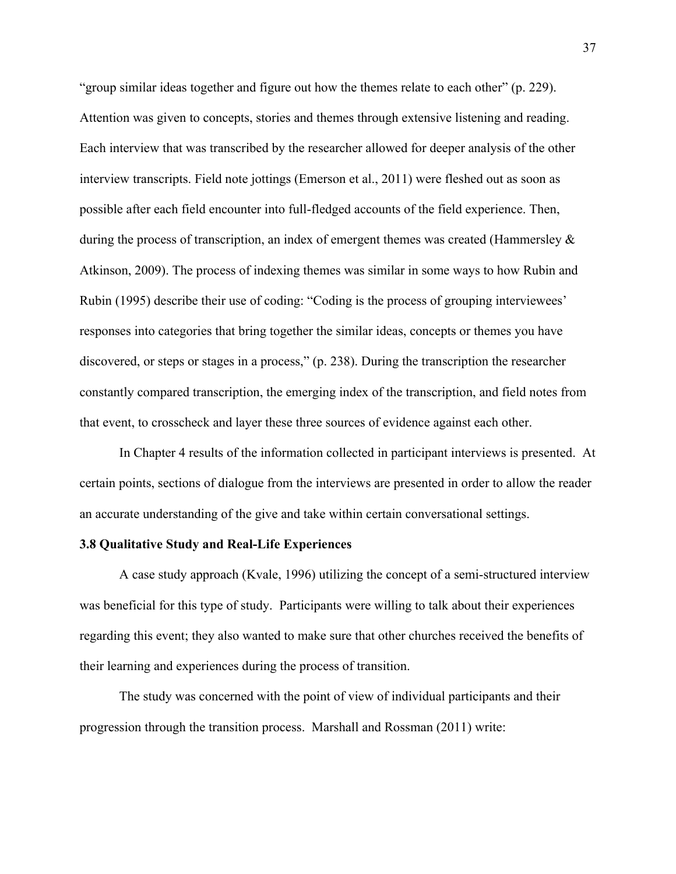"group similar ideas together and figure out how the themes relate to each other" (p. 229). Attention was given to concepts, stories and themes through extensive listening and reading. Each interview that was transcribed by the researcher allowed for deeper analysis of the other interview transcripts. Field note jottings (Emerson et al., 2011) were fleshed out as soon as possible after each field encounter into full-fledged accounts of the field experience. Then, during the process of transcription, an index of emergent themes was created (Hammersley  $\&$ Atkinson, 2009). The process of indexing themes was similar in some ways to how Rubin and Rubin (1995) describe their use of coding: "Coding is the process of grouping interviewees' responses into categories that bring together the similar ideas, concepts or themes you have discovered, or steps or stages in a process," (p. 238). During the transcription the researcher constantly compared transcription, the emerging index of the transcription, and field notes from that event, to crosscheck and layer these three sources of evidence against each other.

In Chapter 4 results of the information collected in participant interviews is presented. At certain points, sections of dialogue from the interviews are presented in order to allow the reader an accurate understanding of the give and take within certain conversational settings.

### **3.8 Qualitative Study and Real-Life Experiences**

A case study approach (Kvale, 1996) utilizing the concept of a semi-structured interview was beneficial for this type of study. Participants were willing to talk about their experiences regarding this event; they also wanted to make sure that other churches received the benefits of their learning and experiences during the process of transition.

The study was concerned with the point of view of individual participants and their progression through the transition process. Marshall and Rossman (2011) write: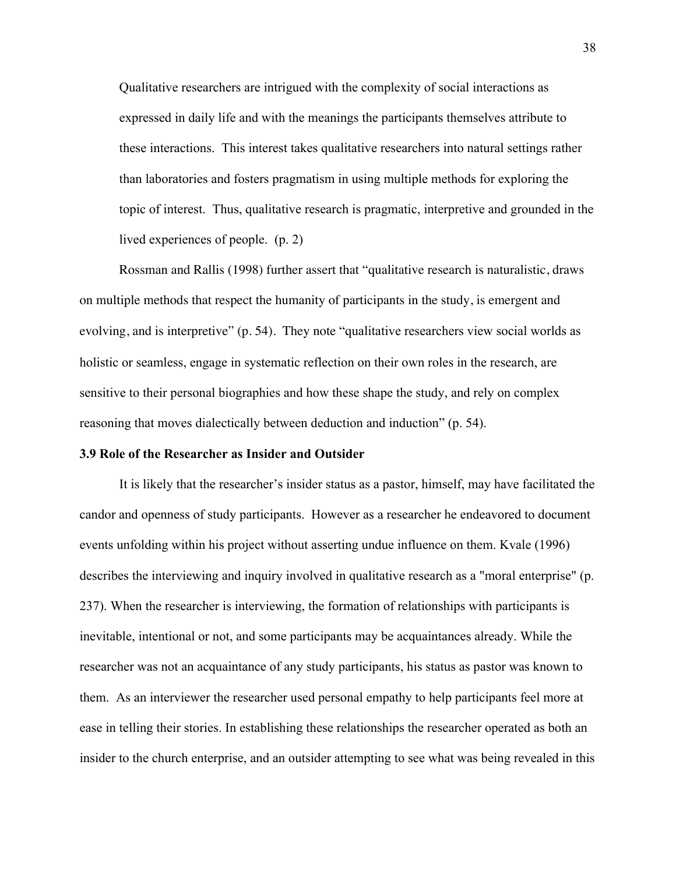Qualitative researchers are intrigued with the complexity of social interactions as expressed in daily life and with the meanings the participants themselves attribute to these interactions. This interest takes qualitative researchers into natural settings rather than laboratories and fosters pragmatism in using multiple methods for exploring the topic of interest. Thus, qualitative research is pragmatic, interpretive and grounded in the lived experiences of people. (p. 2)

Rossman and Rallis (1998) further assert that "qualitative research is naturalistic, draws on multiple methods that respect the humanity of participants in the study, is emergent and evolving, and is interpretive" (p. 54). They note "qualitative researchers view social worlds as holistic or seamless, engage in systematic reflection on their own roles in the research, are sensitive to their personal biographies and how these shape the study, and rely on complex reasoning that moves dialectically between deduction and induction" (p. 54).

### **3.9 Role of the Researcher as Insider and Outsider**

It is likely that the researcher's insider status as a pastor, himself, may have facilitated the candor and openness of study participants. However as a researcher he endeavored to document events unfolding within his project without asserting undue influence on them. Kvale (1996) describes the interviewing and inquiry involved in qualitative research as a "moral enterprise" (p. 237). When the researcher is interviewing, the formation of relationships with participants is inevitable, intentional or not, and some participants may be acquaintances already. While the researcher was not an acquaintance of any study participants, his status as pastor was known to them. As an interviewer the researcher used personal empathy to help participants feel more at ease in telling their stories. In establishing these relationships the researcher operated as both an insider to the church enterprise, and an outsider attempting to see what was being revealed in this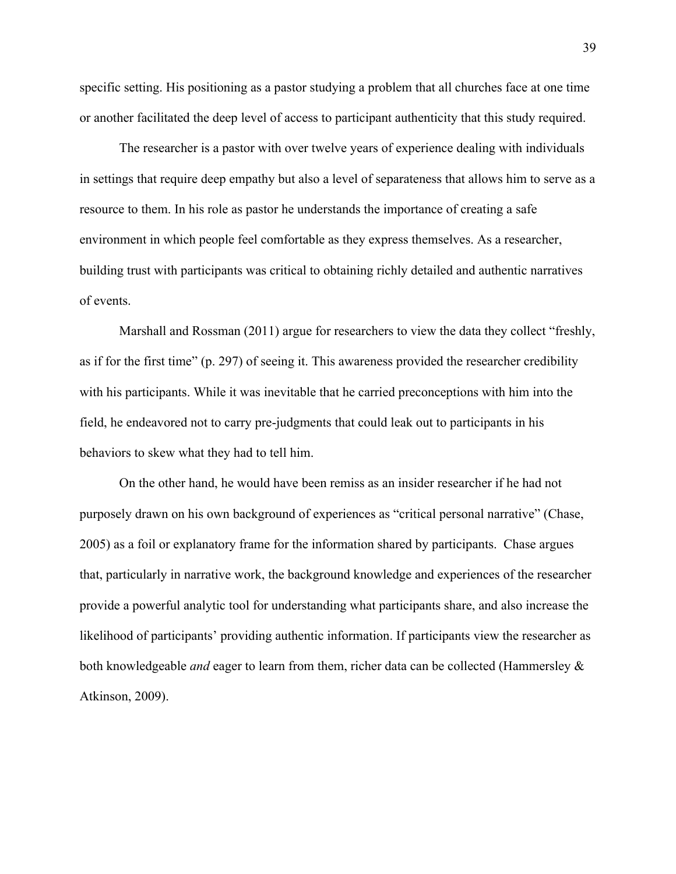specific setting. His positioning as a pastor studying a problem that all churches face at one time or another facilitated the deep level of access to participant authenticity that this study required.

The researcher is a pastor with over twelve years of experience dealing with individuals in settings that require deep empathy but also a level of separateness that allows him to serve as a resource to them. In his role as pastor he understands the importance of creating a safe environment in which people feel comfortable as they express themselves. As a researcher, building trust with participants was critical to obtaining richly detailed and authentic narratives of events.

Marshall and Rossman (2011) argue for researchers to view the data they collect "freshly, as if for the first time" (p. 297) of seeing it. This awareness provided the researcher credibility with his participants. While it was inevitable that he carried preconceptions with him into the field, he endeavored not to carry pre-judgments that could leak out to participants in his behaviors to skew what they had to tell him.

On the other hand, he would have been remiss as an insider researcher if he had not purposely drawn on his own background of experiences as "critical personal narrative" (Chase, 2005) as a foil or explanatory frame for the information shared by participants. Chase argues that, particularly in narrative work, the background knowledge and experiences of the researcher provide a powerful analytic tool for understanding what participants share, and also increase the likelihood of participants' providing authentic information. If participants view the researcher as both knowledgeable *and* eager to learn from them, richer data can be collected (Hammersley & Atkinson, 2009).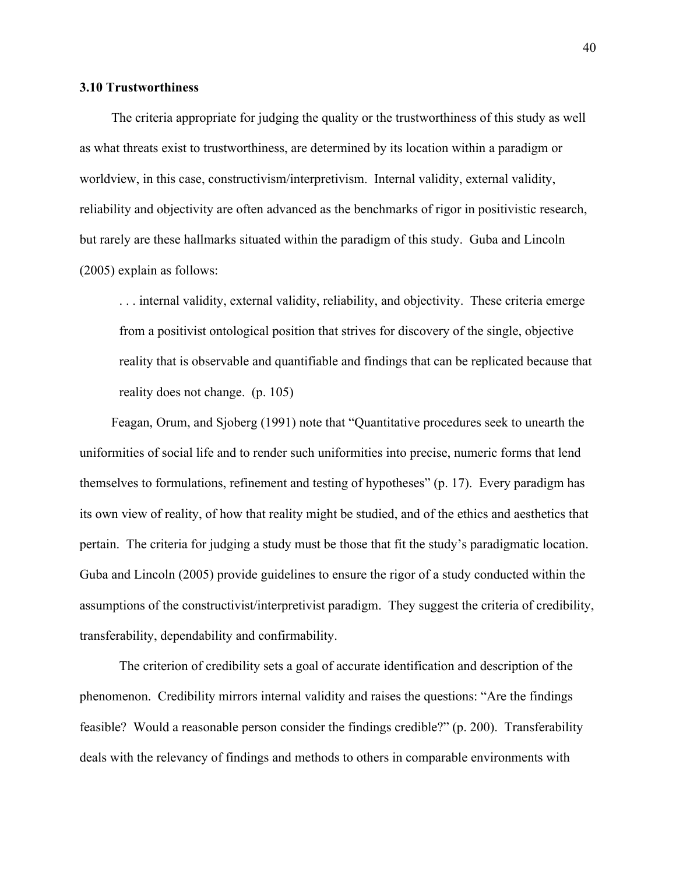### **3.10 Trustworthiness**

The criteria appropriate for judging the quality or the trustworthiness of this study as well as what threats exist to trustworthiness, are determined by its location within a paradigm or worldview, in this case, constructivism/interpretivism. Internal validity, external validity, reliability and objectivity are often advanced as the benchmarks of rigor in positivistic research, but rarely are these hallmarks situated within the paradigm of this study. Guba and Lincoln (2005) explain as follows:

. . . internal validity, external validity, reliability, and objectivity. These criteria emerge from a positivist ontological position that strives for discovery of the single, objective reality that is observable and quantifiable and findings that can be replicated because that reality does not change. (p. 105)

Feagan, Orum, and Sjoberg (1991) note that "Quantitative procedures seek to unearth the uniformities of social life and to render such uniformities into precise, numeric forms that lend themselves to formulations, refinement and testing of hypotheses" (p. 17). Every paradigm has its own view of reality, of how that reality might be studied, and of the ethics and aesthetics that pertain. The criteria for judging a study must be those that fit the study's paradigmatic location. Guba and Lincoln (2005) provide guidelines to ensure the rigor of a study conducted within the assumptions of the constructivist/interpretivist paradigm. They suggest the criteria of credibility, transferability, dependability and confirmability.

The criterion of credibility sets a goal of accurate identification and description of the phenomenon. Credibility mirrors internal validity and raises the questions: "Are the findings feasible? Would a reasonable person consider the findings credible?" (p. 200). Transferability deals with the relevancy of findings and methods to others in comparable environments with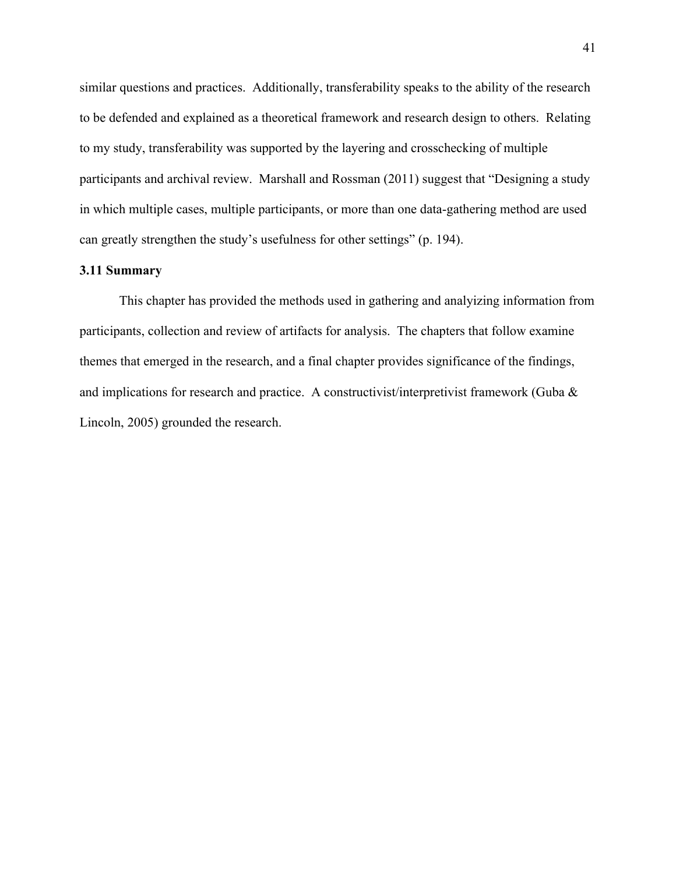similar questions and practices. Additionally, transferability speaks to the ability of the research to be defended and explained as a theoretical framework and research design to others. Relating to my study, transferability was supported by the layering and crosschecking of multiple participants and archival review. Marshall and Rossman (2011) suggest that "Designing a study in which multiple cases, multiple participants, or more than one data-gathering method are used can greatly strengthen the study's usefulness for other settings" (p. 194).

# **3.11 Summary**

This chapter has provided the methods used in gathering and analyizing information from participants, collection and review of artifacts for analysis. The chapters that follow examine themes that emerged in the research, and a final chapter provides significance of the findings, and implications for research and practice. A constructivist/interpretivist framework (Guba & Lincoln, 2005) grounded the research.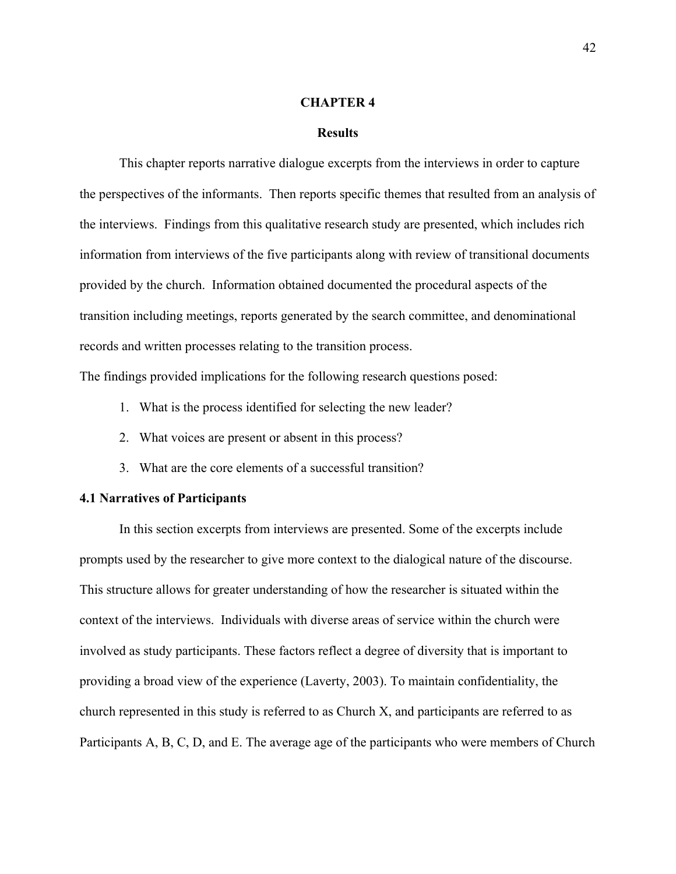#### **CHAPTER 4**

### **Results**

This chapter reports narrative dialogue excerpts from the interviews in order to capture the perspectives of the informants. Then reports specific themes that resulted from an analysis of the interviews. Findings from this qualitative research study are presented, which includes rich information from interviews of the five participants along with review of transitional documents provided by the church. Information obtained documented the procedural aspects of the transition including meetings, reports generated by the search committee, and denominational records and written processes relating to the transition process.

The findings provided implications for the following research questions posed:

- 1. What is the process identified for selecting the new leader?
- 2. What voices are present or absent in this process?
- 3. What are the core elements of a successful transition?

# **4.1 Narratives of Participants**

In this section excerpts from interviews are presented. Some of the excerpts include prompts used by the researcher to give more context to the dialogical nature of the discourse. This structure allows for greater understanding of how the researcher is situated within the context of the interviews. Individuals with diverse areas of service within the church were involved as study participants. These factors reflect a degree of diversity that is important to providing a broad view of the experience (Laverty, 2003). To maintain confidentiality, the church represented in this study is referred to as Church X, and participants are referred to as Participants A, B, C, D, and E. The average age of the participants who were members of Church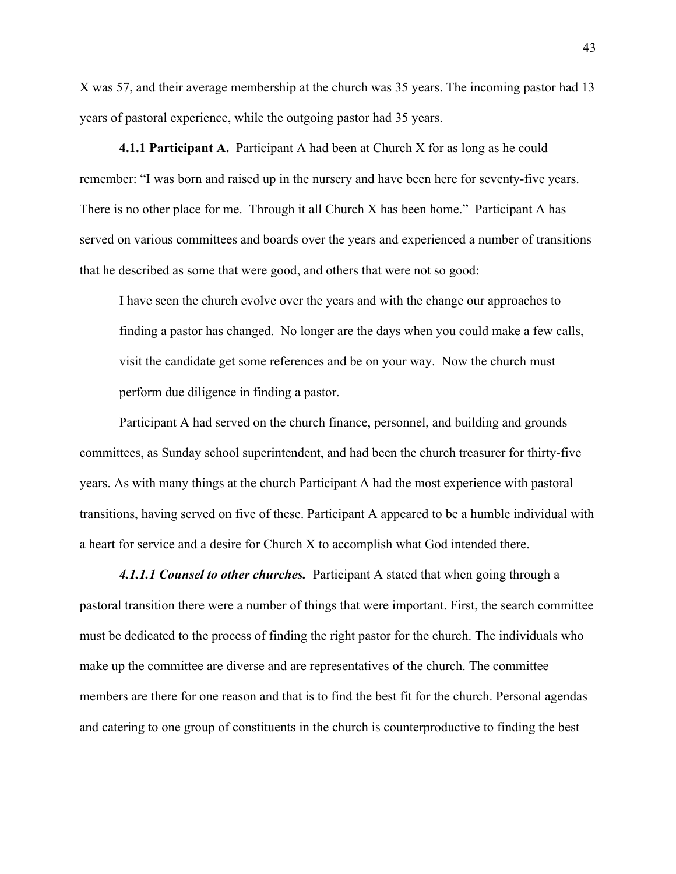X was 57, and their average membership at the church was 35 years. The incoming pastor had 13 years of pastoral experience, while the outgoing pastor had 35 years.

**4.1.1 Participant A.** Participant A had been at Church X for as long as he could remember: "I was born and raised up in the nursery and have been here for seventy-five years. There is no other place for me. Through it all Church X has been home." Participant A has served on various committees and boards over the years and experienced a number of transitions that he described as some that were good, and others that were not so good:

I have seen the church evolve over the years and with the change our approaches to finding a pastor has changed. No longer are the days when you could make a few calls, visit the candidate get some references and be on your way. Now the church must perform due diligence in finding a pastor.

Participant A had served on the church finance, personnel, and building and grounds committees, as Sunday school superintendent, and had been the church treasurer for thirty-five years. As with many things at the church Participant A had the most experience with pastoral transitions, having served on five of these. Participant A appeared to be a humble individual with a heart for service and a desire for Church X to accomplish what God intended there.

4.1.1.1 Counsel to other churches. Participant A stated that when going through a pastoral transition there were a number of things that were important. First, the search committee must be dedicated to the process of finding the right pastor for the church. The individuals who make up the committee are diverse and are representatives of the church. The committee members are there for one reason and that is to find the best fit for the church. Personal agendas and catering to one group of constituents in the church is counterproductive to finding the best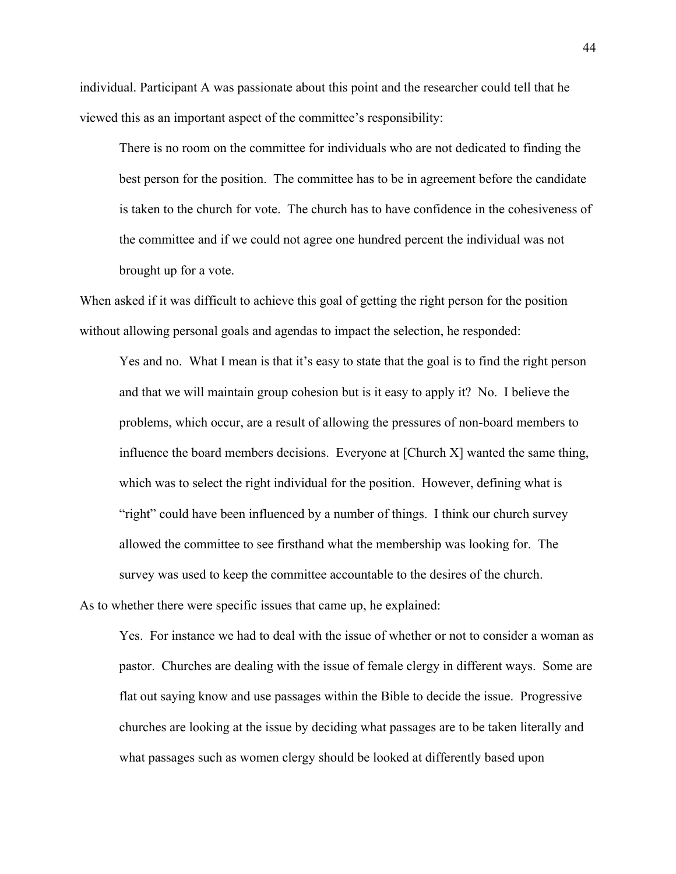individual. Participant A was passionate about this point and the researcher could tell that he viewed this as an important aspect of the committee's responsibility:

There is no room on the committee for individuals who are not dedicated to finding the best person for the position. The committee has to be in agreement before the candidate is taken to the church for vote. The church has to have confidence in the cohesiveness of the committee and if we could not agree one hundred percent the individual was not brought up for a vote.

When asked if it was difficult to achieve this goal of getting the right person for the position without allowing personal goals and agendas to impact the selection, he responded:

Yes and no. What I mean is that it's easy to state that the goal is to find the right person and that we will maintain group cohesion but is it easy to apply it? No. I believe the problems, which occur, are a result of allowing the pressures of non-board members to influence the board members decisions. Everyone at [Church X] wanted the same thing, which was to select the right individual for the position. However, defining what is "right" could have been influenced by a number of things. I think our church survey allowed the committee to see firsthand what the membership was looking for. The survey was used to keep the committee accountable to the desires of the church.

As to whether there were specific issues that came up, he explained:

Yes. For instance we had to deal with the issue of whether or not to consider a woman as pastor. Churches are dealing with the issue of female clergy in different ways. Some are flat out saying know and use passages within the Bible to decide the issue. Progressive churches are looking at the issue by deciding what passages are to be taken literally and what passages such as women clergy should be looked at differently based upon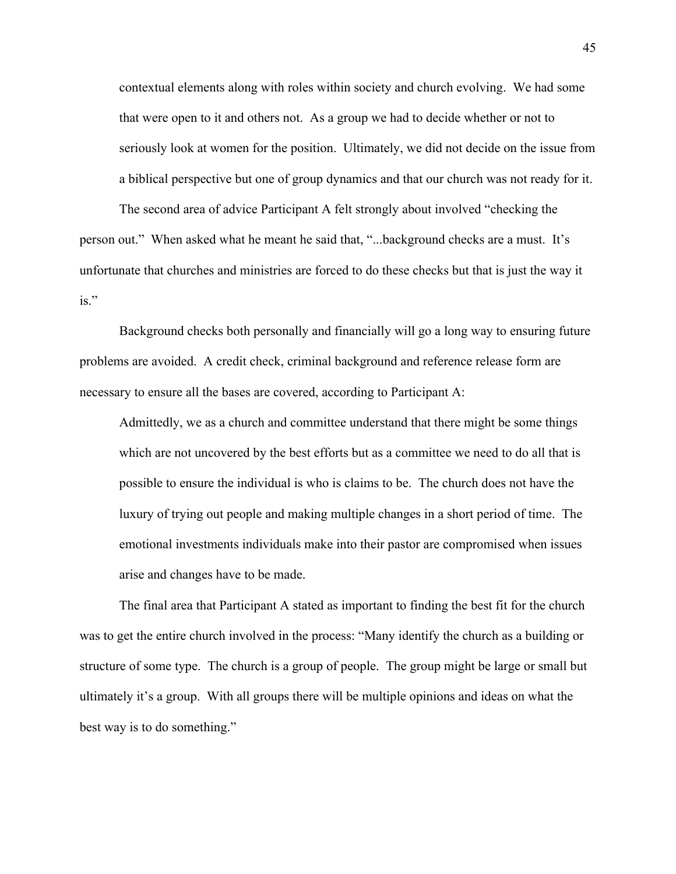contextual elements along with roles within society and church evolving. We had some that were open to it and others not. As a group we had to decide whether or not to seriously look at women for the position. Ultimately, we did not decide on the issue from a biblical perspective but one of group dynamics and that our church was not ready for it.

The second area of advice Participant A felt strongly about involved "checking the person out." When asked what he meant he said that, "...background checks are a must. It's unfortunate that churches and ministries are forced to do these checks but that is just the way it is."

Background checks both personally and financially will go a long way to ensuring future problems are avoided. A credit check, criminal background and reference release form are necessary to ensure all the bases are covered, according to Participant A:

Admittedly, we as a church and committee understand that there might be some things which are not uncovered by the best efforts but as a committee we need to do all that is possible to ensure the individual is who is claims to be. The church does not have the luxury of trying out people and making multiple changes in a short period of time. The emotional investments individuals make into their pastor are compromised when issues arise and changes have to be made.

The final area that Participant A stated as important to finding the best fit for the church was to get the entire church involved in the process: "Many identify the church as a building or structure of some type. The church is a group of people. The group might be large or small but ultimately it's a group. With all groups there will be multiple opinions and ideas on what the best way is to do something."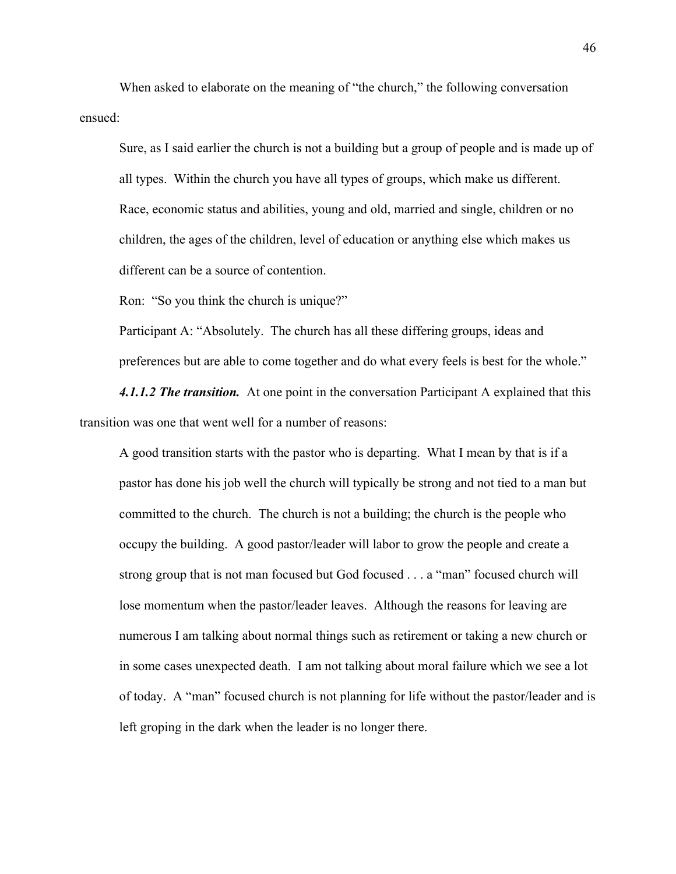When asked to elaborate on the meaning of "the church," the following conversation ensued:

Sure, as I said earlier the church is not a building but a group of people and is made up of all types. Within the church you have all types of groups, which make us different. Race, economic status and abilities, young and old, married and single, children or no children, the ages of the children, level of education or anything else which makes us different can be a source of contention.

Ron: "So you think the church is unique?"

Participant A: "Absolutely. The church has all these differing groups, ideas and preferences but are able to come together and do what every feels is best for the whole."

*4.1.1.2 The transition.*At one point in the conversation Participant A explained that this transition was one that went well for a number of reasons:

A good transition starts with the pastor who is departing. What I mean by that is if a pastor has done his job well the church will typically be strong and not tied to a man but committed to the church. The church is not a building; the church is the people who occupy the building. A good pastor/leader will labor to grow the people and create a strong group that is not man focused but God focused . . . a "man" focused church will lose momentum when the pastor/leader leaves. Although the reasons for leaving are numerous I am talking about normal things such as retirement or taking a new church or in some cases unexpected death. I am not talking about moral failure which we see a lot of today. A "man" focused church is not planning for life without the pastor/leader and is left groping in the dark when the leader is no longer there.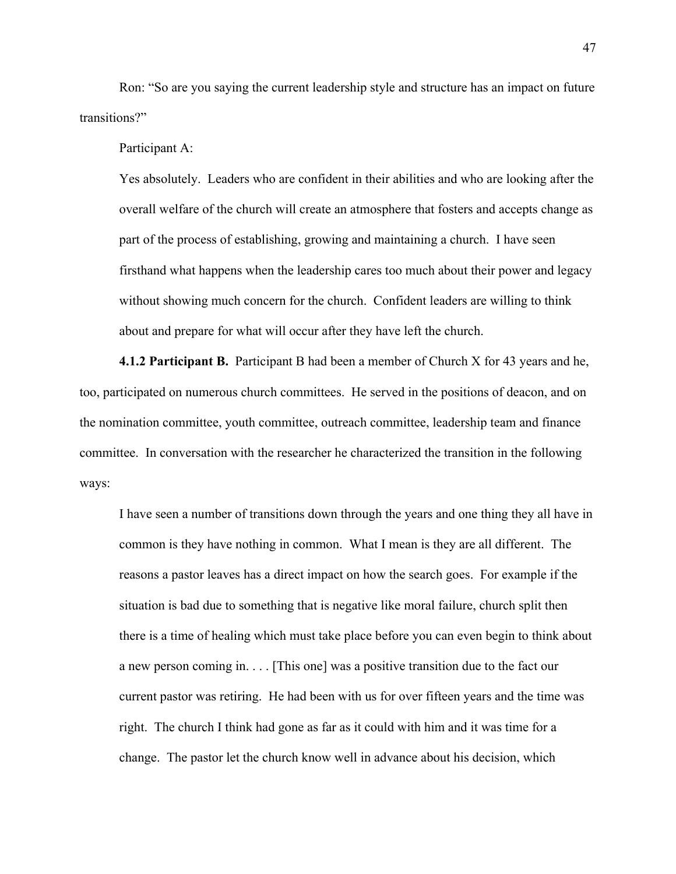Ron: "So are you saying the current leadership style and structure has an impact on future transitions?"

Participant A:

Yes absolutely. Leaders who are confident in their abilities and who are looking after the overall welfare of the church will create an atmosphere that fosters and accepts change as part of the process of establishing, growing and maintaining a church. I have seen firsthand what happens when the leadership cares too much about their power and legacy without showing much concern for the church. Confident leaders are willing to think about and prepare for what will occur after they have left the church.

**4.1.2 Participant B.** Participant B had been a member of Church X for 43 years and he, too, participated on numerous church committees. He served in the positions of deacon, and on the nomination committee, youth committee, outreach committee, leadership team and finance committee. In conversation with the researcher he characterized the transition in the following ways:

I have seen a number of transitions down through the years and one thing they all have in common is they have nothing in common. What I mean is they are all different. The reasons a pastor leaves has a direct impact on how the search goes. For example if the situation is bad due to something that is negative like moral failure, church split then there is a time of healing which must take place before you can even begin to think about a new person coming in. . . . [This one] was a positive transition due to the fact our current pastor was retiring. He had been with us for over fifteen years and the time was right. The church I think had gone as far as it could with him and it was time for a change. The pastor let the church know well in advance about his decision, which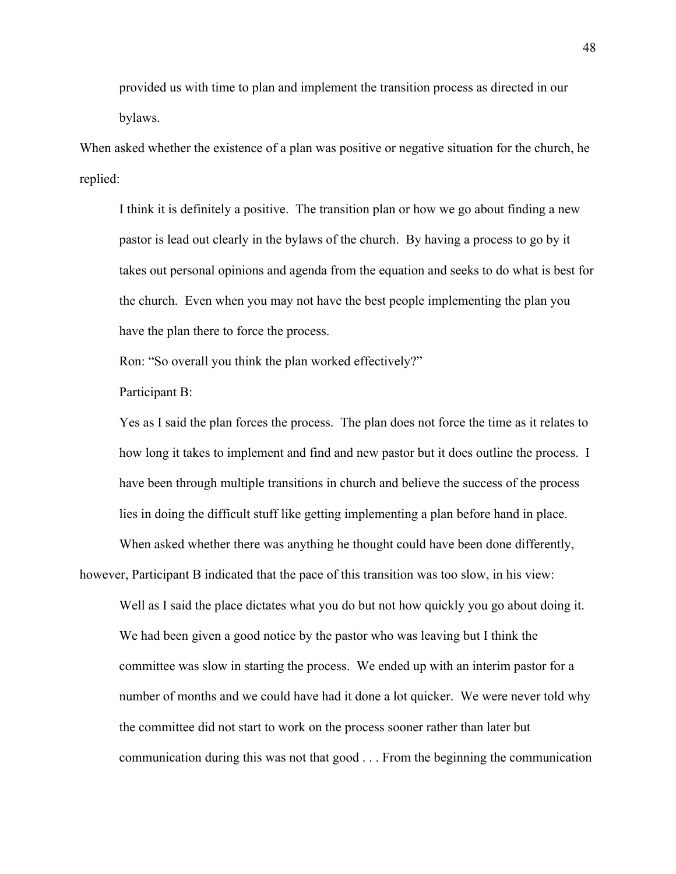provided us with time to plan and implement the transition process as directed in our bylaws.

When asked whether the existence of a plan was positive or negative situation for the church, he replied:

I think it is definitely a positive. The transition plan or how we go about finding a new pastor is lead out clearly in the bylaws of the church. By having a process to go by it takes out personal opinions and agenda from the equation and seeks to do what is best for the church. Even when you may not have the best people implementing the plan you have the plan there to force the process.

Ron: "So overall you think the plan worked effectively?"

Participant B:

Yes as I said the plan forces the process. The plan does not force the time as it relates to how long it takes to implement and find and new pastor but it does outline the process. I have been through multiple transitions in church and believe the success of the process lies in doing the difficult stuff like getting implementing a plan before hand in place.

When asked whether there was anything he thought could have been done differently, however, Participant B indicated that the pace of this transition was too slow, in his view: Well as I said the place dictates what you do but not how quickly you go about doing it.

We had been given a good notice by the pastor who was leaving but I think the committee was slow in starting the process. We ended up with an interim pastor for a number of months and we could have had it done a lot quicker. We were never told why the committee did not start to work on the process sooner rather than later but communication during this was not that good . . . From the beginning the communication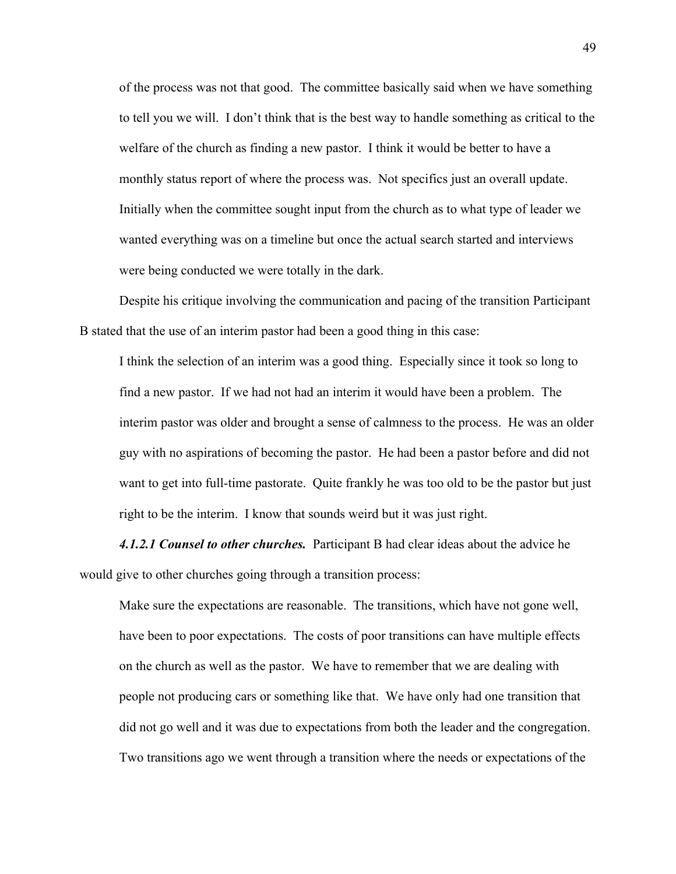of the process was not that good. The committee basically said when we have something to tell you we will. I don't think that is the best way to handle something as critical to the welfare of the church as finding a new pastor. I think it would be better to have a monthly status report of where the process was. Not specifics just an overall update. Initially when the committee sought input from the church as to what type of leader we wanted everything was on a timeline but once the actual search started and interviews were being conducted we were totally in the dark.

Despite his critique involving the communication and pacing of the transition Participant B stated that the use of an interim pastor had been a good thing in this case:

I think the selection of an interim was a good thing. Especially since it took so long to find a new pastor. If we had not had an interim it would have been a problem. The interim pastor was older and brought a sense of calmness to the process. He was an older guy with no aspirations of becoming the pastor. He had been a pastor before and did not want to get into full-time pastorate. Quite frankly he was too old to be the pastor but just right to be the interim. I know that sounds weird but it was just right.

*4.1.2.1 Counsel to other churches.*Participant B had clear ideas about the advice he would give to other churches going through a transition process:

Make sure the expectations are reasonable. The transitions, which have not gone well, have been to poor expectations. The costs of poor transitions can have multiple effects on the church as well as the pastor. We have to remember that we are dealing with people not producing cars or something like that. We have only had one transition that did not go well and it was due to expectations from both the leader and the congregation. Two transitions ago we went through a transition where the needs or expectations of the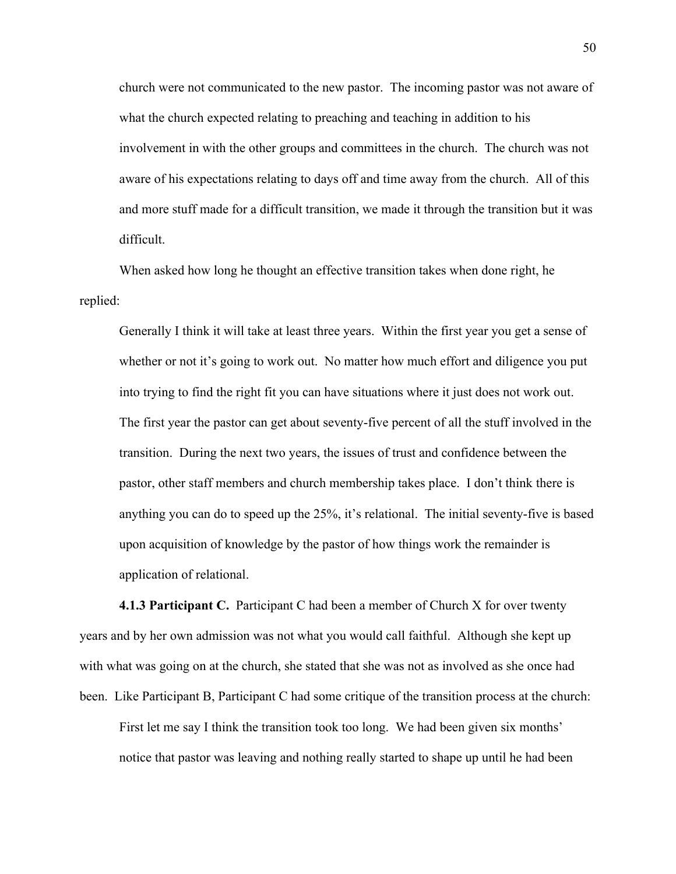church were not communicated to the new pastor. The incoming pastor was not aware of what the church expected relating to preaching and teaching in addition to his involvement in with the other groups and committees in the church. The church was not aware of his expectations relating to days off and time away from the church. All of this and more stuff made for a difficult transition, we made it through the transition but it was difficult.

When asked how long he thought an effective transition takes when done right, he replied:

Generally I think it will take at least three years. Within the first year you get a sense of whether or not it's going to work out. No matter how much effort and diligence you put into trying to find the right fit you can have situations where it just does not work out. The first year the pastor can get about seventy-five percent of all the stuff involved in the transition. During the next two years, the issues of trust and confidence between the pastor, other staff members and church membership takes place. I don't think there is anything you can do to speed up the 25%, it's relational. The initial seventy-five is based upon acquisition of knowledge by the pastor of how things work the remainder is application of relational.

**4.1.3 Participant C.** Participant C had been a member of Church X for over twenty years and by her own admission was not what you would call faithful. Although she kept up with what was going on at the church, she stated that she was not as involved as she once had been. Like Participant B, Participant C had some critique of the transition process at the church:

First let me say I think the transition took too long. We had been given six months' notice that pastor was leaving and nothing really started to shape up until he had been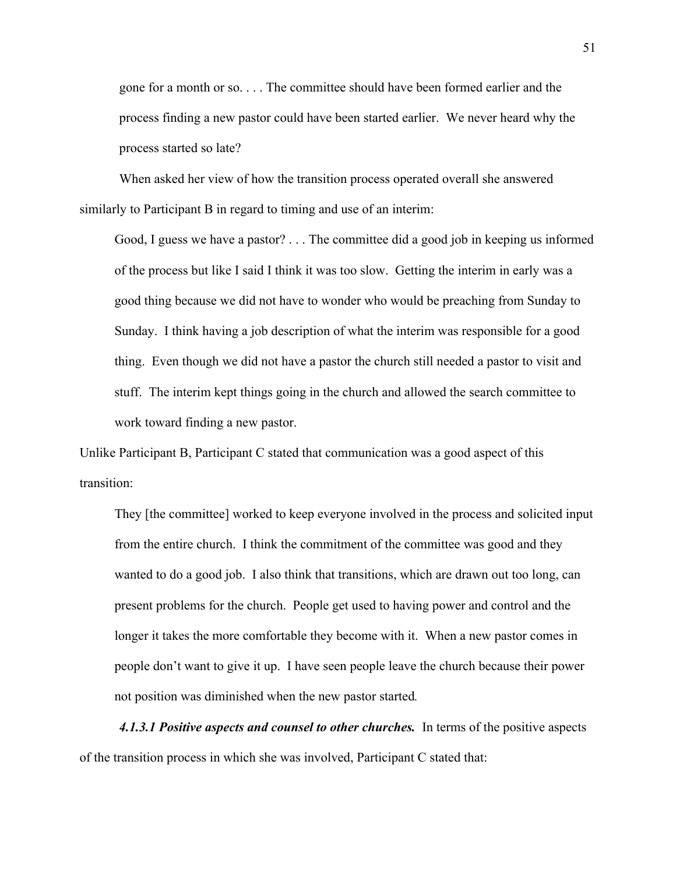gone for a month or so. . . . The committee should have been formed earlier and the process finding a new pastor could have been started earlier. We never heard why the process started so late?

When asked her view of how the transition process operated overall she answered similarly to Participant B in regard to timing and use of an interim:

Good, I guess we have a pastor? . . . The committee did a good job in keeping us informed of the process but like I said I think it was too slow. Getting the interim in early was a good thing because we did not have to wonder who would be preaching from Sunday to Sunday. I think having a job description of what the interim was responsible for a good thing. Even though we did not have a pastor the church still needed a pastor to visit and stuff. The interim kept things going in the church and allowed the search committee to work toward finding a new pastor.

Unlike Participant B, Participant C stated that communication was a good aspect of this transition:

They [the committee] worked to keep everyone involved in the process and solicited input from the entire church. I think the commitment of the committee was good and they wanted to do a good job. I also think that transitions, which are drawn out too long, can present problems for the church. People get used to having power and control and the longer it takes the more comfortable they become with it. When a new pastor comes in people don't want to give it up. I have seen people leave the church because their power not position was diminished when the new pastor started*.*

*4.1.3.1 Positive aspects and counsel to other churches.* In terms of the positive aspects of the transition process in which she was involved, Participant C stated that: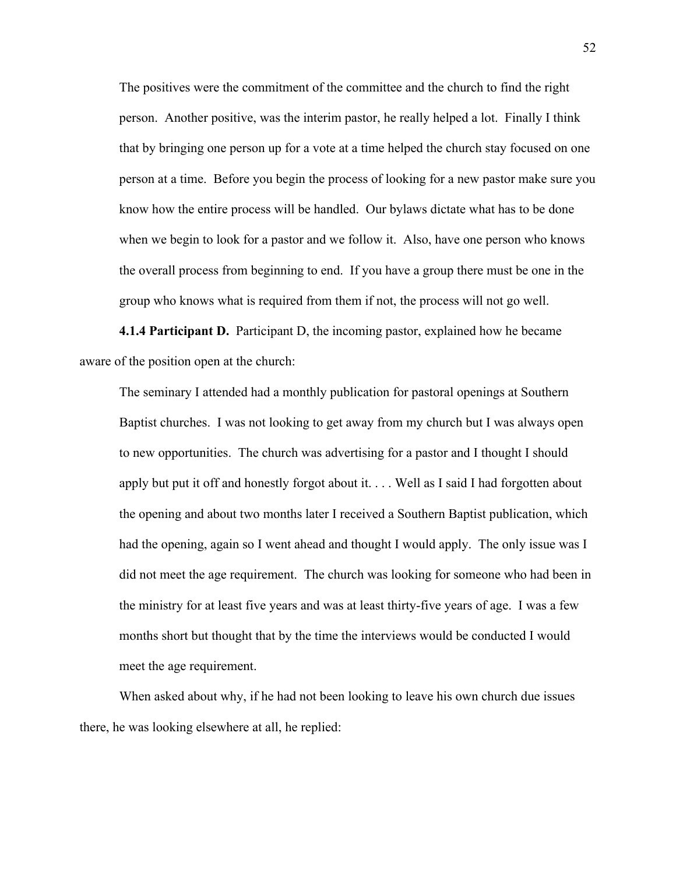The positives were the commitment of the committee and the church to find the right person. Another positive, was the interim pastor, he really helped a lot. Finally I think that by bringing one person up for a vote at a time helped the church stay focused on one person at a time. Before you begin the process of looking for a new pastor make sure you know how the entire process will be handled. Our bylaws dictate what has to be done when we begin to look for a pastor and we follow it. Also, have one person who knows the overall process from beginning to end. If you have a group there must be one in the group who knows what is required from them if not, the process will not go well.

**4.1.4 Participant D.** Participant D, the incoming pastor, explained how he became aware of the position open at the church:

The seminary I attended had a monthly publication for pastoral openings at Southern Baptist churches. I was not looking to get away from my church but I was always open to new opportunities. The church was advertising for a pastor and I thought I should apply but put it off and honestly forgot about it. . . . Well as I said I had forgotten about the opening and about two months later I received a Southern Baptist publication, which had the opening, again so I went ahead and thought I would apply. The only issue was I did not meet the age requirement. The church was looking for someone who had been in the ministry for at least five years and was at least thirty-five years of age. I was a few months short but thought that by the time the interviews would be conducted I would meet the age requirement.

When asked about why, if he had not been looking to leave his own church due issues there, he was looking elsewhere at all, he replied: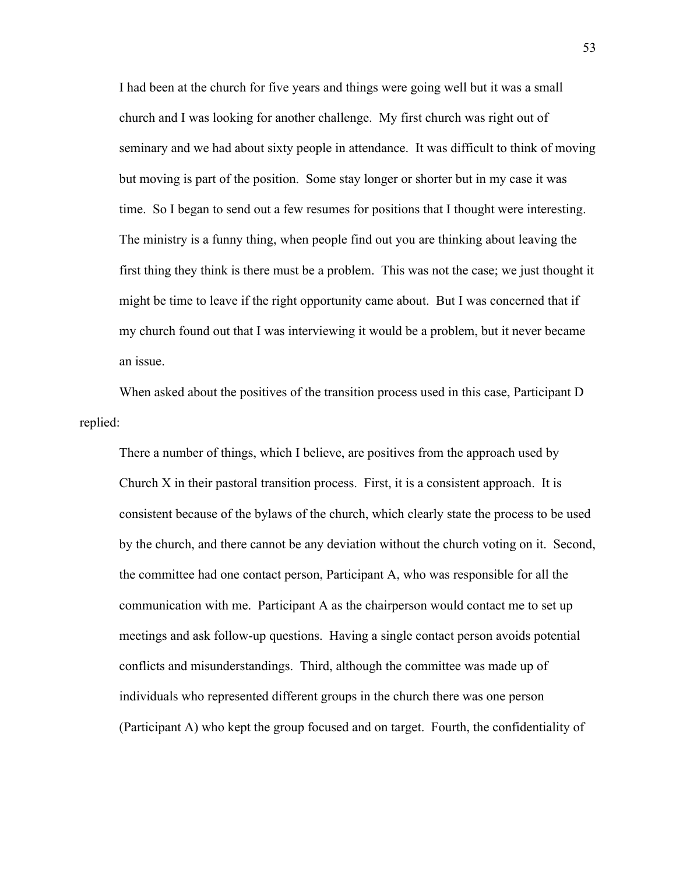I had been at the church for five years and things were going well but it was a small church and I was looking for another challenge. My first church was right out of seminary and we had about sixty people in attendance. It was difficult to think of moving but moving is part of the position. Some stay longer or shorter but in my case it was time. So I began to send out a few resumes for positions that I thought were interesting. The ministry is a funny thing, when people find out you are thinking about leaving the first thing they think is there must be a problem. This was not the case; we just thought it might be time to leave if the right opportunity came about. But I was concerned that if my church found out that I was interviewing it would be a problem, but it never became an issue.

When asked about the positives of the transition process used in this case, Participant D replied:

There a number of things, which I believe, are positives from the approach used by Church X in their pastoral transition process. First, it is a consistent approach. It is consistent because of the bylaws of the church, which clearly state the process to be used by the church, and there cannot be any deviation without the church voting on it. Second, the committee had one contact person, Participant A, who was responsible for all the communication with me. Participant A as the chairperson would contact me to set up meetings and ask follow-up questions. Having a single contact person avoids potential conflicts and misunderstandings. Third, although the committee was made up of individuals who represented different groups in the church there was one person (Participant A) who kept the group focused and on target. Fourth, the confidentiality of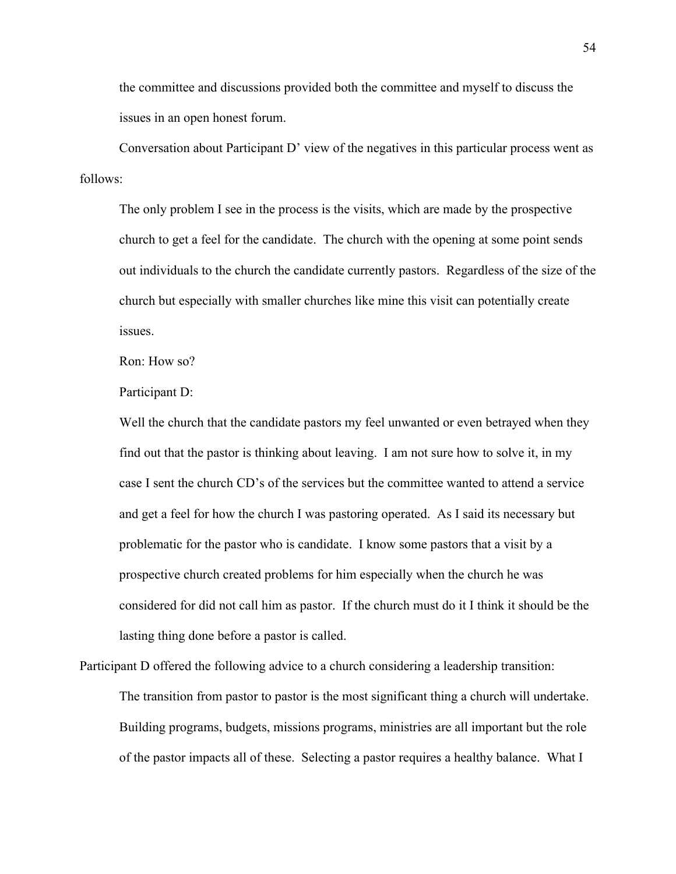the committee and discussions provided both the committee and myself to discuss the issues in an open honest forum.

Conversation about Participant D' view of the negatives in this particular process went as follows:

The only problem I see in the process is the visits, which are made by the prospective church to get a feel for the candidate. The church with the opening at some point sends out individuals to the church the candidate currently pastors. Regardless of the size of the church but especially with smaller churches like mine this visit can potentially create issues.

Ron: How so?

Participant D:

Well the church that the candidate pastors my feel unwanted or even betrayed when they find out that the pastor is thinking about leaving. I am not sure how to solve it, in my case I sent the church CD's of the services but the committee wanted to attend a service and get a feel for how the church I was pastoring operated. As I said its necessary but problematic for the pastor who is candidate. I know some pastors that a visit by a prospective church created problems for him especially when the church he was considered for did not call him as pastor. If the church must do it I think it should be the lasting thing done before a pastor is called.

Participant D offered the following advice to a church considering a leadership transition: The transition from pastor to pastor is the most significant thing a church will undertake. Building programs, budgets, missions programs, ministries are all important but the role

of the pastor impacts all of these. Selecting a pastor requires a healthy balance. What I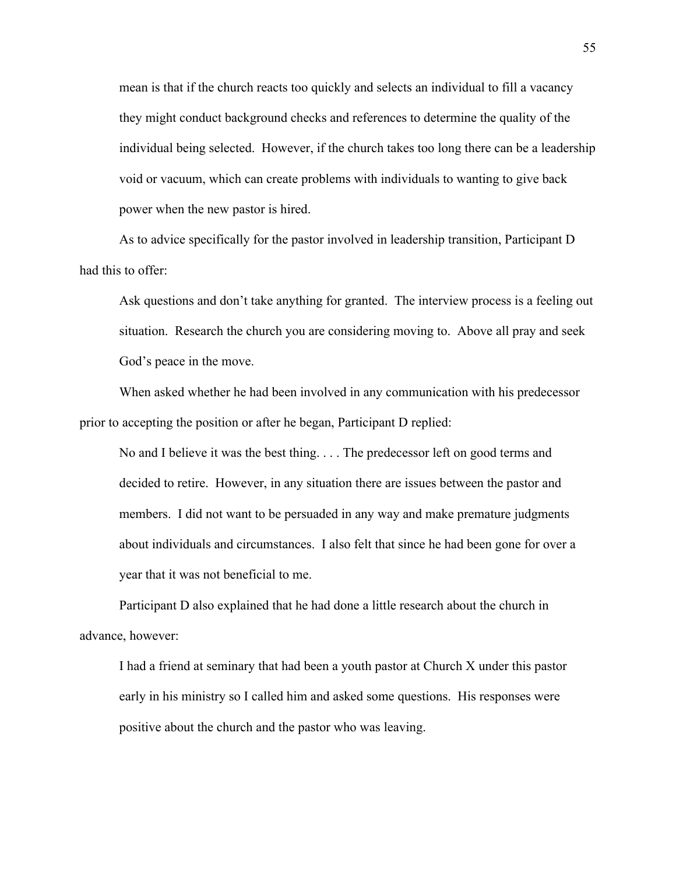mean is that if the church reacts too quickly and selects an individual to fill a vacancy they might conduct background checks and references to determine the quality of the individual being selected. However, if the church takes too long there can be a leadership void or vacuum, which can create problems with individuals to wanting to give back power when the new pastor is hired.

As to advice specifically for the pastor involved in leadership transition, Participant D had this to offer:

Ask questions and don't take anything for granted. The interview process is a feeling out situation. Research the church you are considering moving to. Above all pray and seek God's peace in the move.

When asked whether he had been involved in any communication with his predecessor prior to accepting the position or after he began, Participant D replied:

No and I believe it was the best thing. . . . The predecessor left on good terms and decided to retire. However, in any situation there are issues between the pastor and members. I did not want to be persuaded in any way and make premature judgments about individuals and circumstances. I also felt that since he had been gone for over a year that it was not beneficial to me.

Participant D also explained that he had done a little research about the church in advance, however:

I had a friend at seminary that had been a youth pastor at Church X under this pastor early in his ministry so I called him and asked some questions. His responses were positive about the church and the pastor who was leaving.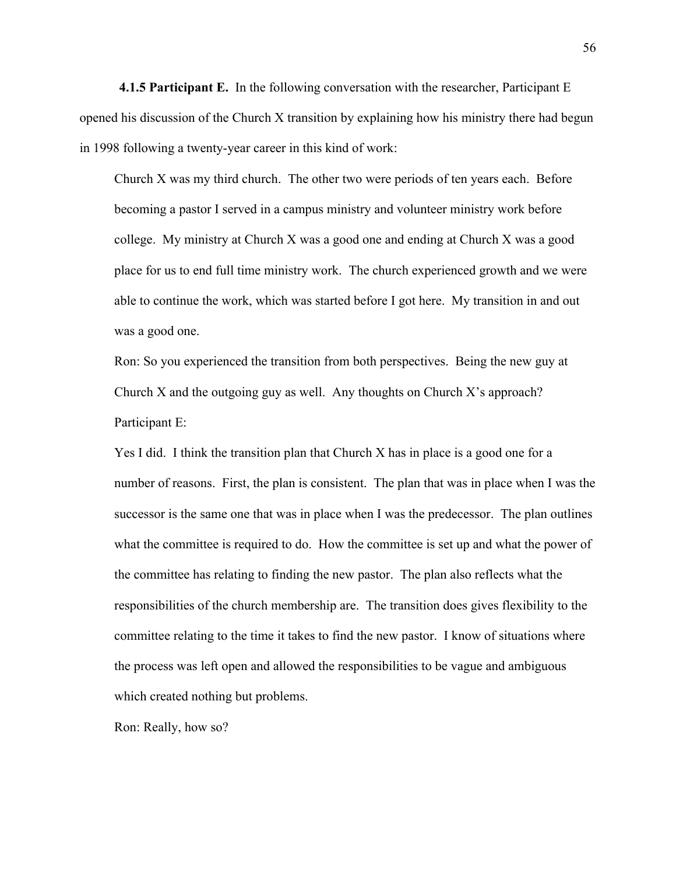**4.1.5 Participant E.** In the following conversation with the researcher, Participant E opened his discussion of the Church X transition by explaining how his ministry there had begun in 1998 following a twenty-year career in this kind of work:

Church X was my third church. The other two were periods of ten years each. Before becoming a pastor I served in a campus ministry and volunteer ministry work before college. My ministry at Church X was a good one and ending at Church X was a good place for us to end full time ministry work. The church experienced growth and we were able to continue the work, which was started before I got here. My transition in and out was a good one.

Ron: So you experienced the transition from both perspectives. Being the new guy at Church X and the outgoing guy as well. Any thoughts on Church  $X$ 's approach? Participant E:

Yes I did. I think the transition plan that Church X has in place is a good one for a number of reasons. First, the plan is consistent. The plan that was in place when I was the successor is the same one that was in place when I was the predecessor. The plan outlines what the committee is required to do. How the committee is set up and what the power of the committee has relating to finding the new pastor. The plan also reflects what the responsibilities of the church membership are. The transition does gives flexibility to the committee relating to the time it takes to find the new pastor. I know of situations where the process was left open and allowed the responsibilities to be vague and ambiguous which created nothing but problems.

Ron: Really, how so?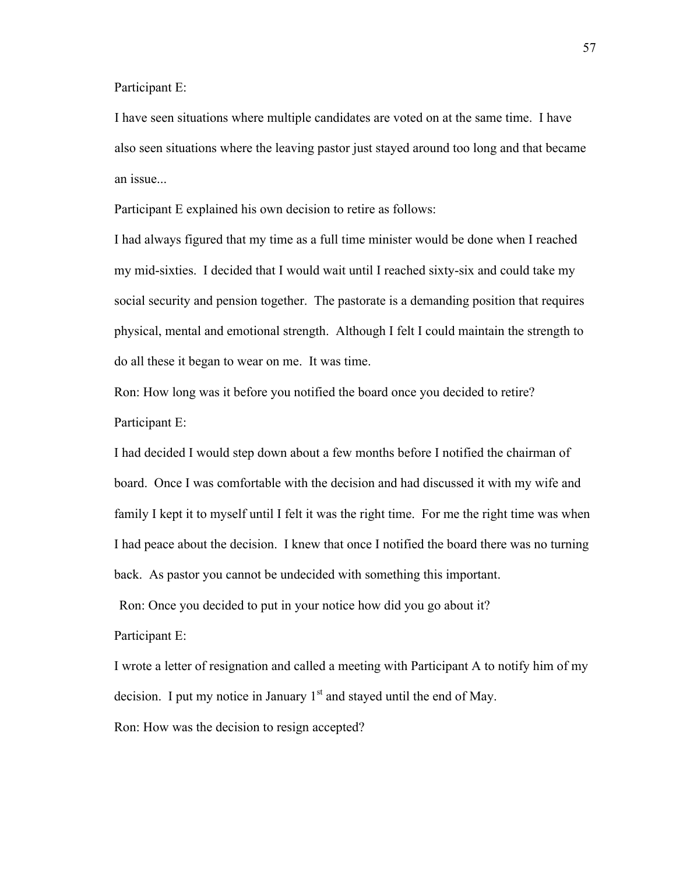Participant E:

I have seen situations where multiple candidates are voted on at the same time. I have also seen situations where the leaving pastor just stayed around too long and that became an issue...

Participant E explained his own decision to retire as follows:

I had always figured that my time as a full time minister would be done when I reached my mid-sixties. I decided that I would wait until I reached sixty-six and could take my social security and pension together. The pastorate is a demanding position that requires physical, mental and emotional strength. Although I felt I could maintain the strength to do all these it began to wear on me. It was time.

Ron: How long was it before you notified the board once you decided to retire? Participant E:

I had decided I would step down about a few months before I notified the chairman of board. Once I was comfortable with the decision and had discussed it with my wife and family I kept it to myself until I felt it was the right time. For me the right time was when I had peace about the decision. I knew that once I notified the board there was no turning back. As pastor you cannot be undecided with something this important.

Ron: Once you decided to put in your notice how did you go about it?

Participant E:

I wrote a letter of resignation and called a meeting with Participant A to notify him of my decision. I put my notice in January  $1<sup>st</sup>$  and stayed until the end of May.

Ron: How was the decision to resign accepted?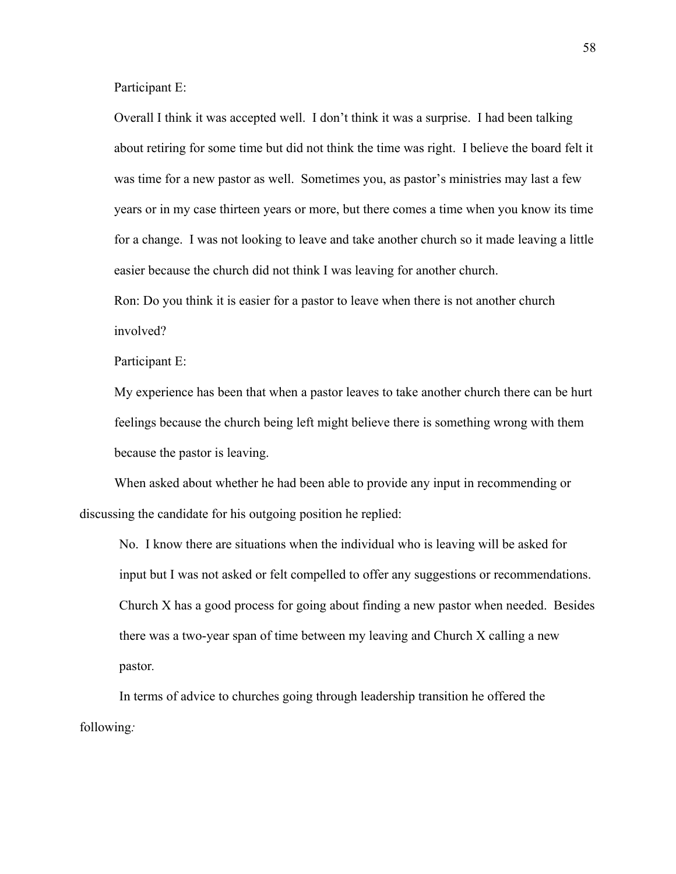Participant E:

Overall I think it was accepted well. I don't think it was a surprise. I had been talking about retiring for some time but did not think the time was right. I believe the board felt it was time for a new pastor as well. Sometimes you, as pastor's ministries may last a few years or in my case thirteen years or more, but there comes a time when you know its time for a change. I was not looking to leave and take another church so it made leaving a little easier because the church did not think I was leaving for another church.

Ron: Do you think it is easier for a pastor to leave when there is not another church involved?

Participant E:

My experience has been that when a pastor leaves to take another church there can be hurt feelings because the church being left might believe there is something wrong with them because the pastor is leaving.

When asked about whether he had been able to provide any input in recommending or discussing the candidate for his outgoing position he replied:

No. I know there are situations when the individual who is leaving will be asked for input but I was not asked or felt compelled to offer any suggestions or recommendations. Church X has a good process for going about finding a new pastor when needed. Besides there was a two-year span of time between my leaving and Church X calling a new pastor*.*

In terms of advice to churches going through leadership transition he offered the following*:*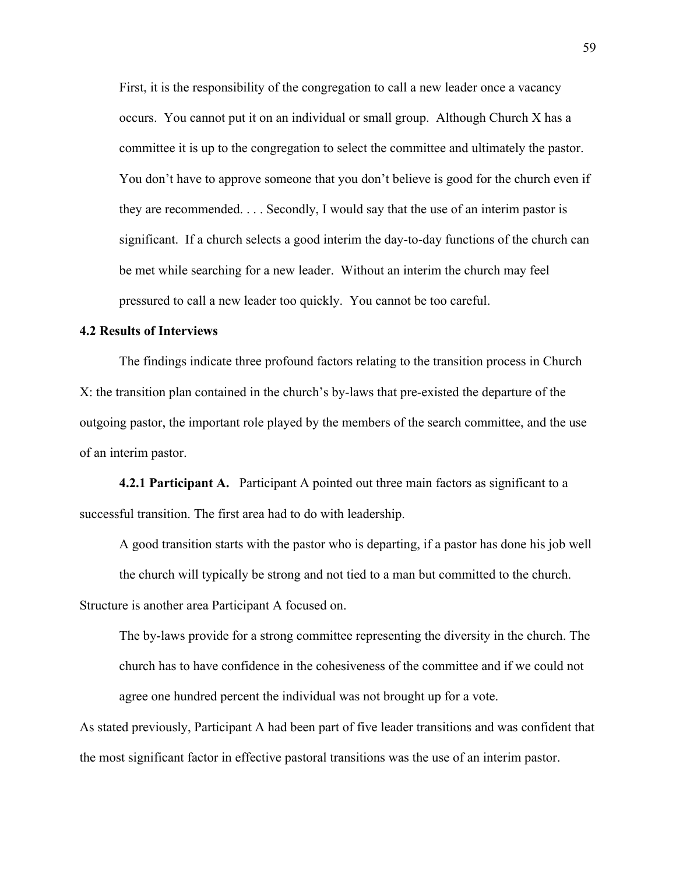First, it is the responsibility of the congregation to call a new leader once a vacancy occurs. You cannot put it on an individual or small group. Although Church X has a committee it is up to the congregation to select the committee and ultimately the pastor. You don't have to approve someone that you don't believe is good for the church even if they are recommended. . . . Secondly, I would say that the use of an interim pastor is significant. If a church selects a good interim the day-to-day functions of the church can be met while searching for a new leader. Without an interim the church may feel pressured to call a new leader too quickly. You cannot be too careful.

### **4.2 Results of Interviews**

The findings indicate three profound factors relating to the transition process in Church X: the transition plan contained in the church's by-laws that pre-existed the departure of the outgoing pastor, the important role played by the members of the search committee, and the use of an interim pastor.

**4.2.1 Participant A.** Participant A pointed out three main factors as significant to a successful transition. The first area had to do with leadership.

A good transition starts with the pastor who is departing, if a pastor has done his job well

the church will typically be strong and not tied to a man but committed to the church.

Structure is another area Participant A focused on.

The by-laws provide for a strong committee representing the diversity in the church. The church has to have confidence in the cohesiveness of the committee and if we could not agree one hundred percent the individual was not brought up for a vote.

As stated previously, Participant A had been part of five leader transitions and was confident that the most significant factor in effective pastoral transitions was the use of an interim pastor.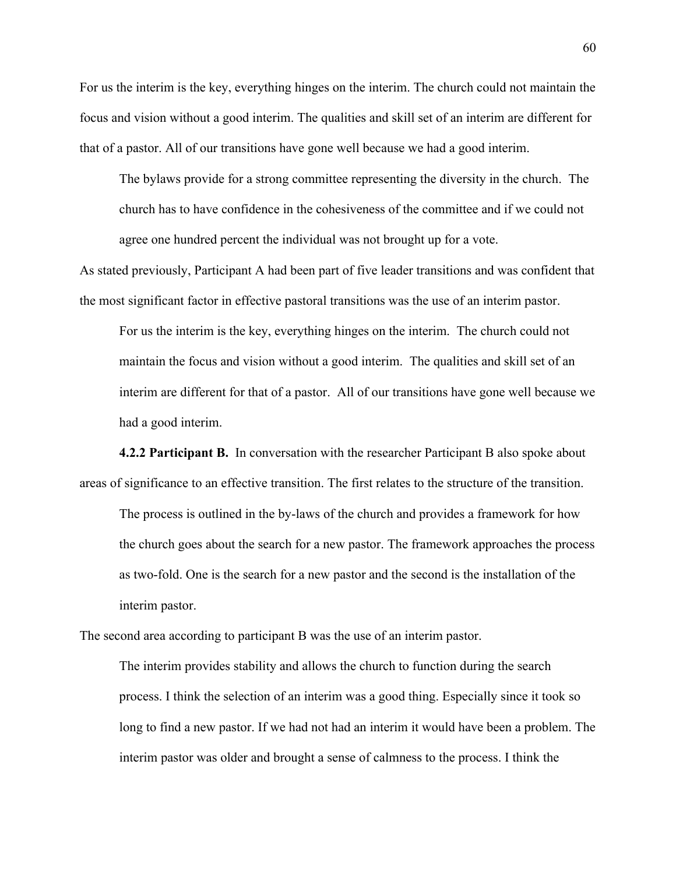For us the interim is the key, everything hinges on the interim. The church could not maintain the focus and vision without a good interim. The qualities and skill set of an interim are different for that of a pastor. All of our transitions have gone well because we had a good interim.

The bylaws provide for a strong committee representing the diversity in the church. The church has to have confidence in the cohesiveness of the committee and if we could not agree one hundred percent the individual was not brought up for a vote.

As stated previously, Participant A had been part of five leader transitions and was confident that the most significant factor in effective pastoral transitions was the use of an interim pastor.

For us the interim is the key, everything hinges on the interim. The church could not maintain the focus and vision without a good interim. The qualities and skill set of an interim are different for that of a pastor. All of our transitions have gone well because we had a good interim.

**4.2.2 Participant B.** In conversation with the researcher Participant B also spoke about areas of significance to an effective transition. The first relates to the structure of the transition.

The process is outlined in the by-laws of the church and provides a framework for how the church goes about the search for a new pastor. The framework approaches the process as two-fold. One is the search for a new pastor and the second is the installation of the interim pastor.

The second area according to participant B was the use of an interim pastor.

The interim provides stability and allows the church to function during the search process. I think the selection of an interim was a good thing. Especially since it took so long to find a new pastor. If we had not had an interim it would have been a problem. The interim pastor was older and brought a sense of calmness to the process. I think the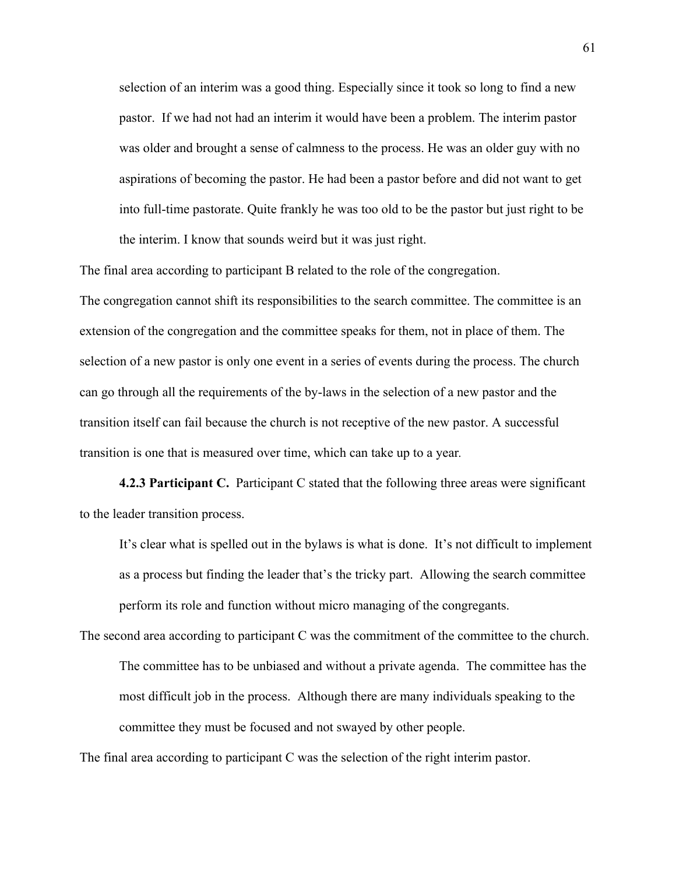selection of an interim was a good thing. Especially since it took so long to find a new pastor. If we had not had an interim it would have been a problem. The interim pastor was older and brought a sense of calmness to the process. He was an older guy with no aspirations of becoming the pastor. He had been a pastor before and did not want to get into full-time pastorate. Quite frankly he was too old to be the pastor but just right to be the interim. I know that sounds weird but it was just right.

The final area according to participant B related to the role of the congregation. The congregation cannot shift its responsibilities to the search committee. The committee is an extension of the congregation and the committee speaks for them, not in place of them. The selection of a new pastor is only one event in a series of events during the process. The church can go through all the requirements of the by-laws in the selection of a new pastor and the transition itself can fail because the church is not receptive of the new pastor. A successful

transition is one that is measured over time, which can take up to a year*.* 

**4.2.3 Participant C.** Participant C stated that the following three areas were significant to the leader transition process.

It's clear what is spelled out in the bylaws is what is done. It's not difficult to implement as a process but finding the leader that's the tricky part. Allowing the search committee perform its role and function without micro managing of the congregants.

The second area according to participant C was the commitment of the committee to the church. The committee has to be unbiased and without a private agenda. The committee has the most difficult job in the process. Although there are many individuals speaking to the committee they must be focused and not swayed by other people.

The final area according to participant C was the selection of the right interim pastor.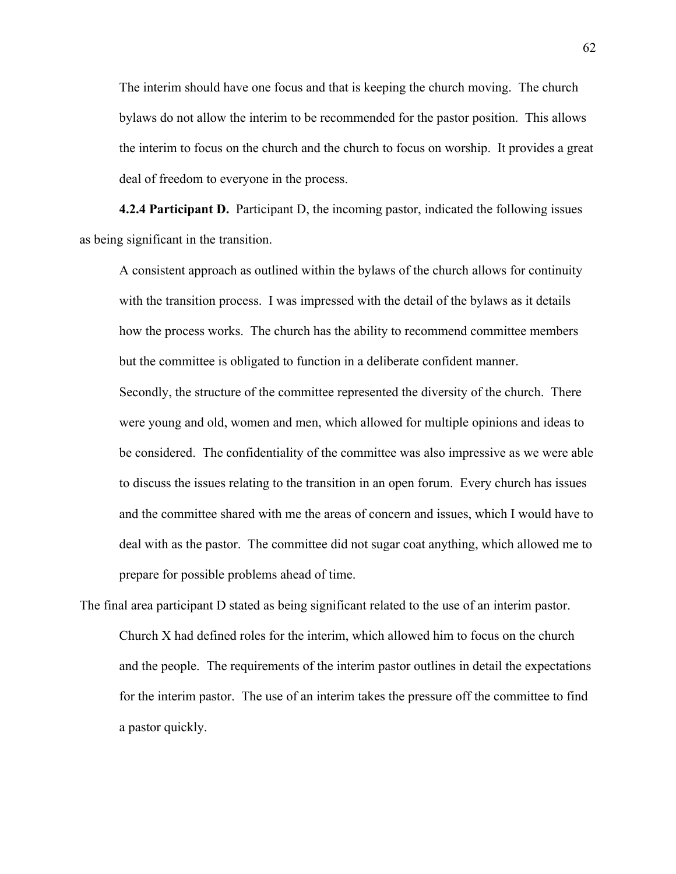The interim should have one focus and that is keeping the church moving. The church bylaws do not allow the interim to be recommended for the pastor position. This allows the interim to focus on the church and the church to focus on worship. It provides a great deal of freedom to everyone in the process.

**4.2.4 Participant D.** Participant D, the incoming pastor, indicated the following issues as being significant in the transition.

A consistent approach as outlined within the bylaws of the church allows for continuity with the transition process. I was impressed with the detail of the bylaws as it details how the process works. The church has the ability to recommend committee members but the committee is obligated to function in a deliberate confident manner.

Secondly, the structure of the committee represented the diversity of the church. There were young and old, women and men, which allowed for multiple opinions and ideas to be considered. The confidentiality of the committee was also impressive as we were able to discuss the issues relating to the transition in an open forum. Every church has issues and the committee shared with me the areas of concern and issues, which I would have to deal with as the pastor. The committee did not sugar coat anything, which allowed me to prepare for possible problems ahead of time.

The final area participant D stated as being significant related to the use of an interim pastor. Church X had defined roles for the interim, which allowed him to focus on the church and the people. The requirements of the interim pastor outlines in detail the expectations for the interim pastor. The use of an interim takes the pressure off the committee to find a pastor quickly.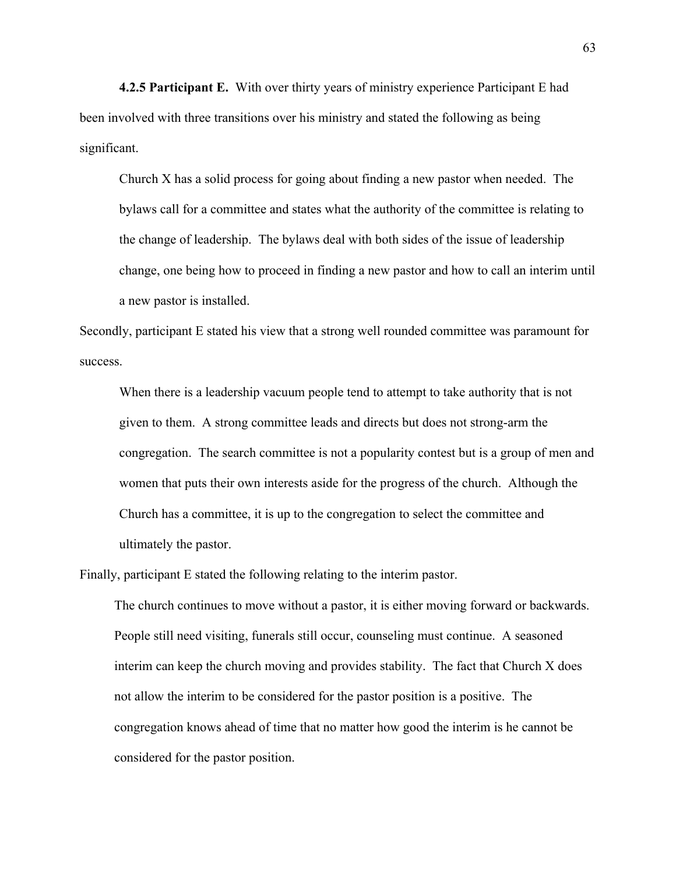**4.2.5 Participant E.** With over thirty years of ministry experience Participant E had been involved with three transitions over his ministry and stated the following as being significant.

Church X has a solid process for going about finding a new pastor when needed. The bylaws call for a committee and states what the authority of the committee is relating to the change of leadership. The bylaws deal with both sides of the issue of leadership change, one being how to proceed in finding a new pastor and how to call an interim until a new pastor is installed.

Secondly, participant E stated his view that a strong well rounded committee was paramount for success.

When there is a leadership vacuum people tend to attempt to take authority that is not given to them. A strong committee leads and directs but does not strong-arm the congregation. The search committee is not a popularity contest but is a group of men and women that puts their own interests aside for the progress of the church. Although the Church has a committee, it is up to the congregation to select the committee and ultimately the pastor.

Finally, participant E stated the following relating to the interim pastor.

The church continues to move without a pastor, it is either moving forward or backwards. People still need visiting, funerals still occur, counseling must continue. A seasoned interim can keep the church moving and provides stability. The fact that Church X does not allow the interim to be considered for the pastor position is a positive. The congregation knows ahead of time that no matter how good the interim is he cannot be considered for the pastor position.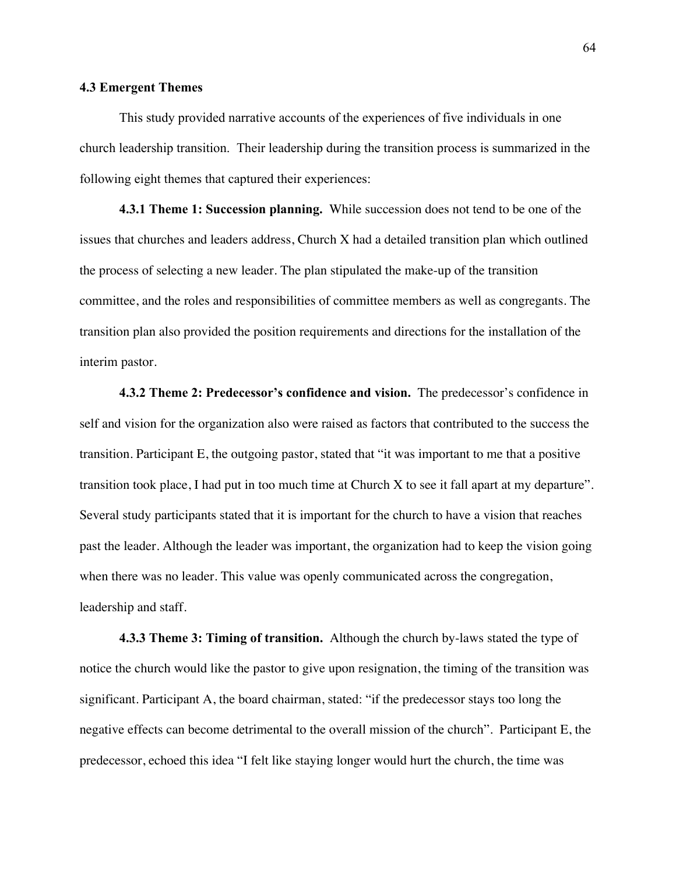# **4.3 Emergent Themes**

This study provided narrative accounts of the experiences of five individuals in one church leadership transition. Their leadership during the transition process is summarized in the following eight themes that captured their experiences:

**4.3.1 Theme 1: Succession planning.** While succession does not tend to be one of the issues that churches and leaders address, Church X had a detailed transition plan which outlined the process of selecting a new leader. The plan stipulated the make-up of the transition committee, and the roles and responsibilities of committee members as well as congregants. The transition plan also provided the position requirements and directions for the installation of the interim pastor.

**4.3.2 Theme 2: Predecessor's confidence and vision.** The predecessor's confidence in self and vision for the organization also were raised as factors that contributed to the success the transition. Participant E, the outgoing pastor, stated that "it was important to me that a positive transition took place, I had put in too much time at Church X to see it fall apart at my departure". Several study participants stated that it is important for the church to have a vision that reaches past the leader. Although the leader was important, the organization had to keep the vision going when there was no leader. This value was openly communicated across the congregation, leadership and staff.

**4.3.3 Theme 3: Timing of transition.** Although the church by-laws stated the type of notice the church would like the pastor to give upon resignation, the timing of the transition was significant. Participant A, the board chairman, stated: "if the predecessor stays too long the negative effects can become detrimental to the overall mission of the church". Participant E, the predecessor, echoed this idea "I felt like staying longer would hurt the church, the time was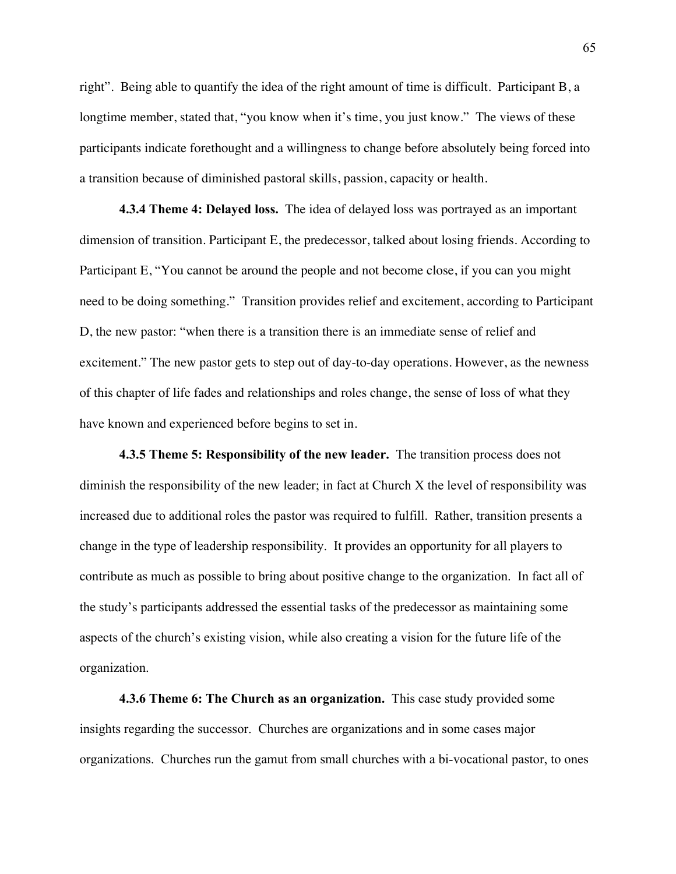right". Being able to quantify the idea of the right amount of time is difficult. Participant B, a longtime member, stated that, "you know when it's time, you just know." The views of these participants indicate forethought and a willingness to change before absolutely being forced into a transition because of diminished pastoral skills, passion, capacity or health.

**4.3.4 Theme 4: Delayed loss.** The idea of delayed loss was portrayed as an important dimension of transition. Participant E, the predecessor, talked about losing friends. According to Participant E, "You cannot be around the people and not become close, if you can you might need to be doing something." Transition provides relief and excitement, according to Participant D, the new pastor: "when there is a transition there is an immediate sense of relief and excitement." The new pastor gets to step out of day-to-day operations. However, as the newness of this chapter of life fades and relationships and roles change, the sense of loss of what they have known and experienced before begins to set in.

**4.3.5 Theme 5: Responsibility of the new leader.** The transition process does not diminish the responsibility of the new leader; in fact at Church X the level of responsibility was increased due to additional roles the pastor was required to fulfill. Rather, transition presents a change in the type of leadership responsibility. It provides an opportunity for all players to contribute as much as possible to bring about positive change to the organization. In fact all of the study's participants addressed the essential tasks of the predecessor as maintaining some aspects of the church's existing vision, while also creating a vision for the future life of the organization.

**4.3.6 Theme 6: The Church as an organization.** This case study provided some insights regarding the successor. Churches are organizations and in some cases major organizations. Churches run the gamut from small churches with a bi-vocational pastor, to ones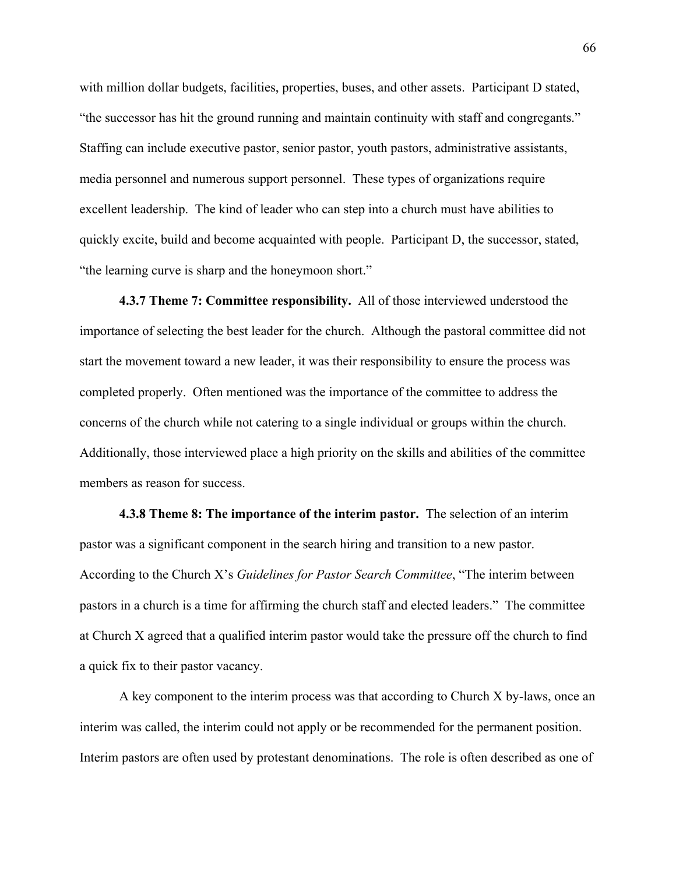with million dollar budgets, facilities, properties, buses, and other assets. Participant D stated, "the successor has hit the ground running and maintain continuity with staff and congregants." Staffing can include executive pastor, senior pastor, youth pastors, administrative assistants, media personnel and numerous support personnel. These types of organizations require excellent leadership. The kind of leader who can step into a church must have abilities to quickly excite, build and become acquainted with people. Participant D, the successor, stated, "the learning curve is sharp and the honeymoon short."

**4.3.7 Theme 7: Committee responsibility.** All of those interviewed understood the importance of selecting the best leader for the church. Although the pastoral committee did not start the movement toward a new leader, it was their responsibility to ensure the process was completed properly. Often mentioned was the importance of the committee to address the concerns of the church while not catering to a single individual or groups within the church. Additionally, those interviewed place a high priority on the skills and abilities of the committee members as reason for success.

**4.3.8 Theme 8: The importance of the interim pastor.** The selection of an interim pastor was a significant component in the search hiring and transition to a new pastor. According to the Church X's *Guidelines for Pastor Search Committee*, "The interim between pastors in a church is a time for affirming the church staff and elected leaders." The committee at Church X agreed that a qualified interim pastor would take the pressure off the church to find a quick fix to their pastor vacancy.

A key component to the interim process was that according to Church X by-laws, once an interim was called, the interim could not apply or be recommended for the permanent position. Interim pastors are often used by protestant denominations. The role is often described as one of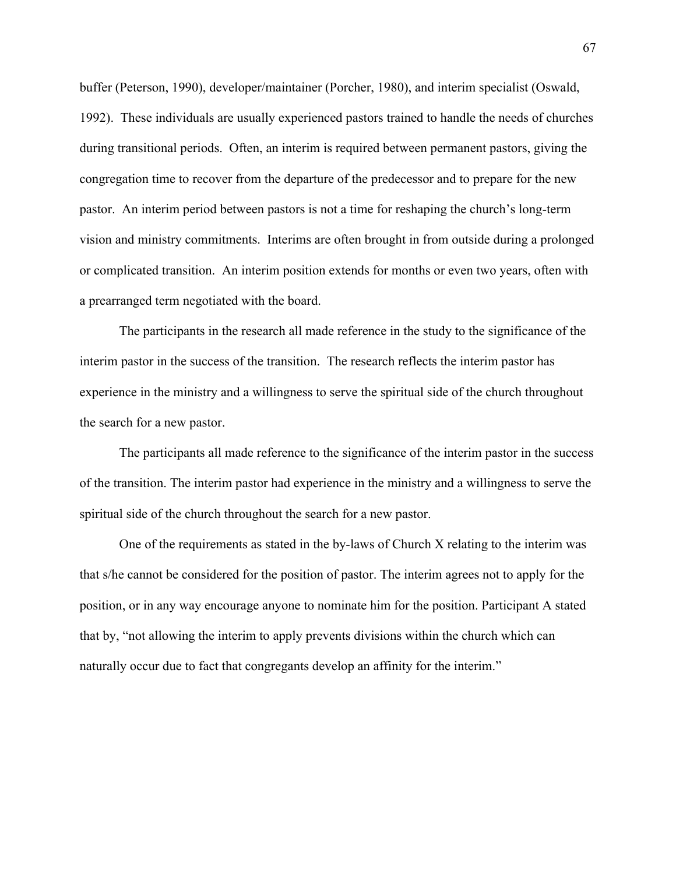buffer (Peterson, 1990), developer/maintainer (Porcher, 1980), and interim specialist (Oswald, 1992). These individuals are usually experienced pastors trained to handle the needs of churches during transitional periods. Often, an interim is required between permanent pastors, giving the congregation time to recover from the departure of the predecessor and to prepare for the new pastor. An interim period between pastors is not a time for reshaping the church's long-term vision and ministry commitments. Interims are often brought in from outside during a prolonged or complicated transition. An interim position extends for months or even two years, often with a prearranged term negotiated with the board.

The participants in the research all made reference in the study to the significance of the interim pastor in the success of the transition. The research reflects the interim pastor has experience in the ministry and a willingness to serve the spiritual side of the church throughout the search for a new pastor.

The participants all made reference to the significance of the interim pastor in the success of the transition. The interim pastor had experience in the ministry and a willingness to serve the spiritual side of the church throughout the search for a new pastor.

One of the requirements as stated in the by-laws of Church X relating to the interim was that s/he cannot be considered for the position of pastor. The interim agrees not to apply for the position, or in any way encourage anyone to nominate him for the position. Participant A stated that by, "not allowing the interim to apply prevents divisions within the church which can naturally occur due to fact that congregants develop an affinity for the interim."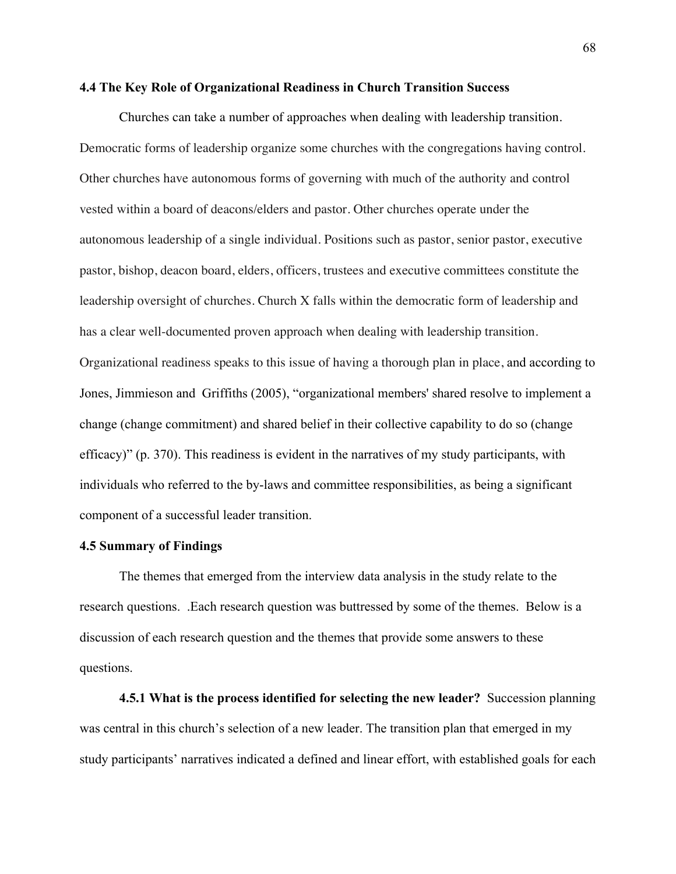#### **4.4 The Key Role of Organizational Readiness in Church Transition Success**

Churches can take a number of approaches when dealing with leadership transition. Democratic forms of leadership organize some churches with the congregations having control. Other churches have autonomous forms of governing with much of the authority and control vested within a board of deacons/elders and pastor. Other churches operate under the autonomous leadership of a single individual. Positions such as pastor, senior pastor, executive pastor, bishop, deacon board, elders, officers, trustees and executive committees constitute the leadership oversight of churches. Church X falls within the democratic form of leadership and has a clear well-documented proven approach when dealing with leadership transition. Organizational readiness speaks to this issue of having a thorough plan in place, and according to Jones, Jimmieson and Griffiths (2005), "organizational members' shared resolve to implement a change (change commitment) and shared belief in their collective capability to do so (change efficacy)" (p. 370). This readiness is evident in the narratives of my study participants, with individuals who referred to the by-laws and committee responsibilities, as being a significant component of a successful leader transition.

### **4.5 Summary of Findings**

The themes that emerged from the interview data analysis in the study relate to the research questions. .Each research question was buttressed by some of the themes. Below is a discussion of each research question and the themes that provide some answers to these questions.

**4.5.1 What is the process identified for selecting the new leader?** Succession planning was central in this church's selection of a new leader. The transition plan that emerged in my study participants' narratives indicated a defined and linear effort, with established goals for each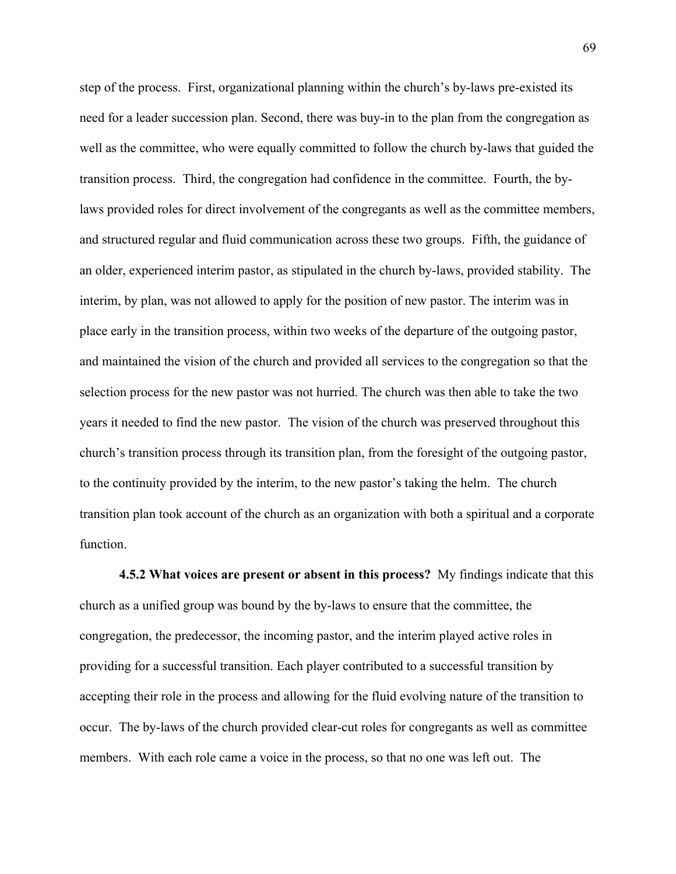step of the process. First, organizational planning within the church's by-laws pre-existed its need for a leader succession plan. Second, there was buy-in to the plan from the congregation as well as the committee, who were equally committed to follow the church by-laws that guided the transition process. Third, the congregation had confidence in the committee. Fourth, the bylaws provided roles for direct involvement of the congregants as well as the committee members, and structured regular and fluid communication across these two groups. Fifth, the guidance of an older, experienced interim pastor, as stipulated in the church by-laws, provided stability. The interim, by plan, was not allowed to apply for the position of new pastor. The interim was in place early in the transition process, within two weeks of the departure of the outgoing pastor, and maintained the vision of the church and provided all services to the congregation so that the selection process for the new pastor was not hurried. The church was then able to take the two years it needed to find the new pastor. The vision of the church was preserved throughout this church's transition process through its transition plan, from the foresight of the outgoing pastor, to the continuity provided by the interim, to the new pastor's taking the helm. The church transition plan took account of the church as an organization with both a spiritual and a corporate function.

**4.5.2 What voices are present or absent in this process?** My findings indicate that this church as a unified group was bound by the by-laws to ensure that the committee, the congregation, the predecessor, the incoming pastor, and the interim played active roles in providing for a successful transition. Each player contributed to a successful transition by accepting their role in the process and allowing for the fluid evolving nature of the transition to occur. The by-laws of the church provided clear-cut roles for congregants as well as committee members. With each role came a voice in the process, so that no one was left out. The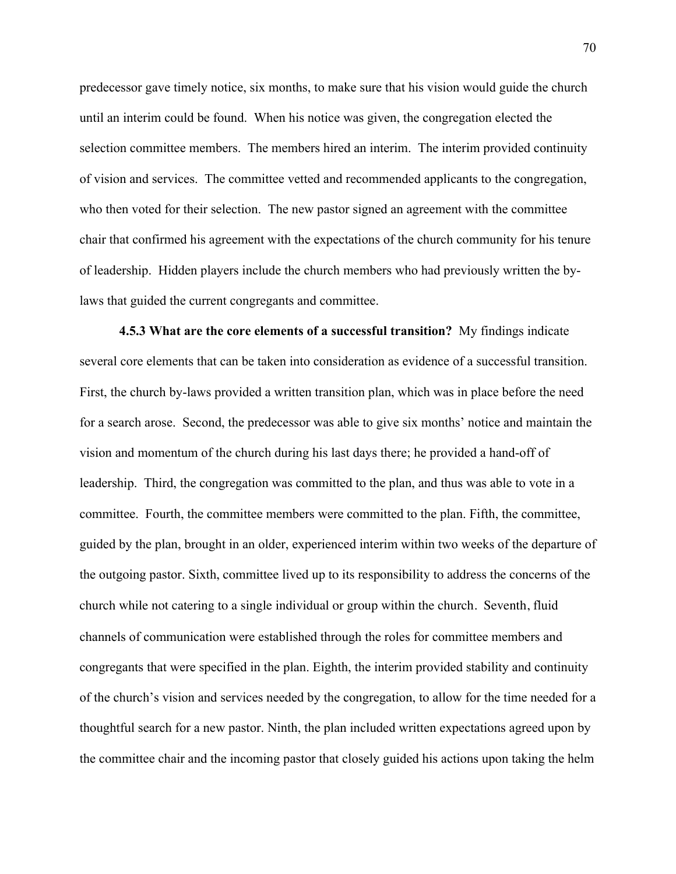predecessor gave timely notice, six months, to make sure that his vision would guide the church until an interim could be found. When his notice was given, the congregation elected the selection committee members. The members hired an interim. The interim provided continuity of vision and services. The committee vetted and recommended applicants to the congregation, who then voted for their selection. The new pastor signed an agreement with the committee chair that confirmed his agreement with the expectations of the church community for his tenure of leadership. Hidden players include the church members who had previously written the bylaws that guided the current congregants and committee.

**4.5.3 What are the core elements of a successful transition?** My findings indicate several core elements that can be taken into consideration as evidence of a successful transition. First, the church by-laws provided a written transition plan, which was in place before the need for a search arose. Second, the predecessor was able to give six months' notice and maintain the vision and momentum of the church during his last days there; he provided a hand-off of leadership. Third, the congregation was committed to the plan, and thus was able to vote in a committee. Fourth, the committee members were committed to the plan. Fifth, the committee, guided by the plan, brought in an older, experienced interim within two weeks of the departure of the outgoing pastor. Sixth, committee lived up to its responsibility to address the concerns of the church while not catering to a single individual or group within the church. Seventh, fluid channels of communication were established through the roles for committee members and congregants that were specified in the plan. Eighth, the interim provided stability and continuity of the church's vision and services needed by the congregation, to allow for the time needed for a thoughtful search for a new pastor. Ninth, the plan included written expectations agreed upon by the committee chair and the incoming pastor that closely guided his actions upon taking the helm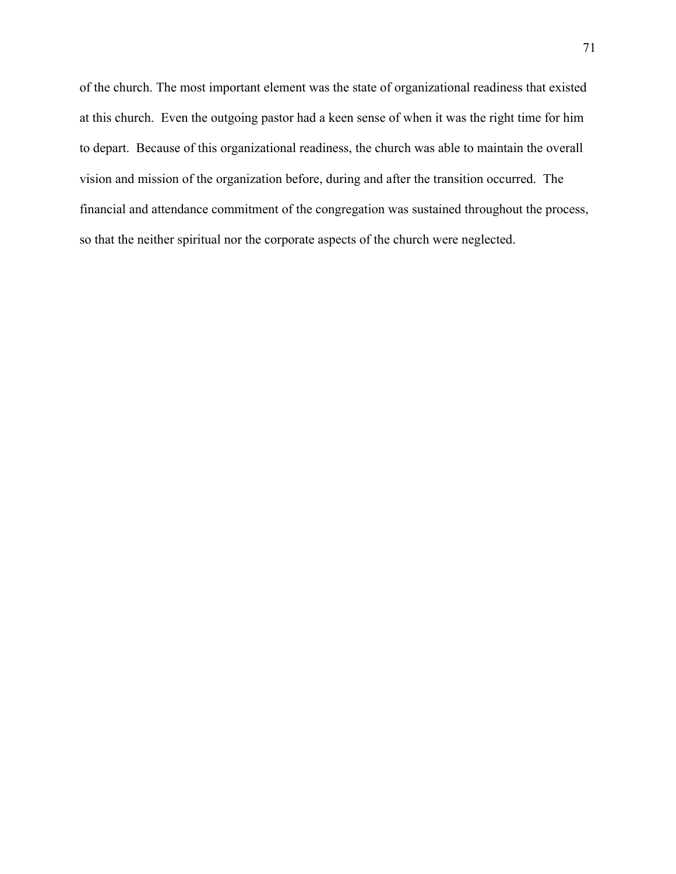of the church. The most important element was the state of organizational readiness that existed at this church. Even the outgoing pastor had a keen sense of when it was the right time for him to depart. Because of this organizational readiness, the church was able to maintain the overall vision and mission of the organization before, during and after the transition occurred. The financial and attendance commitment of the congregation was sustained throughout the process, so that the neither spiritual nor the corporate aspects of the church were neglected.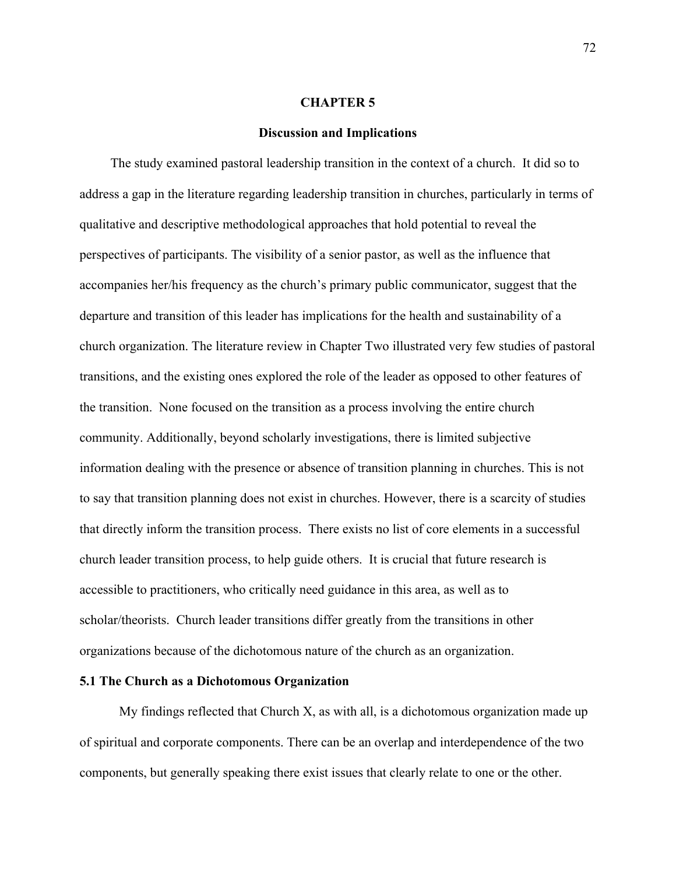#### **CHAPTER 5**

### **Discussion and Implications**

The study examined pastoral leadership transition in the context of a church. It did so to address a gap in the literature regarding leadership transition in churches, particularly in terms of qualitative and descriptive methodological approaches that hold potential to reveal the perspectives of participants. The visibility of a senior pastor, as well as the influence that accompanies her/his frequency as the church's primary public communicator, suggest that the departure and transition of this leader has implications for the health and sustainability of a church organization. The literature review in Chapter Two illustrated very few studies of pastoral transitions, and the existing ones explored the role of the leader as opposed to other features of the transition. None focused on the transition as a process involving the entire church community. Additionally, beyond scholarly investigations, there is limited subjective information dealing with the presence or absence of transition planning in churches. This is not to say that transition planning does not exist in churches. However, there is a scarcity of studies that directly inform the transition process. There exists no list of core elements in a successful church leader transition process, to help guide others. It is crucial that future research is accessible to practitioners, who critically need guidance in this area, as well as to scholar/theorists. Church leader transitions differ greatly from the transitions in other organizations because of the dichotomous nature of the church as an organization.

#### **5.1 The Church as a Dichotomous Organization**

My findings reflected that Church X, as with all, is a dichotomous organization made up of spiritual and corporate components. There can be an overlap and interdependence of the two components, but generally speaking there exist issues that clearly relate to one or the other.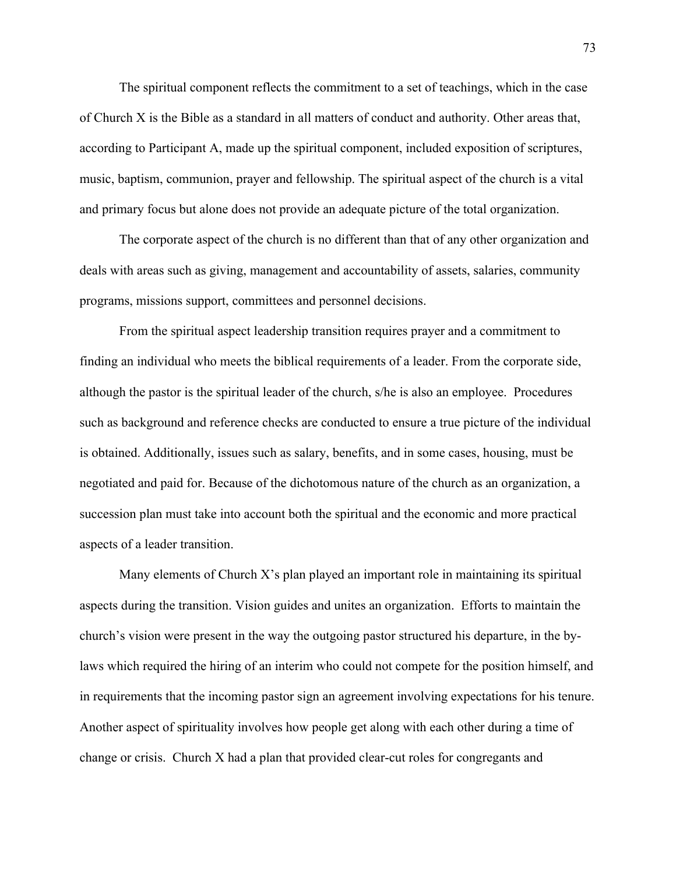The spiritual component reflects the commitment to a set of teachings, which in the case of Church X is the Bible as a standard in all matters of conduct and authority. Other areas that, according to Participant A, made up the spiritual component, included exposition of scriptures, music, baptism, communion, prayer and fellowship. The spiritual aspect of the church is a vital and primary focus but alone does not provide an adequate picture of the total organization.

The corporate aspect of the church is no different than that of any other organization and deals with areas such as giving, management and accountability of assets, salaries, community programs, missions support, committees and personnel decisions.

From the spiritual aspect leadership transition requires prayer and a commitment to finding an individual who meets the biblical requirements of a leader. From the corporate side, although the pastor is the spiritual leader of the church, s/he is also an employee. Procedures such as background and reference checks are conducted to ensure a true picture of the individual is obtained. Additionally, issues such as salary, benefits, and in some cases, housing, must be negotiated and paid for. Because of the dichotomous nature of the church as an organization, a succession plan must take into account both the spiritual and the economic and more practical aspects of a leader transition.

Many elements of Church X's plan played an important role in maintaining its spiritual aspects during the transition. Vision guides and unites an organization. Efforts to maintain the church's vision were present in the way the outgoing pastor structured his departure, in the bylaws which required the hiring of an interim who could not compete for the position himself, and in requirements that the incoming pastor sign an agreement involving expectations for his tenure. Another aspect of spirituality involves how people get along with each other during a time of change or crisis. Church X had a plan that provided clear-cut roles for congregants and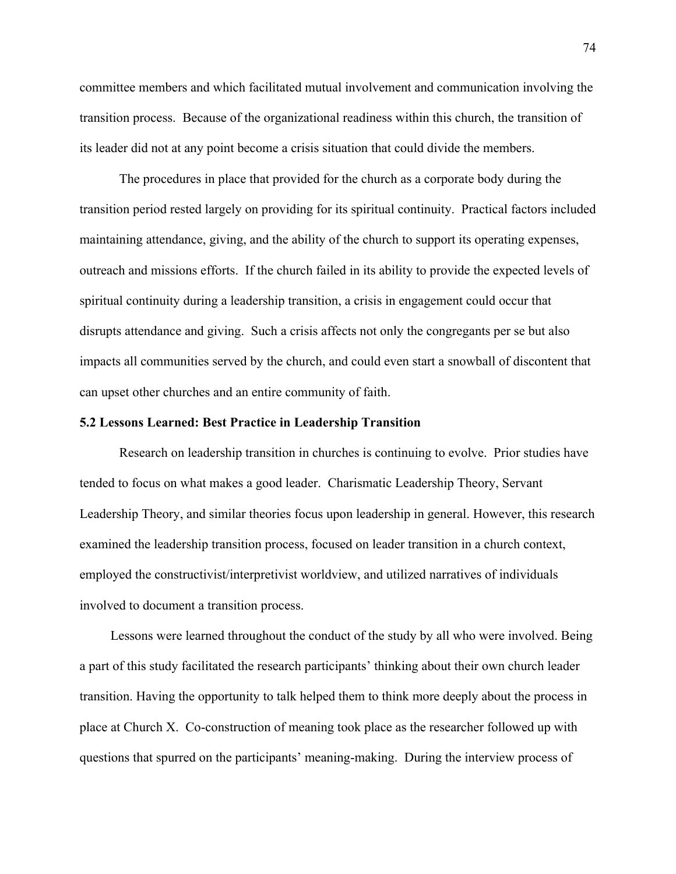committee members and which facilitated mutual involvement and communication involving the transition process. Because of the organizational readiness within this church, the transition of its leader did not at any point become a crisis situation that could divide the members.

The procedures in place that provided for the church as a corporate body during the transition period rested largely on providing for its spiritual continuity. Practical factors included maintaining attendance, giving, and the ability of the church to support its operating expenses, outreach and missions efforts. If the church failed in its ability to provide the expected levels of spiritual continuity during a leadership transition, a crisis in engagement could occur that disrupts attendance and giving. Such a crisis affects not only the congregants per se but also impacts all communities served by the church, and could even start a snowball of discontent that can upset other churches and an entire community of faith.

### **5.2 Lessons Learned: Best Practice in Leadership Transition**

Research on leadership transition in churches is continuing to evolve. Prior studies have tended to focus on what makes a good leader. Charismatic Leadership Theory, Servant Leadership Theory, and similar theories focus upon leadership in general. However, this research examined the leadership transition process, focused on leader transition in a church context, employed the constructivist/interpretivist worldview, and utilized narratives of individuals involved to document a transition process.

Lessons were learned throughout the conduct of the study by all who were involved. Being a part of this study facilitated the research participants' thinking about their own church leader transition. Having the opportunity to talk helped them to think more deeply about the process in place at Church X. Co-construction of meaning took place as the researcher followed up with questions that spurred on the participants' meaning-making. During the interview process of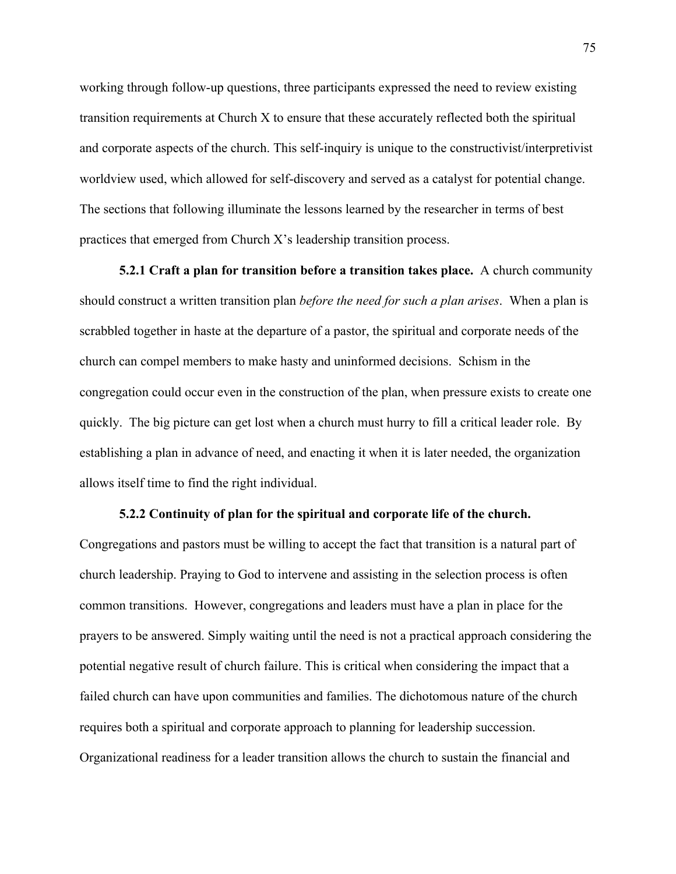working through follow-up questions, three participants expressed the need to review existing transition requirements at Church X to ensure that these accurately reflected both the spiritual and corporate aspects of the church. This self-inquiry is unique to the constructivist/interpretivist worldview used, which allowed for self-discovery and served as a catalyst for potential change. The sections that following illuminate the lessons learned by the researcher in terms of best practices that emerged from Church X's leadership transition process.

**5.2.1 Craft a plan for transition before a transition takes place.** A church community should construct a written transition plan *before the need for such a plan arises*. When a plan is scrabbled together in haste at the departure of a pastor, the spiritual and corporate needs of the church can compel members to make hasty and uninformed decisions. Schism in the congregation could occur even in the construction of the plan, when pressure exists to create one quickly. The big picture can get lost when a church must hurry to fill a critical leader role. By establishing a plan in advance of need, and enacting it when it is later needed, the organization allows itself time to find the right individual.

#### **5.2.2 Continuity of plan for the spiritual and corporate life of the church.**

Congregations and pastors must be willing to accept the fact that transition is a natural part of church leadership. Praying to God to intervene and assisting in the selection process is often common transitions. However, congregations and leaders must have a plan in place for the prayers to be answered. Simply waiting until the need is not a practical approach considering the potential negative result of church failure. This is critical when considering the impact that a failed church can have upon communities and families. The dichotomous nature of the church requires both a spiritual and corporate approach to planning for leadership succession. Organizational readiness for a leader transition allows the church to sustain the financial and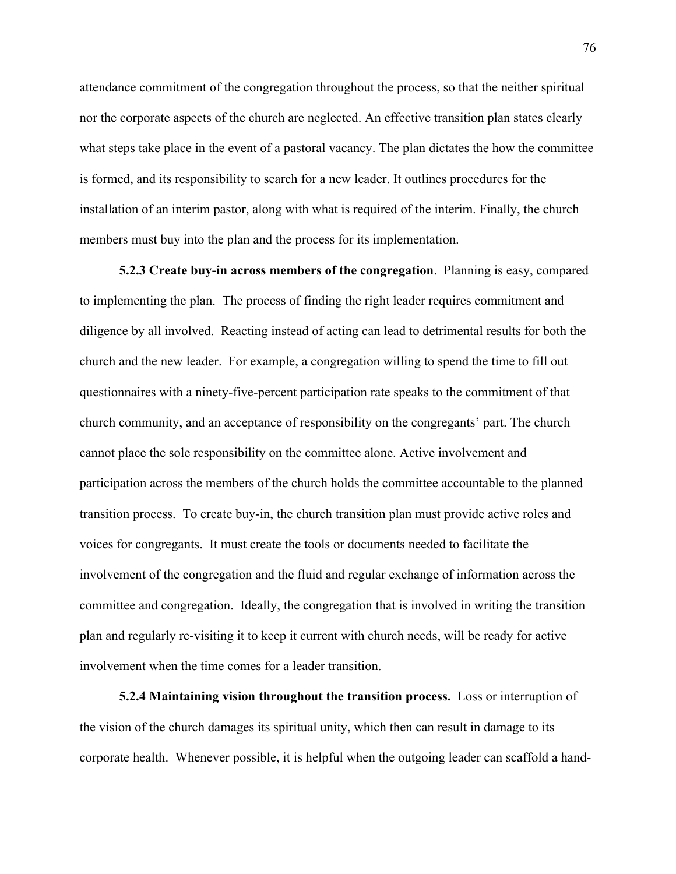attendance commitment of the congregation throughout the process, so that the neither spiritual nor the corporate aspects of the church are neglected. An effective transition plan states clearly what steps take place in the event of a pastoral vacancy. The plan dictates the how the committee is formed, and its responsibility to search for a new leader. It outlines procedures for the installation of an interim pastor, along with what is required of the interim. Finally, the church members must buy into the plan and the process for its implementation.

**5.2.3 Create buy-in across members of the congregation**. Planning is easy, compared to implementing the plan. The process of finding the right leader requires commitment and diligence by all involved. Reacting instead of acting can lead to detrimental results for both the church and the new leader. For example, a congregation willing to spend the time to fill out questionnaires with a ninety-five-percent participation rate speaks to the commitment of that church community, and an acceptance of responsibility on the congregants' part. The church cannot place the sole responsibility on the committee alone. Active involvement and participation across the members of the church holds the committee accountable to the planned transition process. To create buy-in, the church transition plan must provide active roles and voices for congregants. It must create the tools or documents needed to facilitate the involvement of the congregation and the fluid and regular exchange of information across the committee and congregation. Ideally, the congregation that is involved in writing the transition plan and regularly re-visiting it to keep it current with church needs, will be ready for active involvement when the time comes for a leader transition.

**5.2.4 Maintaining vision throughout the transition process.** Loss or interruption of the vision of the church damages its spiritual unity, which then can result in damage to its corporate health. Whenever possible, it is helpful when the outgoing leader can scaffold a hand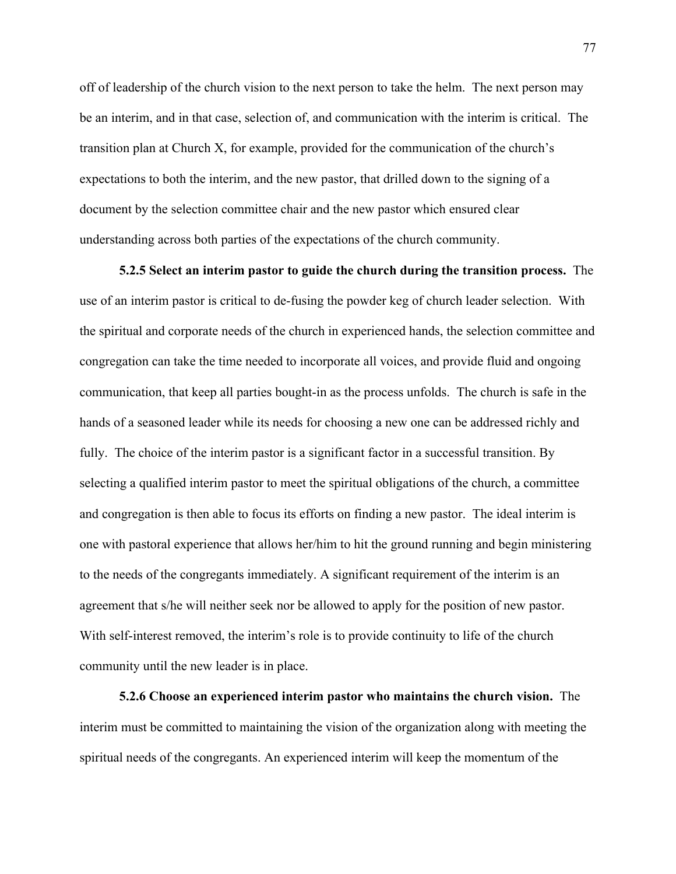off of leadership of the church vision to the next person to take the helm. The next person may be an interim, and in that case, selection of, and communication with the interim is critical. The transition plan at Church X, for example, provided for the communication of the church's expectations to both the interim, and the new pastor, that drilled down to the signing of a document by the selection committee chair and the new pastor which ensured clear understanding across both parties of the expectations of the church community.

**5.2.5 Select an interim pastor to guide the church during the transition process.** The use of an interim pastor is critical to de-fusing the powder keg of church leader selection. With the spiritual and corporate needs of the church in experienced hands, the selection committee and congregation can take the time needed to incorporate all voices, and provide fluid and ongoing communication, that keep all parties bought-in as the process unfolds. The church is safe in the hands of a seasoned leader while its needs for choosing a new one can be addressed richly and fully. The choice of the interim pastor is a significant factor in a successful transition. By selecting a qualified interim pastor to meet the spiritual obligations of the church, a committee and congregation is then able to focus its efforts on finding a new pastor. The ideal interim is one with pastoral experience that allows her/him to hit the ground running and begin ministering to the needs of the congregants immediately. A significant requirement of the interim is an agreement that s/he will neither seek nor be allowed to apply for the position of new pastor. With self-interest removed, the interim's role is to provide continuity to life of the church community until the new leader is in place.

**5.2.6 Choose an experienced interim pastor who maintains the church vision.** The interim must be committed to maintaining the vision of the organization along with meeting the spiritual needs of the congregants. An experienced interim will keep the momentum of the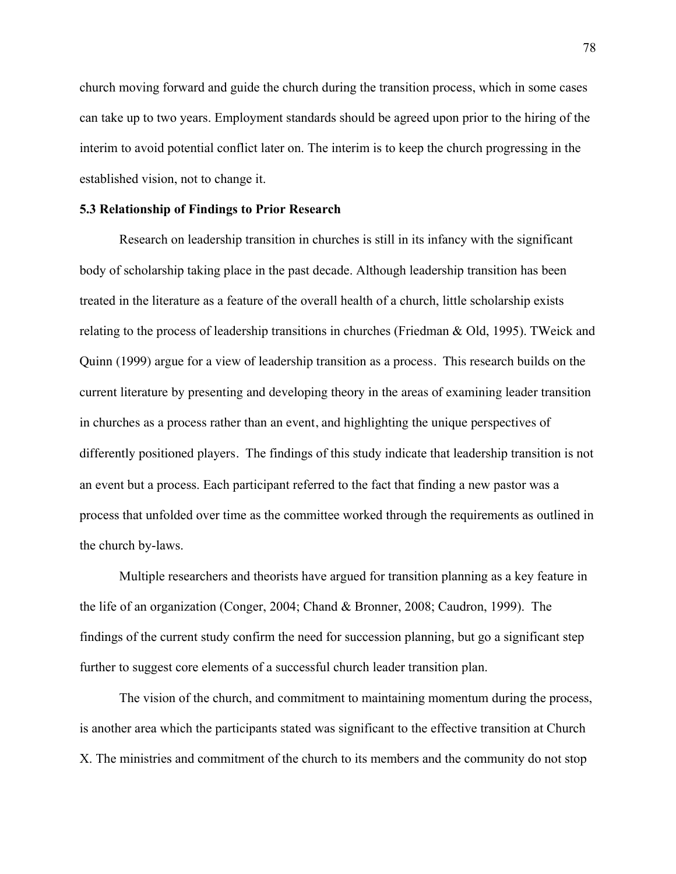church moving forward and guide the church during the transition process, which in some cases can take up to two years. Employment standards should be agreed upon prior to the hiring of the interim to avoid potential conflict later on. The interim is to keep the church progressing in the established vision, not to change it.

### **5.3 Relationship of Findings to Prior Research**

Research on leadership transition in churches is still in its infancy with the significant body of scholarship taking place in the past decade. Although leadership transition has been treated in the literature as a feature of the overall health of a church, little scholarship exists relating to the process of leadership transitions in churches (Friedman & Old, 1995). TWeick and Quinn (1999) argue for a view of leadership transition as a process. This research builds on the current literature by presenting and developing theory in the areas of examining leader transition in churches as a process rather than an event, and highlighting the unique perspectives of differently positioned players. The findings of this study indicate that leadership transition is not an event but a process. Each participant referred to the fact that finding a new pastor was a process that unfolded over time as the committee worked through the requirements as outlined in the church by-laws.

Multiple researchers and theorists have argued for transition planning as a key feature in the life of an organization (Conger, 2004; Chand & Bronner, 2008; Caudron, 1999). The findings of the current study confirm the need for succession planning, but go a significant step further to suggest core elements of a successful church leader transition plan.

The vision of the church, and commitment to maintaining momentum during the process, is another area which the participants stated was significant to the effective transition at Church X. The ministries and commitment of the church to its members and the community do not stop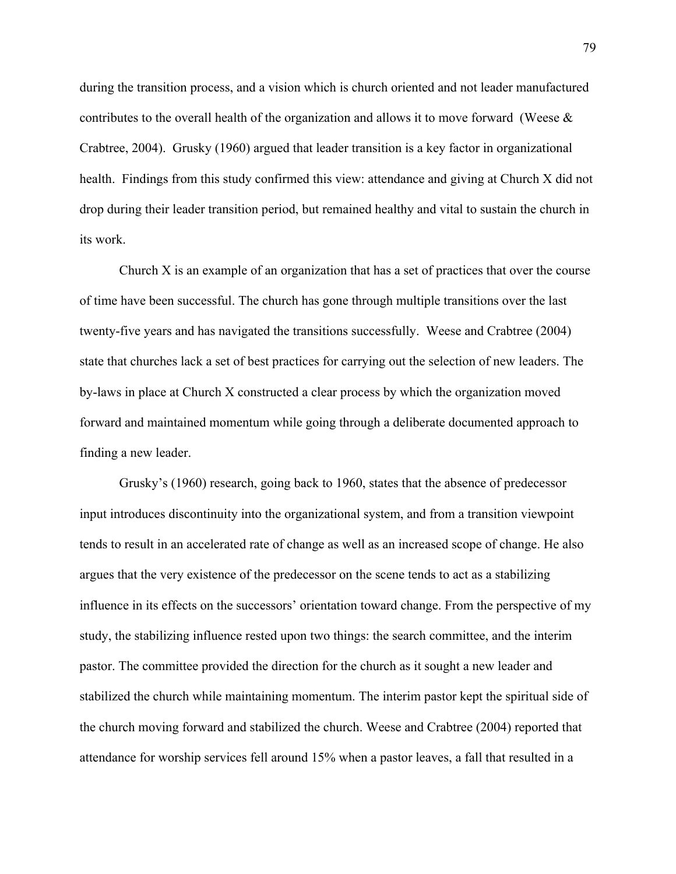during the transition process, and a vision which is church oriented and not leader manufactured contributes to the overall health of the organization and allows it to move forward (Weese & Crabtree, 2004). Grusky (1960) argued that leader transition is a key factor in organizational health. Findings from this study confirmed this view: attendance and giving at Church X did not drop during their leader transition period, but remained healthy and vital to sustain the church in its work.

Church X is an example of an organization that has a set of practices that over the course of time have been successful. The church has gone through multiple transitions over the last twenty-five years and has navigated the transitions successfully. Weese and Crabtree (2004) state that churches lack a set of best practices for carrying out the selection of new leaders. The by-laws in place at Church X constructed a clear process by which the organization moved forward and maintained momentum while going through a deliberate documented approach to finding a new leader.

Grusky's (1960) research, going back to 1960, states that the absence of predecessor input introduces discontinuity into the organizational system, and from a transition viewpoint tends to result in an accelerated rate of change as well as an increased scope of change. He also argues that the very existence of the predecessor on the scene tends to act as a stabilizing influence in its effects on the successors' orientation toward change. From the perspective of my study, the stabilizing influence rested upon two things: the search committee, and the interim pastor. The committee provided the direction for the church as it sought a new leader and stabilized the church while maintaining momentum. The interim pastor kept the spiritual side of the church moving forward and stabilized the church. Weese and Crabtree (2004) reported that attendance for worship services fell around 15% when a pastor leaves, a fall that resulted in a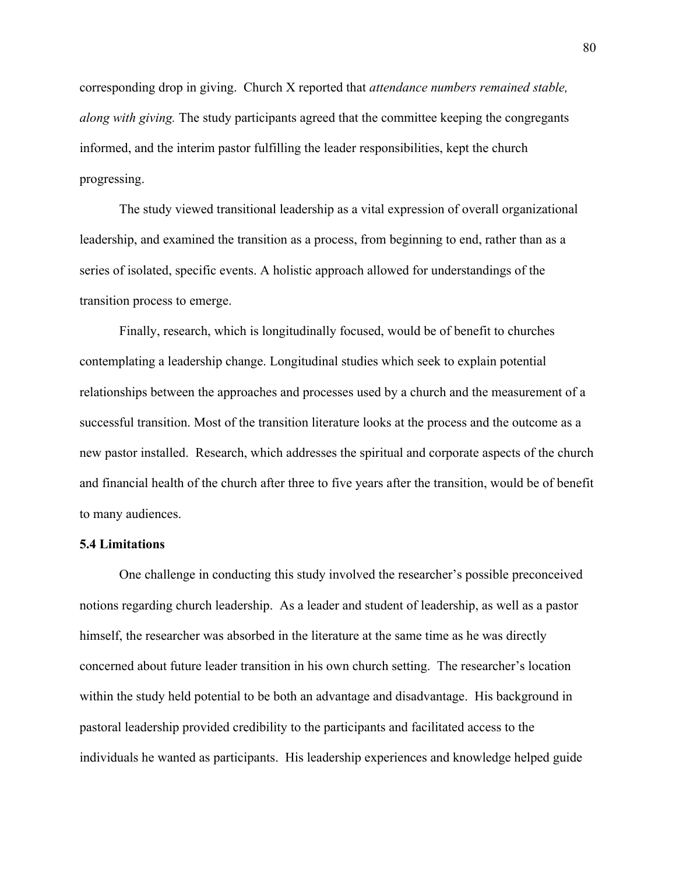corresponding drop in giving. Church X reported that *attendance numbers remained stable, along with giving.* The study participants agreed that the committee keeping the congregants informed, and the interim pastor fulfilling the leader responsibilities, kept the church progressing.

The study viewed transitional leadership as a vital expression of overall organizational leadership, and examined the transition as a process, from beginning to end, rather than as a series of isolated, specific events. A holistic approach allowed for understandings of the transition process to emerge.

Finally, research, which is longitudinally focused, would be of benefit to churches contemplating a leadership change. Longitudinal studies which seek to explain potential relationships between the approaches and processes used by a church and the measurement of a successful transition. Most of the transition literature looks at the process and the outcome as a new pastor installed. Research, which addresses the spiritual and corporate aspects of the church and financial health of the church after three to five years after the transition, would be of benefit to many audiences.

### **5.4 Limitations**

One challenge in conducting this study involved the researcher's possible preconceived notions regarding church leadership. As a leader and student of leadership, as well as a pastor himself, the researcher was absorbed in the literature at the same time as he was directly concerned about future leader transition in his own church setting. The researcher's location within the study held potential to be both an advantage and disadvantage. His background in pastoral leadership provided credibility to the participants and facilitated access to the individuals he wanted as participants. His leadership experiences and knowledge helped guide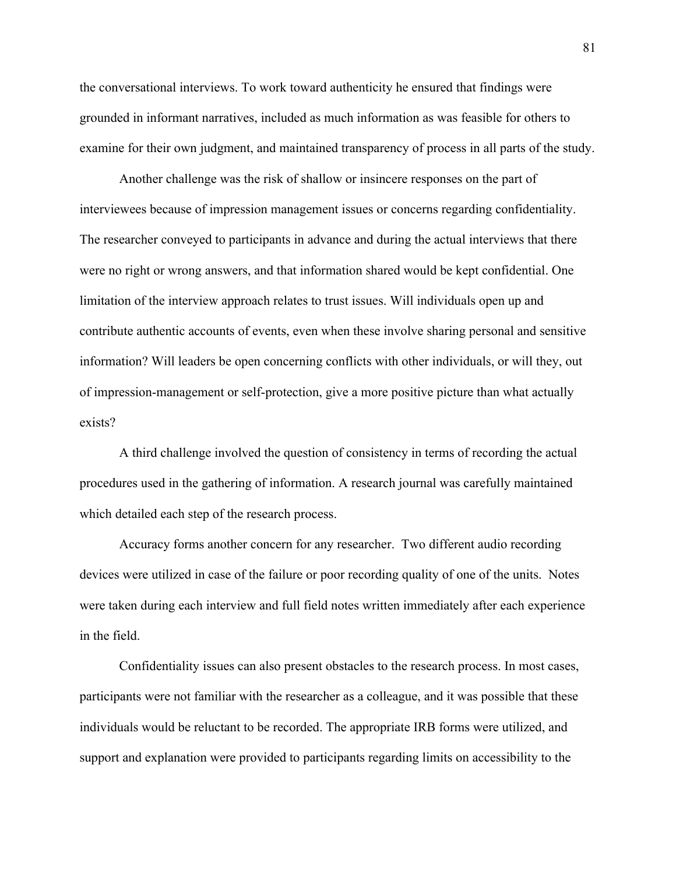the conversational interviews. To work toward authenticity he ensured that findings were grounded in informant narratives, included as much information as was feasible for others to examine for their own judgment, and maintained transparency of process in all parts of the study.

Another challenge was the risk of shallow or insincere responses on the part of interviewees because of impression management issues or concerns regarding confidentiality. The researcher conveyed to participants in advance and during the actual interviews that there were no right or wrong answers, and that information shared would be kept confidential. One limitation of the interview approach relates to trust issues. Will individuals open up and contribute authentic accounts of events, even when these involve sharing personal and sensitive information? Will leaders be open concerning conflicts with other individuals, or will they, out of impression-management or self-protection, give a more positive picture than what actually exists?

A third challenge involved the question of consistency in terms of recording the actual procedures used in the gathering of information. A research journal was carefully maintained which detailed each step of the research process.

Accuracy forms another concern for any researcher. Two different audio recording devices were utilized in case of the failure or poor recording quality of one of the units. Notes were taken during each interview and full field notes written immediately after each experience in the field.

Confidentiality issues can also present obstacles to the research process. In most cases, participants were not familiar with the researcher as a colleague, and it was possible that these individuals would be reluctant to be recorded. The appropriate IRB forms were utilized, and support and explanation were provided to participants regarding limits on accessibility to the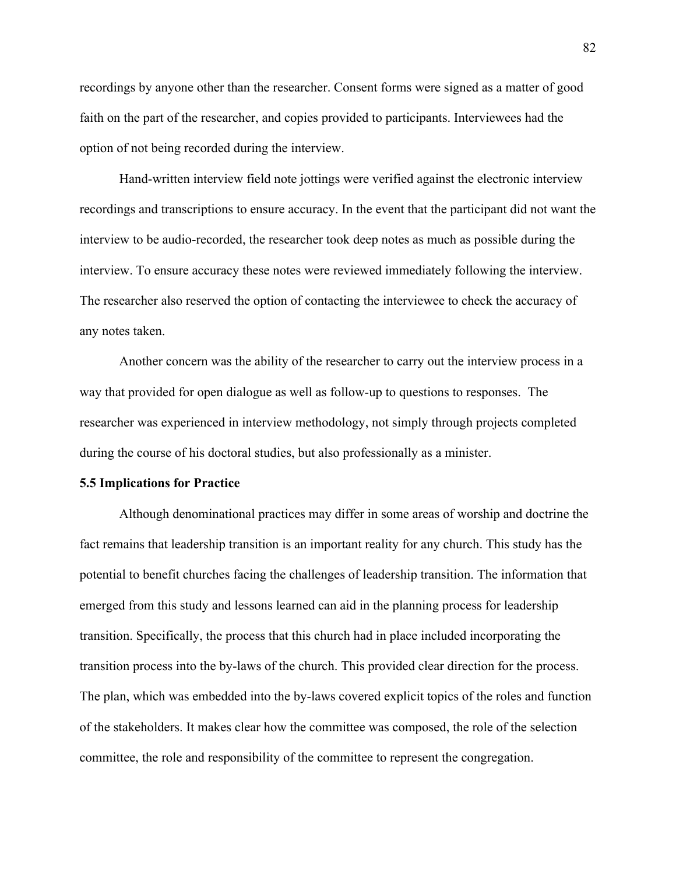recordings by anyone other than the researcher. Consent forms were signed as a matter of good faith on the part of the researcher, and copies provided to participants. Interviewees had the option of not being recorded during the interview.

Hand-written interview field note jottings were verified against the electronic interview recordings and transcriptions to ensure accuracy. In the event that the participant did not want the interview to be audio-recorded, the researcher took deep notes as much as possible during the interview. To ensure accuracy these notes were reviewed immediately following the interview. The researcher also reserved the option of contacting the interviewee to check the accuracy of any notes taken.

Another concern was the ability of the researcher to carry out the interview process in a way that provided for open dialogue as well as follow-up to questions to responses. The researcher was experienced in interview methodology, not simply through projects completed during the course of his doctoral studies, but also professionally as a minister.

#### **5.5 Implications for Practice**

Although denominational practices may differ in some areas of worship and doctrine the fact remains that leadership transition is an important reality for any church. This study has the potential to benefit churches facing the challenges of leadership transition. The information that emerged from this study and lessons learned can aid in the planning process for leadership transition. Specifically, the process that this church had in place included incorporating the transition process into the by-laws of the church. This provided clear direction for the process. The plan, which was embedded into the by-laws covered explicit topics of the roles and function of the stakeholders. It makes clear how the committee was composed, the role of the selection committee, the role and responsibility of the committee to represent the congregation.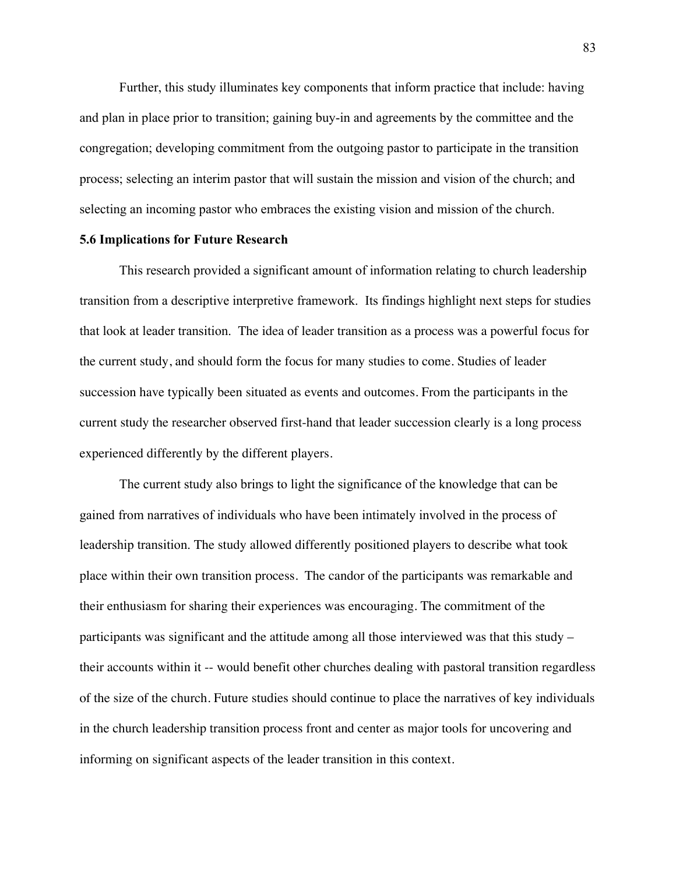Further, this study illuminates key components that inform practice that include: having and plan in place prior to transition; gaining buy-in and agreements by the committee and the congregation; developing commitment from the outgoing pastor to participate in the transition process; selecting an interim pastor that will sustain the mission and vision of the church; and selecting an incoming pastor who embraces the existing vision and mission of the church.

### **5.6 Implications for Future Research**

This research provided a significant amount of information relating to church leadership transition from a descriptive interpretive framework. Its findings highlight next steps for studies that look at leader transition. The idea of leader transition as a process was a powerful focus for the current study, and should form the focus for many studies to come. Studies of leader succession have typically been situated as events and outcomes. From the participants in the current study the researcher observed first-hand that leader succession clearly is a long process experienced differently by the different players.

The current study also brings to light the significance of the knowledge that can be gained from narratives of individuals who have been intimately involved in the process of leadership transition. The study allowed differently positioned players to describe what took place within their own transition process. The candor of the participants was remarkable and their enthusiasm for sharing their experiences was encouraging. The commitment of the participants was significant and the attitude among all those interviewed was that this study – their accounts within it -- would benefit other churches dealing with pastoral transition regardless of the size of the church. Future studies should continue to place the narratives of key individuals in the church leadership transition process front and center as major tools for uncovering and informing on significant aspects of the leader transition in this context.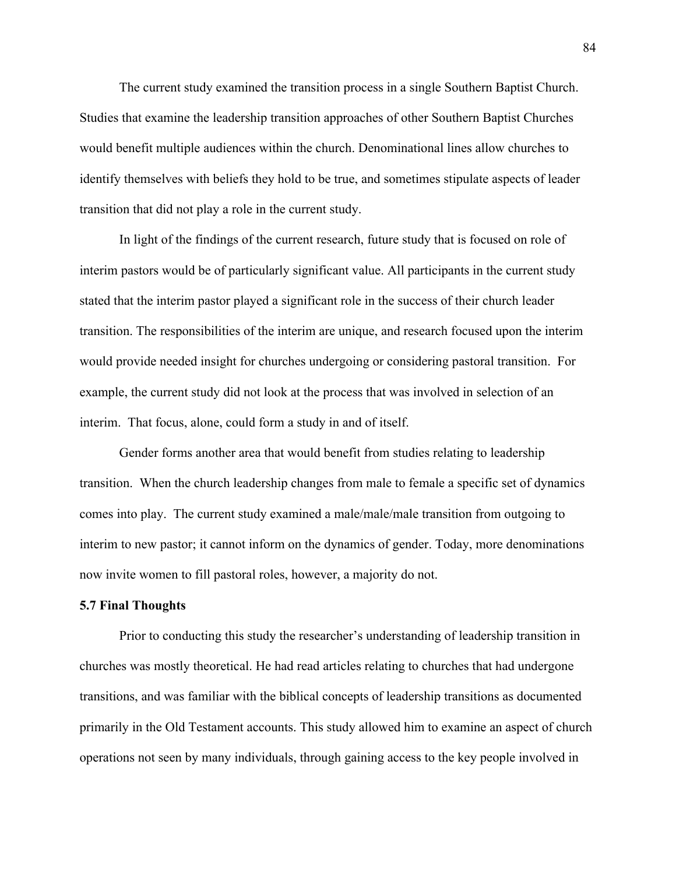The current study examined the transition process in a single Southern Baptist Church. Studies that examine the leadership transition approaches of other Southern Baptist Churches would benefit multiple audiences within the church. Denominational lines allow churches to identify themselves with beliefs they hold to be true, and sometimes stipulate aspects of leader transition that did not play a role in the current study.

In light of the findings of the current research, future study that is focused on role of interim pastors would be of particularly significant value. All participants in the current study stated that the interim pastor played a significant role in the success of their church leader transition. The responsibilities of the interim are unique, and research focused upon the interim would provide needed insight for churches undergoing or considering pastoral transition. For example, the current study did not look at the process that was involved in selection of an interim. That focus, alone, could form a study in and of itself.

Gender forms another area that would benefit from studies relating to leadership transition. When the church leadership changes from male to female a specific set of dynamics comes into play. The current study examined a male/male/male transition from outgoing to interim to new pastor; it cannot inform on the dynamics of gender. Today, more denominations now invite women to fill pastoral roles, however, a majority do not.

#### **5.7 Final Thoughts**

Prior to conducting this study the researcher's understanding of leadership transition in churches was mostly theoretical. He had read articles relating to churches that had undergone transitions, and was familiar with the biblical concepts of leadership transitions as documented primarily in the Old Testament accounts. This study allowed him to examine an aspect of church operations not seen by many individuals, through gaining access to the key people involved in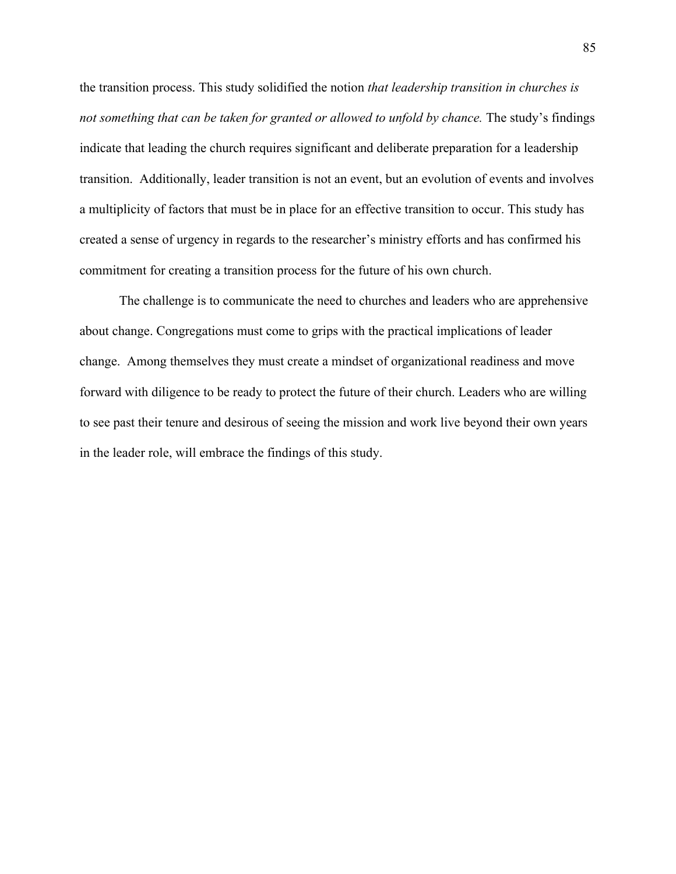the transition process. This study solidified the notion *that leadership transition in churches is not something that can be taken for granted or allowed to unfold by chance.* The study's findings indicate that leading the church requires significant and deliberate preparation for a leadership transition. Additionally, leader transition is not an event, but an evolution of events and involves a multiplicity of factors that must be in place for an effective transition to occur. This study has created a sense of urgency in regards to the researcher's ministry efforts and has confirmed his commitment for creating a transition process for the future of his own church.

The challenge is to communicate the need to churches and leaders who are apprehensive about change. Congregations must come to grips with the practical implications of leader change. Among themselves they must create a mindset of organizational readiness and move forward with diligence to be ready to protect the future of their church. Leaders who are willing to see past their tenure and desirous of seeing the mission and work live beyond their own years in the leader role, will embrace the findings of this study.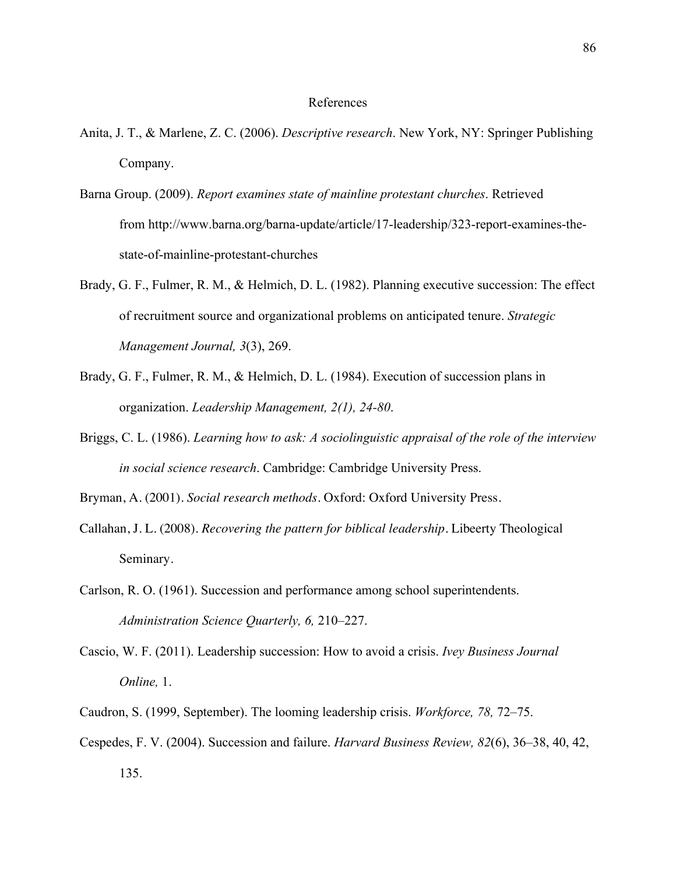# References

- Anita, J. T., & Marlene, Z. C. (2006). *Descriptive research*. New York, NY: Springer Publishing Company.
- Barna Group. (2009). *Report examines state of mainline protestant churches*. Retrieved from http://www.barna.org/barna-update/article/17-leadership/323-report-examines-thestate-of-mainline-protestant-churches
- Brady, G. F., Fulmer, R. M., & Helmich, D. L. (1982). Planning executive succession: The effect of recruitment source and organizational problems on anticipated tenure. *Strategic Management Journal, 3*(3), 269.
- Brady, G. F., Fulmer, R. M., & Helmich, D. L. (1984). Execution of succession plans in organization. *Leadership Management, 2(1), 24-80*.
- Briggs, C. L. (1986). *Learning how to ask: A sociolinguistic appraisal of the role of the interview in social science research*. Cambridge: Cambridge University Press.

Bryman, A. (2001). *Social research methods*. Oxford: Oxford University Press.

- Callahan, J. L. (2008). *Recovering the pattern for biblical leadership.* Libeerty Theological Seminary.
- Carlson, R. O. (1961). Succession and performance among school superintendents. *Administration Science Quarterly, 6,* 210–227.
- Cascio, W. F. (2011). Leadership succession: How to avoid a crisis. *Ivey Business Journal Online,* 1.
- Caudron, S. (1999, September). The looming leadership crisis. *Workforce, 78,* 72–75.
- Cespedes, F. V. (2004). Succession and failure. *Harvard Business Review, 82*(6), 36–38, 40, 42, 135.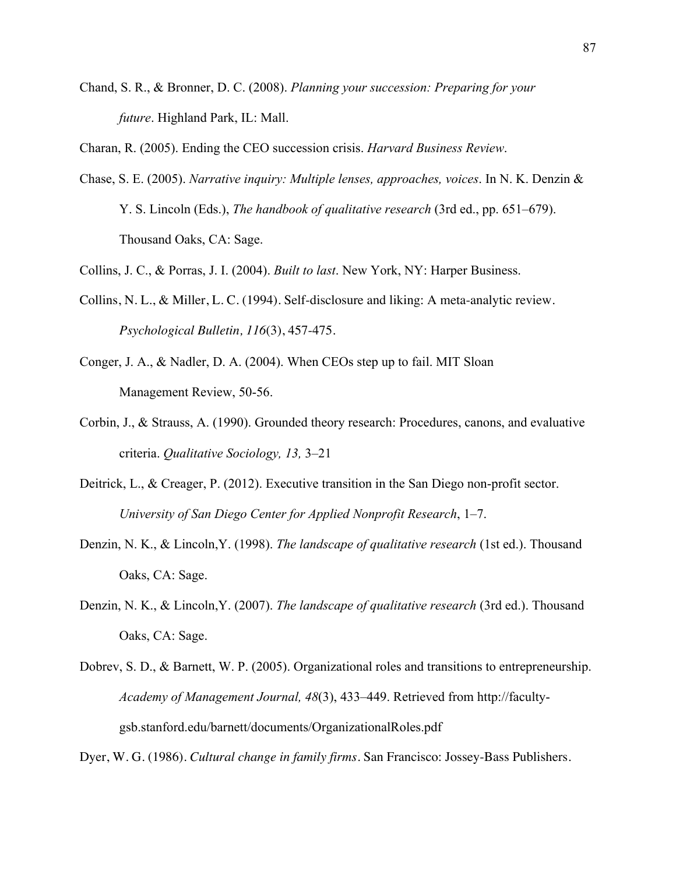Chand, S. R., & Bronner, D. C. (2008). *Planning your succession: Preparing for your future*. Highland Park, IL: Mall.

Charan, R. (2005). Ending the CEO succession crisis. *Harvard Business Review*.

Chase, S. E. (2005). *Narrative inquiry: Multiple lenses, approaches, voices*. In N. K. Denzin & Y. S. Lincoln (Eds.), *The handbook of qualitative research* (3rd ed., pp. 651–679). Thousand Oaks, CA: Sage.

Collins, J. C., & Porras, J. I. (2004). *Built to last*. New York, NY: Harper Business.

- Collins, N. L., & Miller, L. C. (1994). Self-disclosure and liking: A meta-analytic review. *Psychological Bulletin, 116*(3), 457-475.
- Conger, J. A., & Nadler, D. A. (2004). When CEOs step up to fail. MIT Sloan Management Review, 50-56.
- Corbin, J., & Strauss, A. (1990). Grounded theory research: Procedures, canons, and evaluative criteria. *Qualitative Sociology, 13,* 3–21
- Deitrick, L., & Creager, P. (2012). Executive transition in the San Diego non-profit sector. *University of San Diego Center for Applied Nonprofit Research*, 1–7.
- Denzin, N. K., & Lincoln,Y. (1998). *The landscape of qualitative research* (1st ed.). Thousand Oaks, CA: Sage.
- Denzin, N. K., & Lincoln,Y. (2007). *The landscape of qualitative research* (3rd ed.). Thousand Oaks, CA: Sage.
- Dobrev, S. D., & Barnett, W. P. (2005). Organizational roles and transitions to entrepreneurship. *Academy of Management Journal, 48*(3), 433–449. Retrieved from http://facultygsb.stanford.edu/barnett/documents/OrganizationalRoles.pdf

Dyer, W. G. (1986). *Cultural change in family firms*. San Francisco: Jossey-Bass Publishers.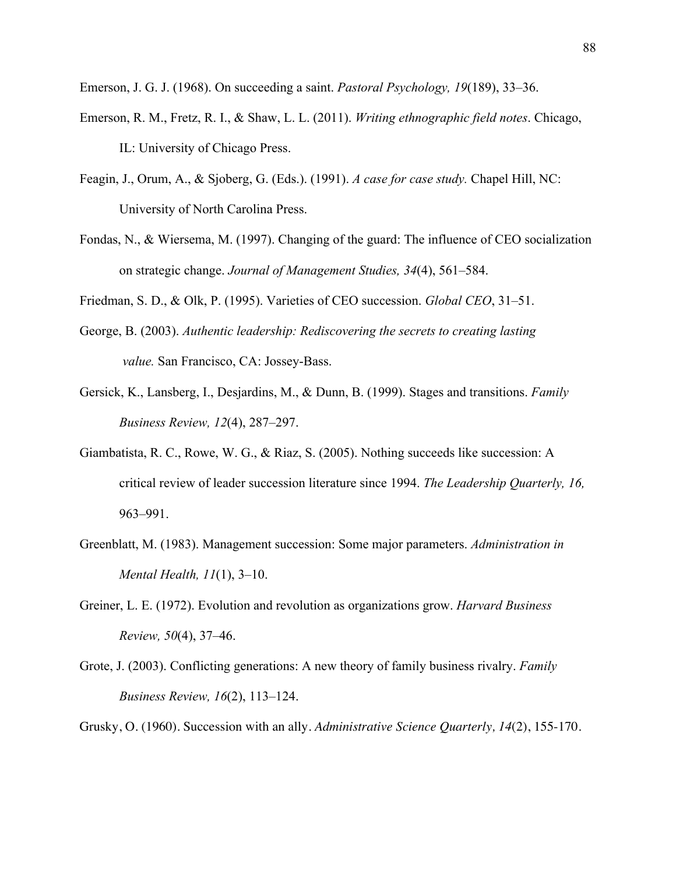Emerson, J. G. J. (1968). On succeeding a saint. *Pastoral Psychology, 19*(189), 33–36.

- Emerson, R. M., Fretz, R. I., & Shaw, L. L. (2011). *Writing ethnographic field notes*. Chicago, IL: University of Chicago Press.
- Feagin, J., Orum, A., & Sjoberg, G. (Eds.). (1991). *A case for case study.* Chapel Hill, NC: University of North Carolina Press.
- Fondas, N., & Wiersema, M. (1997). Changing of the guard: The influence of CEO socialization on strategic change. *Journal of Management Studies, 34*(4), 561–584.

Friedman, S. D., & Olk, P. (1995). Varieties of CEO succession. *Global CEO*, 31–51.

- George, B. (2003). *Authentic leadership: Rediscovering the secrets to creating lasting value.* San Francisco, CA: Jossey-Bass.
- Gersick, K., Lansberg, I., Desjardins, M., & Dunn, B. (1999). Stages and transitions. *Family Business Review, 12*(4), 287–297.
- Giambatista, R. C., Rowe, W. G., & Riaz, S. (2005). Nothing succeeds like succession: A critical review of leader succession literature since 1994. *The Leadership Quarterly, 16,*  963–991.
- Greenblatt, M. (1983). Management succession: Some major parameters. *Administration in Mental Health, 11*(1), 3–10.
- Greiner, L. E. (1972). Evolution and revolution as organizations grow. *Harvard Business Review, 50*(4), 37–46.
- Grote, J. (2003). Conflicting generations: A new theory of family business rivalry. *Family Business Review, 16*(2), 113–124.
- Grusky, O. (1960). Succession with an ally. *Administrative Science Quarterly, 14*(2), 155-170.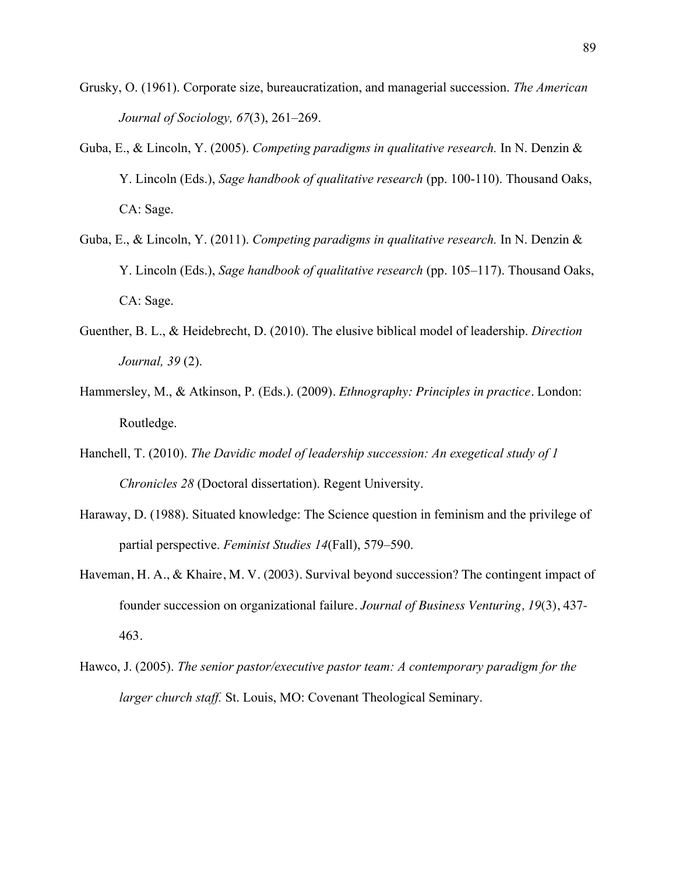- Grusky, O. (1961). Corporate size, bureaucratization, and managerial succession. *The American Journal of Sociology, 67*(3), 261–269.
- Guba, E., & Lincoln, Y. (2005). *Competing paradigms in qualitative research.* In N. Denzin & Y. Lincoln (Eds.), *Sage handbook of qualitative research* (pp. 100-110). Thousand Oaks, CA: Sage.
- Guba, E., & Lincoln, Y. (2011). *Competing paradigms in qualitative research.* In N. Denzin & Y. Lincoln (Eds.), *Sage handbook of qualitative research* (pp. 105–117). Thousand Oaks, CA: Sage.
- Guenther, B. L., & Heidebrecht, D. (2010). The elusive biblical model of leadership. *Direction Journal, 39* (2).
- Hammersley, M., & Atkinson, P. (Eds.). (2009). *Ethnography: Principles in practice*. London: Routledge.
- Hanchell, T. (2010). *The Davidic model of leadership succession: An exegetical study of 1 Chronicles 28* (Doctoral dissertation). Regent University.
- Haraway, D. (1988). Situated knowledge: The Science question in feminism and the privilege of partial perspective. *Feminist Studies 14*(Fall), 579–590.
- Haveman, H. A., & Khaire, M. V. (2003). Survival beyond succession? The contingent impact of founder succession on organizational failure. *Journal of Business Venturing, 19*(3), 437- 463.
- Hawco, J. (2005). *The senior pastor/executive pastor team: A contemporary paradigm for the larger church staff.* St. Louis, MO: Covenant Theological Seminary.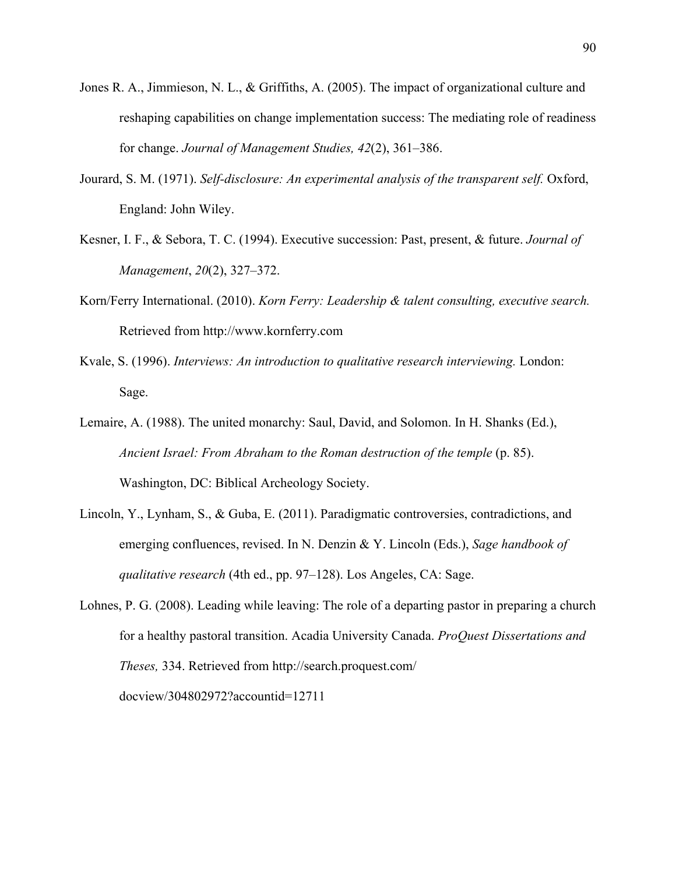- Jones R. A., Jimmieson, N. L., & Griffiths, A. (2005). The impact of organizational culture and reshaping capabilities on change implementation success: The mediating role of readiness for change. *Journal of Management Studies, 42*(2), 361–386.
- Jourard, S. M. (1971). *Self-disclosure: An experimental analysis of the transparent self.* Oxford, England: John Wiley.
- Kesner, I. F., & Sebora, T. C. (1994). Executive succession: Past, present, & future. *Journal of Management*, *20*(2), 327–372.
- Korn/Ferry International. (2010). *Korn Ferry: Leadership & talent consulting, executive search.*  Retrieved from http://www.kornferry.com
- Kvale, S. (1996). *Interviews: An introduction to qualitative research interviewing.* London: Sage.
- Lemaire, A. (1988). The united monarchy: Saul, David, and Solomon. In H. Shanks (Ed.), *Ancient Israel: From Abraham to the Roman destruction of the temple* (p. 85). Washington, DC: Biblical Archeology Society.
- Lincoln, Y., Lynham, S., & Guba, E. (2011). Paradigmatic controversies, contradictions, and emerging confluences, revised. In N. Denzin & Y. Lincoln (Eds.), *Sage handbook of qualitative research* (4th ed., pp. 97–128). Los Angeles, CA: Sage.
- Lohnes, P. G. (2008). Leading while leaving: The role of a departing pastor in preparing a church for a healthy pastoral transition. Acadia University Canada. *ProQuest Dissertations and Theses,* 334. Retrieved from http://search.proquest.com/ docview/304802972?accountid=12711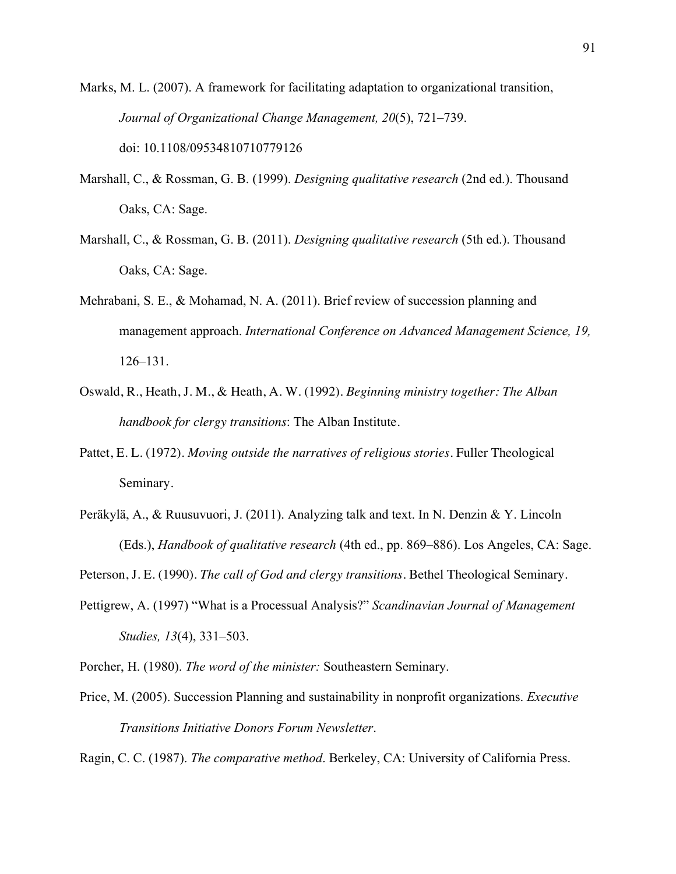Marks, M. L. (2007). A framework for facilitating adaptation to organizational transition, *Journal of Organizational Change Management, 20*(5), 721–739. doi: 10.1108/09534810710779126

- Marshall, C., & Rossman, G. B. (1999). *Designing qualitative research* (2nd ed.). Thousand Oaks, CA: Sage.
- Marshall, C., & Rossman, G. B. (2011). *Designing qualitative research* (5th ed.). Thousand Oaks, CA: Sage.
- Mehrabani, S. E., & Mohamad, N. A. (2011). Brief review of succession planning and management approach. *International Conference on Advanced Management Science, 19,*  126–131.
- Oswald, R., Heath, J. M., & Heath, A. W. (1992). *Beginning ministry together: The Alban handbook for clergy transitions*: The Alban Institute.
- Pattet, E. L. (1972). *Moving outside the narratives of religious stories.* Fuller Theological Seminary.
- Peräkylä, A., & Ruusuvuori, J. (2011). Analyzing talk and text. In N. Denzin & Y. Lincoln (Eds.), *Handbook of qualitative research* (4th ed., pp. 869–886). Los Angeles, CA: Sage.
- Peterson, J. E. (1990). *The call of God and clergy transitions.* Bethel Theological Seminary.
- Pettigrew, A. (1997) "What is a Processual Analysis?" *Scandinavian Journal of Management Studies, 13*(4), 331–503.
- Porcher, H. (1980). *The word of the minister:* Southeastern Seminary.
- Price, M. (2005). Succession Planning and sustainability in nonprofit organizations. *Executive Transitions Initiative Donors Forum Newsletter*.

Ragin, C. C. (1987). *The comparative method*. Berkeley, CA: University of California Press.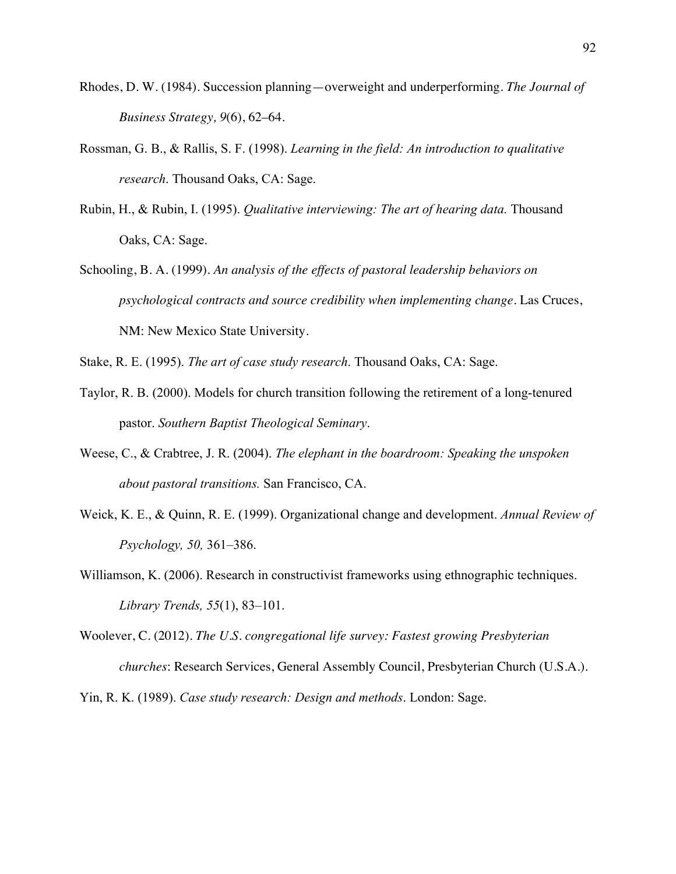- Rhodes, D. W. (1984). Succession planning—overweight and underperforming. *The Journal of Business Strategy, 9*(6), 62–64.
- Rossman, G. B., & Rallis, S. F. (1998). *Learning in the field: An introduction to qualitative research*. Thousand Oaks, CA: Sage.
- Rubin, H., & Rubin, I. (1995). *Qualitative interviewing: The art of hearing data.* Thousand Oaks, CA: Sage.
- Schooling, B. A. (1999). *An analysis of the effects of pastoral leadership behaviors on psychological contracts and source credibility when implementing change.* Las Cruces, NM: New Mexico State University.
- Stake, R. E. (1995). *The art of case study research*. Thousand Oaks, CA: Sage.
- Taylor, R. B. (2000). Models for church transition following the retirement of a long-tenured pastor. *Southern Baptist Theological Seminary*.
- Weese, C., & Crabtree, J. R. (2004). *The elephant in the boardroom: Speaking the unspoken about pastoral transitions.* San Francisco, CA.
- Weick, K. E., & Quinn, R. E. (1999). Organizational change and development. *Annual Review of Psychology, 50,* 361–386.
- Williamson, K. (2006). Research in constructivist frameworks using ethnographic techniques. *Library Trends, 55*(1), 83–101.
- Woolever, C. (2012). *The U.S. congregational life survey: Fastest growing Presbyterian churches*: Research Services, General Assembly Council, Presbyterian Church (U.S.A.).

Yin, R. K. (1989). *Case study research: Design and methods*. London: Sage.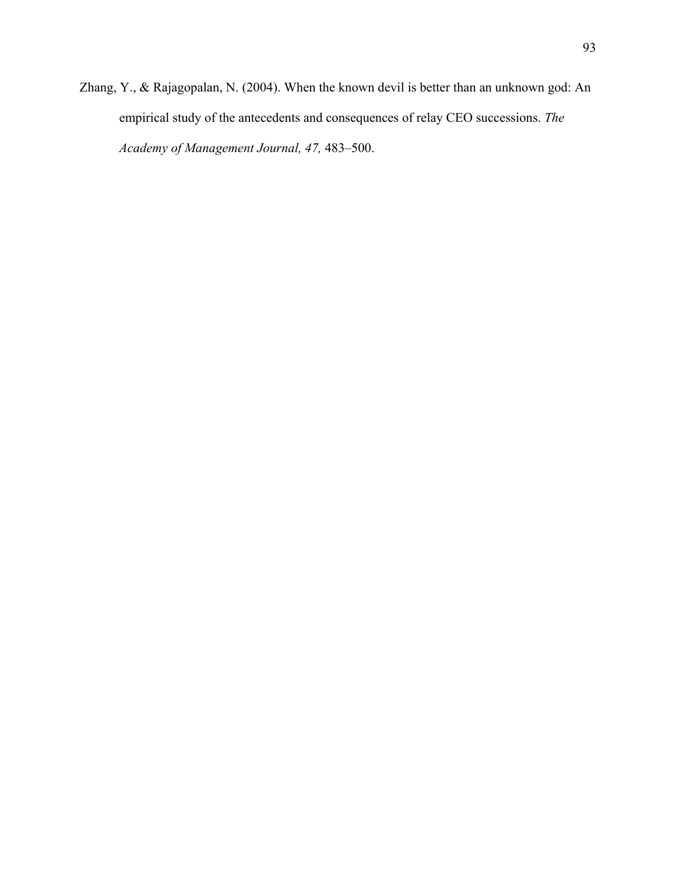Zhang, Y., & Rajagopalan, N. (2004). When the known devil is better than an unknown god: An empirical study of the antecedents and consequences of relay CEO successions. *The Academy of Management Journal, 47,* 483–500.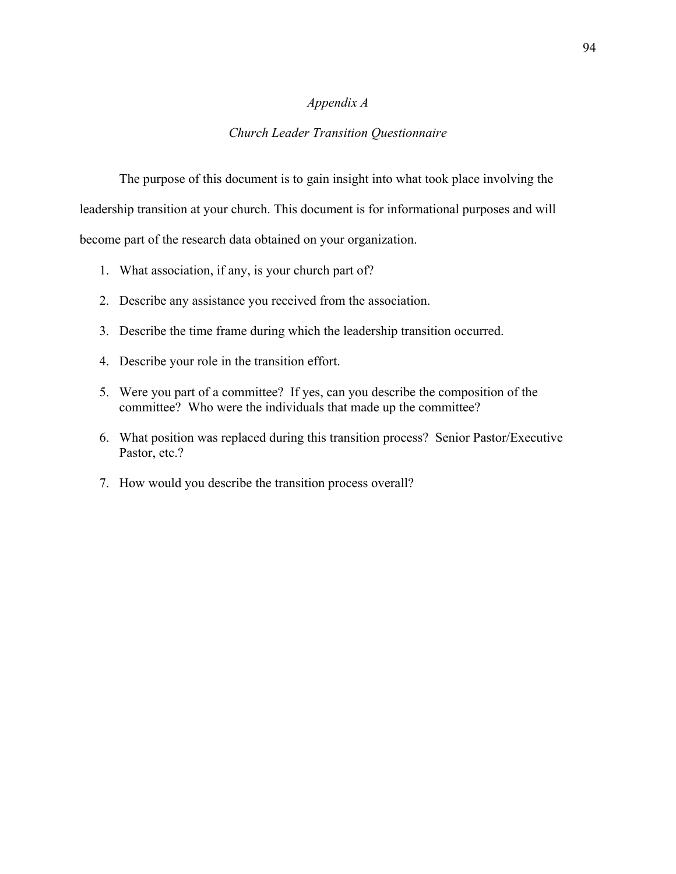# *Appendix A*

# *Church Leader Transition Questionnaire*

The purpose of this document is to gain insight into what took place involving the leadership transition at your church. This document is for informational purposes and will become part of the research data obtained on your organization.

- 1. What association, if any, is your church part of?
- 2. Describe any assistance you received from the association.
- 3. Describe the time frame during which the leadership transition occurred.
- 4. Describe your role in the transition effort.
- 5. Were you part of a committee? If yes, can you describe the composition of the committee? Who were the individuals that made up the committee?
- 6. What position was replaced during this transition process? Senior Pastor/Executive Pastor, etc.?
- 7. How would you describe the transition process overall?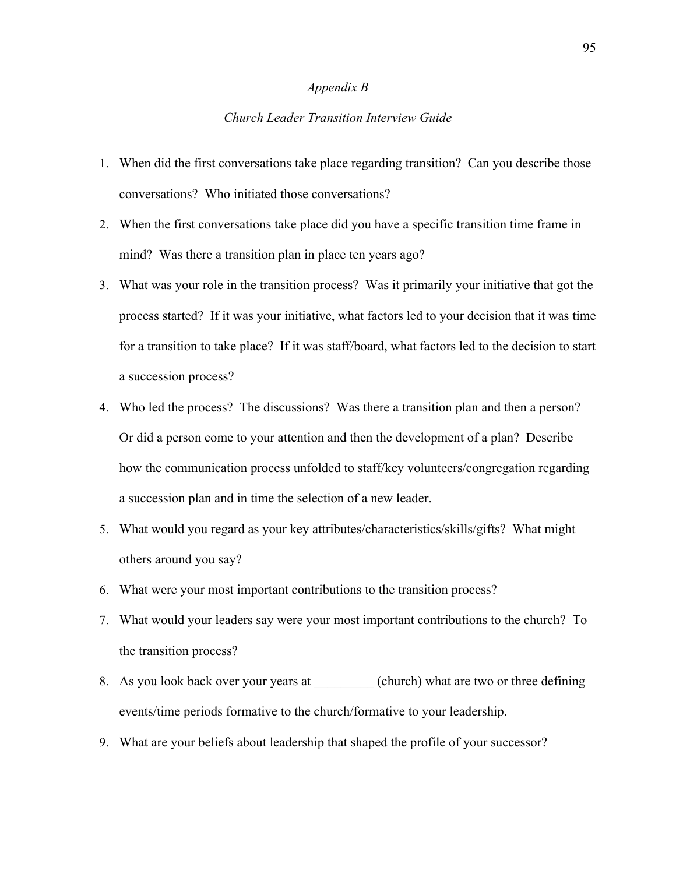### *Appendix B*

# *Church Leader Transition Interview Guide*

- 1. When did the first conversations take place regarding transition? Can you describe those conversations? Who initiated those conversations?
- 2. When the first conversations take place did you have a specific transition time frame in mind? Was there a transition plan in place ten years ago?
- 3. What was your role in the transition process? Was it primarily your initiative that got the process started? If it was your initiative, what factors led to your decision that it was time for a transition to take place? If it was staff/board, what factors led to the decision to start a succession process?
- 4. Who led the process? The discussions? Was there a transition plan and then a person? Or did a person come to your attention and then the development of a plan? Describe how the communication process unfolded to staff/key volunteers/congregation regarding a succession plan and in time the selection of a new leader.
- 5. What would you regard as your key attributes/characteristics/skills/gifts? What might others around you say?
- 6. What were your most important contributions to the transition process?
- 7. What would your leaders say were your most important contributions to the church? To the transition process?
- 8. As you look back over your years at (church) what are two or three defining events/time periods formative to the church/formative to your leadership.
- 9. What are your beliefs about leadership that shaped the profile of your successor?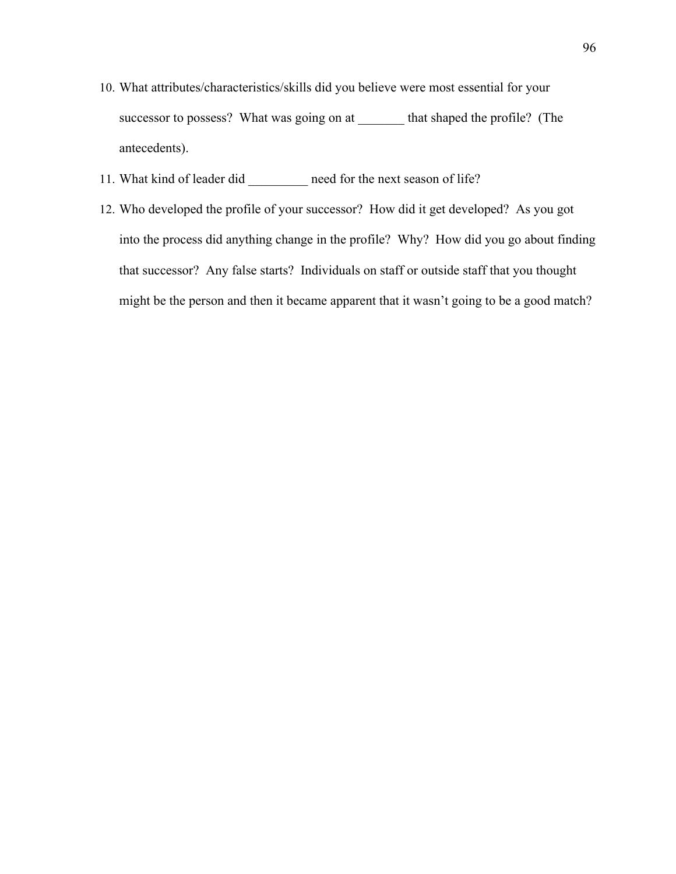- 10. What attributes/characteristics/skills did you believe were most essential for your successor to possess? What was going on at \_\_\_\_\_\_\_ that shaped the profile? (The antecedents).
- 11. What kind of leader did \_\_\_\_\_\_\_\_\_ need for the next season of life?
- 12. Who developed the profile of your successor? How did it get developed? As you got into the process did anything change in the profile? Why? How did you go about finding that successor? Any false starts? Individuals on staff or outside staff that you thought might be the person and then it became apparent that it wasn't going to be a good match?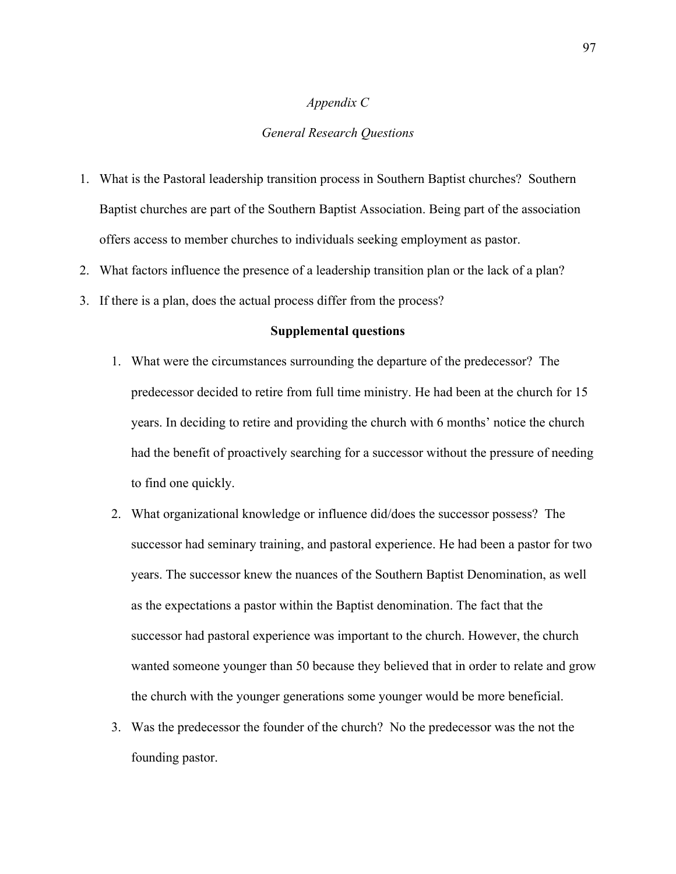# *Appendix C*

# *General Research Questions*

- 1. What is the Pastoral leadership transition process in Southern Baptist churches? Southern Baptist churches are part of the Southern Baptist Association. Being part of the association offers access to member churches to individuals seeking employment as pastor.
- 2. What factors influence the presence of a leadership transition plan or the lack of a plan?
- 3. If there is a plan, does the actual process differ from the process?

#### **Supplemental questions**

- 1. What were the circumstances surrounding the departure of the predecessor? The predecessor decided to retire from full time ministry. He had been at the church for 15 years. In deciding to retire and providing the church with 6 months' notice the church had the benefit of proactively searching for a successor without the pressure of needing to find one quickly.
- 2. What organizational knowledge or influence did/does the successor possess? The successor had seminary training, and pastoral experience. He had been a pastor for two years. The successor knew the nuances of the Southern Baptist Denomination, as well as the expectations a pastor within the Baptist denomination. The fact that the successor had pastoral experience was important to the church. However, the church wanted someone younger than 50 because they believed that in order to relate and grow the church with the younger generations some younger would be more beneficial.
- 3. Was the predecessor the founder of the church? No the predecessor was the not the founding pastor.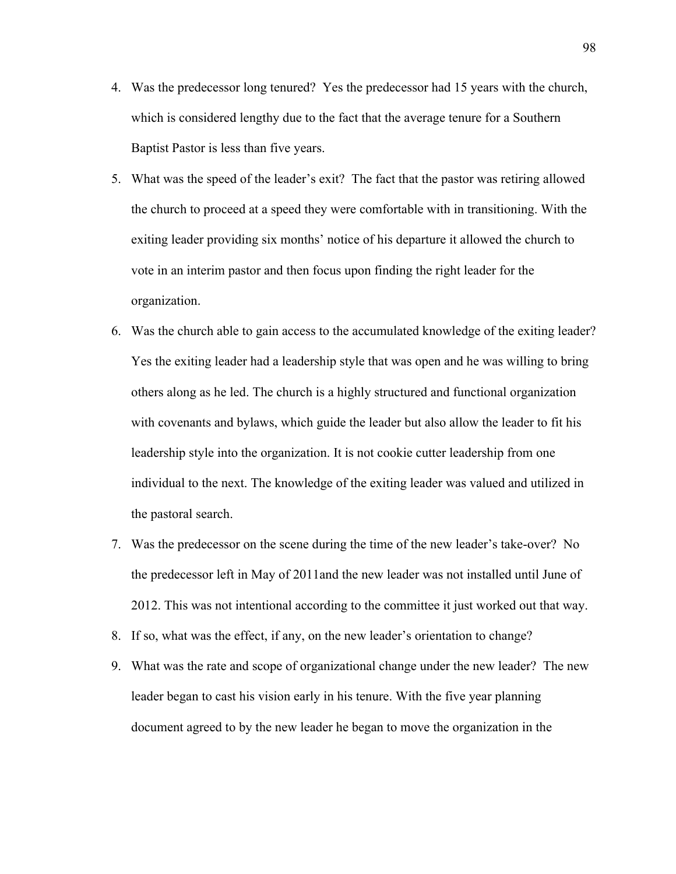- 4. Was the predecessor long tenured? Yes the predecessor had 15 years with the church, which is considered lengthy due to the fact that the average tenure for a Southern Baptist Pastor is less than five years.
- 5. What was the speed of the leader's exit? The fact that the pastor was retiring allowed the church to proceed at a speed they were comfortable with in transitioning. With the exiting leader providing six months' notice of his departure it allowed the church to vote in an interim pastor and then focus upon finding the right leader for the organization.
- 6. Was the church able to gain access to the accumulated knowledge of the exiting leader? Yes the exiting leader had a leadership style that was open and he was willing to bring others along as he led. The church is a highly structured and functional organization with covenants and bylaws, which guide the leader but also allow the leader to fit his leadership style into the organization. It is not cookie cutter leadership from one individual to the next. The knowledge of the exiting leader was valued and utilized in the pastoral search.
- 7. Was the predecessor on the scene during the time of the new leader's take-over? No the predecessor left in May of 2011and the new leader was not installed until June of 2012. This was not intentional according to the committee it just worked out that way.
- 8. If so, what was the effect, if any, on the new leader's orientation to change?
- 9. What was the rate and scope of organizational change under the new leader? The new leader began to cast his vision early in his tenure. With the five year planning document agreed to by the new leader he began to move the organization in the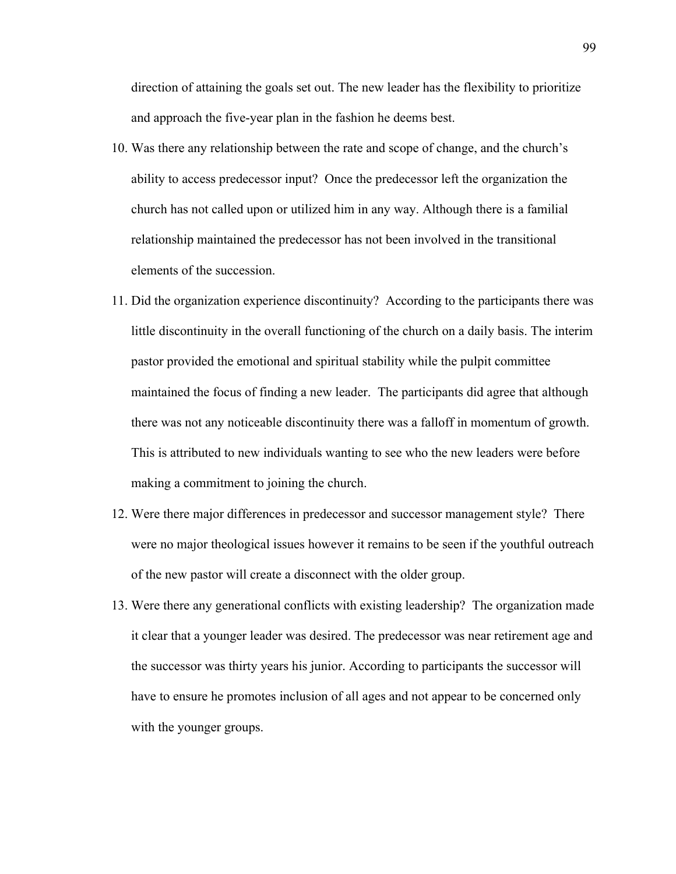direction of attaining the goals set out. The new leader has the flexibility to prioritize and approach the five-year plan in the fashion he deems best.

- 10. Was there any relationship between the rate and scope of change, and the church's ability to access predecessor input? Once the predecessor left the organization the church has not called upon or utilized him in any way. Although there is a familial relationship maintained the predecessor has not been involved in the transitional elements of the succession.
- 11. Did the organization experience discontinuity? According to the participants there was little discontinuity in the overall functioning of the church on a daily basis. The interim pastor provided the emotional and spiritual stability while the pulpit committee maintained the focus of finding a new leader. The participants did agree that although there was not any noticeable discontinuity there was a falloff in momentum of growth. This is attributed to new individuals wanting to see who the new leaders were before making a commitment to joining the church.
- 12. Were there major differences in predecessor and successor management style? There were no major theological issues however it remains to be seen if the youthful outreach of the new pastor will create a disconnect with the older group.
- 13. Were there any generational conflicts with existing leadership? The organization made it clear that a younger leader was desired. The predecessor was near retirement age and the successor was thirty years his junior. According to participants the successor will have to ensure he promotes inclusion of all ages and not appear to be concerned only with the younger groups.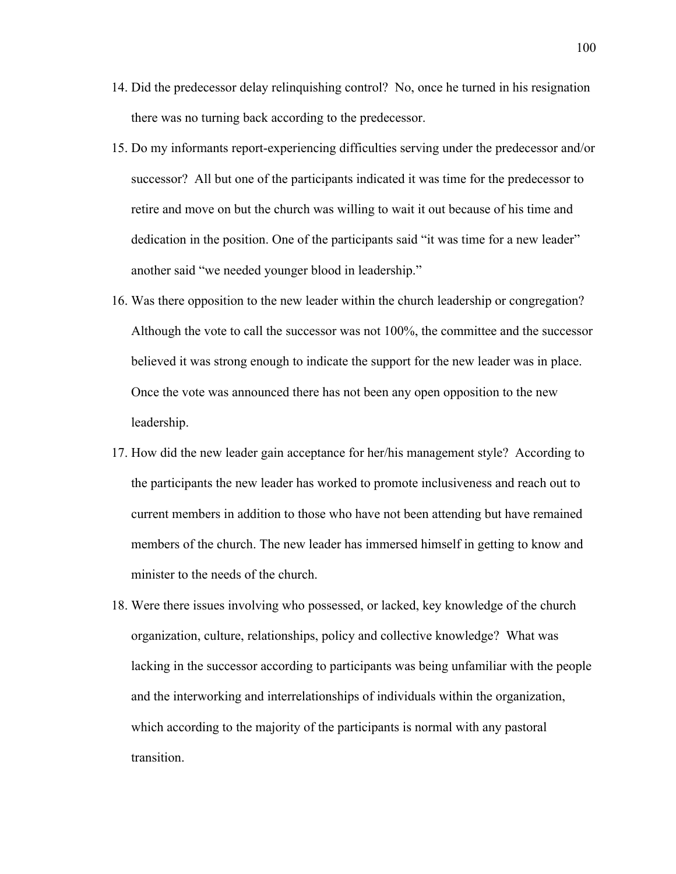- 14. Did the predecessor delay relinquishing control? No, once he turned in his resignation there was no turning back according to the predecessor.
- 15. Do my informants report-experiencing difficulties serving under the predecessor and/or successor? All but one of the participants indicated it was time for the predecessor to retire and move on but the church was willing to wait it out because of his time and dedication in the position. One of the participants said "it was time for a new leader" another said "we needed younger blood in leadership."
- 16. Was there opposition to the new leader within the church leadership or congregation? Although the vote to call the successor was not 100%, the committee and the successor believed it was strong enough to indicate the support for the new leader was in place. Once the vote was announced there has not been any open opposition to the new leadership.
- 17. How did the new leader gain acceptance for her/his management style? According to the participants the new leader has worked to promote inclusiveness and reach out to current members in addition to those who have not been attending but have remained members of the church. The new leader has immersed himself in getting to know and minister to the needs of the church.
- 18. Were there issues involving who possessed, or lacked, key knowledge of the church organization, culture, relationships, policy and collective knowledge? What was lacking in the successor according to participants was being unfamiliar with the people and the interworking and interrelationships of individuals within the organization, which according to the majority of the participants is normal with any pastoral transition.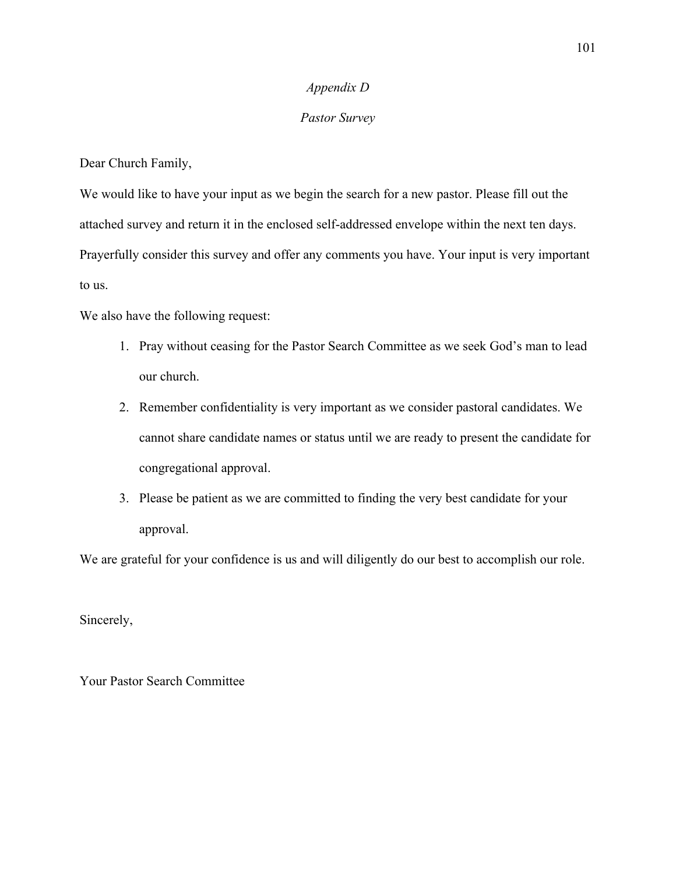## *Appendix D*

## *Pastor Survey*

Dear Church Family,

We would like to have your input as we begin the search for a new pastor. Please fill out the attached survey and return it in the enclosed self-addressed envelope within the next ten days. Prayerfully consider this survey and offer any comments you have. Your input is very important to us.

We also have the following request:

- 1. Pray without ceasing for the Pastor Search Committee as we seek God's man to lead our church.
- 2. Remember confidentiality is very important as we consider pastoral candidates. We cannot share candidate names or status until we are ready to present the candidate for congregational approval.
- 3. Please be patient as we are committed to finding the very best candidate for your approval.

We are grateful for your confidence is us and will diligently do our best to accomplish our role.

Sincerely,

Your Pastor Search Committee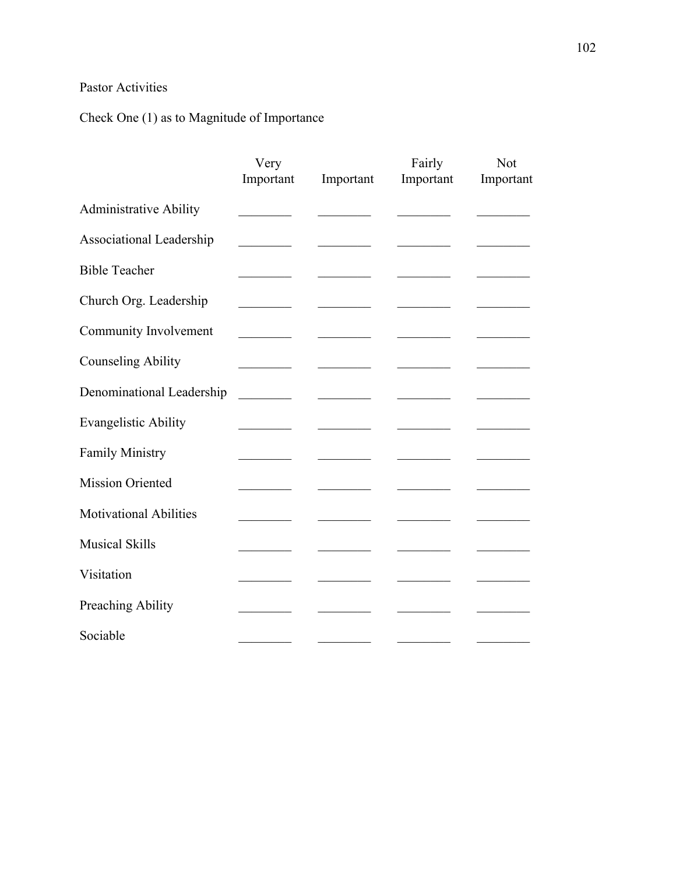## Pastor Activities

# Check One (1) as to Magnitude of Importance

|                               | Very<br>Important        | Important                          | Fairly<br>Important | Not<br>Important |
|-------------------------------|--------------------------|------------------------------------|---------------------|------------------|
| <b>Administrative Ability</b> |                          |                                    |                     |                  |
| Associational Leadership      |                          |                                    |                     |                  |
| <b>Bible Teacher</b>          |                          |                                    |                     |                  |
| Church Org. Leadership        |                          |                                    |                     |                  |
| Community Involvement         |                          |                                    |                     |                  |
| <b>Counseling Ability</b>     |                          | <u> De Carlos de Carlos de la </u> |                     |                  |
| Denominational Leadership     | <b>Contract Contract</b> |                                    |                     |                  |
| <b>Evangelistic Ability</b>   |                          |                                    |                     |                  |
| <b>Family Ministry</b>        |                          |                                    |                     |                  |
| <b>Mission Oriented</b>       |                          |                                    |                     |                  |
| <b>Motivational Abilities</b> |                          |                                    |                     |                  |
| <b>Musical Skills</b>         |                          |                                    |                     |                  |
| Visitation                    |                          |                                    |                     |                  |
| Preaching Ability             |                          |                                    |                     |                  |
| Sociable                      |                          |                                    |                     |                  |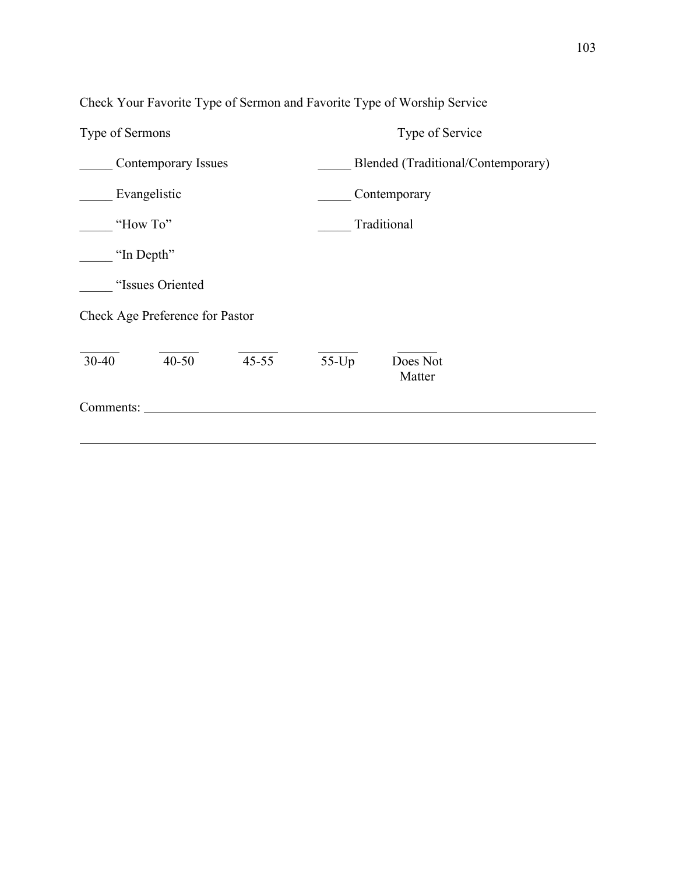| Type of Sermons                     | Type of Service                    |  |  |  |  |  |
|-------------------------------------|------------------------------------|--|--|--|--|--|
| <b>Contemporary Issues</b>          | Blended (Traditional/Contemporary) |  |  |  |  |  |
| Evangelistic                        | Contemporary                       |  |  |  |  |  |
| "How To"                            | Traditional                        |  |  |  |  |  |
| "In Depth"                          |                                    |  |  |  |  |  |
| "Issues Oriented                    |                                    |  |  |  |  |  |
| Check Age Preference for Pastor     |                                    |  |  |  |  |  |
| $45 - 55$<br>$30 - 40$<br>$40 - 50$ | $55$ -Up<br>Does Not<br>Matter     |  |  |  |  |  |
| Comments:                           |                                    |  |  |  |  |  |

Check Your Favorite Type of Sermon and Favorite Type of Worship Service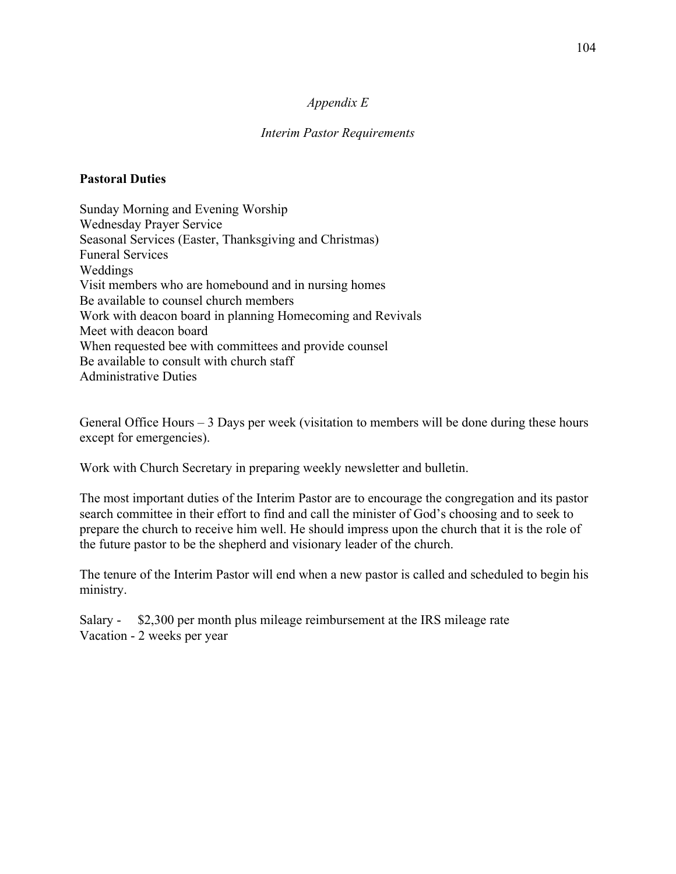## *Appendix E*

## *Interim Pastor Requirements*

## **Pastoral Duties**

Sunday Morning and Evening Worship Wednesday Prayer Service Seasonal Services (Easter, Thanksgiving and Christmas) Funeral Services Weddings Visit members who are homebound and in nursing homes Be available to counsel church members Work with deacon board in planning Homecoming and Revivals Meet with deacon board When requested bee with committees and provide counsel Be available to consult with church staff Administrative Duties

General Office Hours – 3 Days per week (visitation to members will be done during these hours except for emergencies).

Work with Church Secretary in preparing weekly newsletter and bulletin.

The most important duties of the Interim Pastor are to encourage the congregation and its pastor search committee in their effort to find and call the minister of God's choosing and to seek to prepare the church to receive him well. He should impress upon the church that it is the role of the future pastor to be the shepherd and visionary leader of the church.

The tenure of the Interim Pastor will end when a new pastor is called and scheduled to begin his ministry.

Salary - \$2,300 per month plus mileage reimbursement at the IRS mileage rate Vacation - 2 weeks per year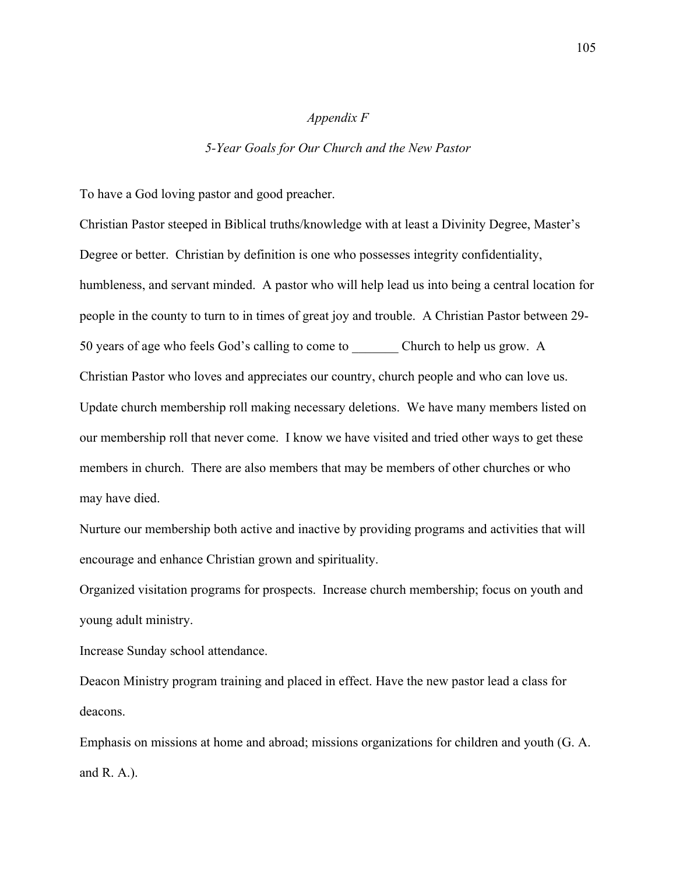### *Appendix F*

#### *5-Year Goals for Our Church and the New Pastor*

To have a God loving pastor and good preacher.

Christian Pastor steeped in Biblical truths/knowledge with at least a Divinity Degree, Master's Degree or better. Christian by definition is one who possesses integrity confidentiality, humbleness, and servant minded. A pastor who will help lead us into being a central location for people in the county to turn to in times of great joy and trouble. A Christian Pastor between 29- 50 years of age who feels God's calling to come to Church to help us grow. A Christian Pastor who loves and appreciates our country, church people and who can love us. Update church membership roll making necessary deletions. We have many members listed on our membership roll that never come. I know we have visited and tried other ways to get these members in church. There are also members that may be members of other churches or who may have died.

Nurture our membership both active and inactive by providing programs and activities that will encourage and enhance Christian grown and spirituality.

Organized visitation programs for prospects. Increase church membership; focus on youth and young adult ministry.

Increase Sunday school attendance.

Deacon Ministry program training and placed in effect. Have the new pastor lead a class for deacons.

Emphasis on missions at home and abroad; missions organizations for children and youth (G. A. and R. A.).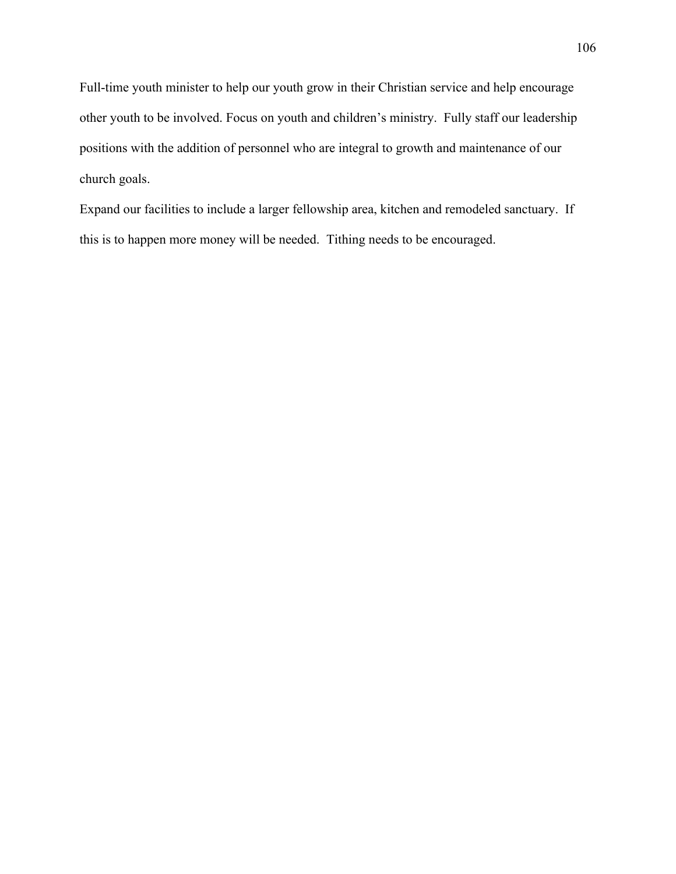Full-time youth minister to help our youth grow in their Christian service and help encourage other youth to be involved. Focus on youth and children's ministry. Fully staff our leadership positions with the addition of personnel who are integral to growth and maintenance of our church goals.

Expand our facilities to include a larger fellowship area, kitchen and remodeled sanctuary. If this is to happen more money will be needed. Tithing needs to be encouraged.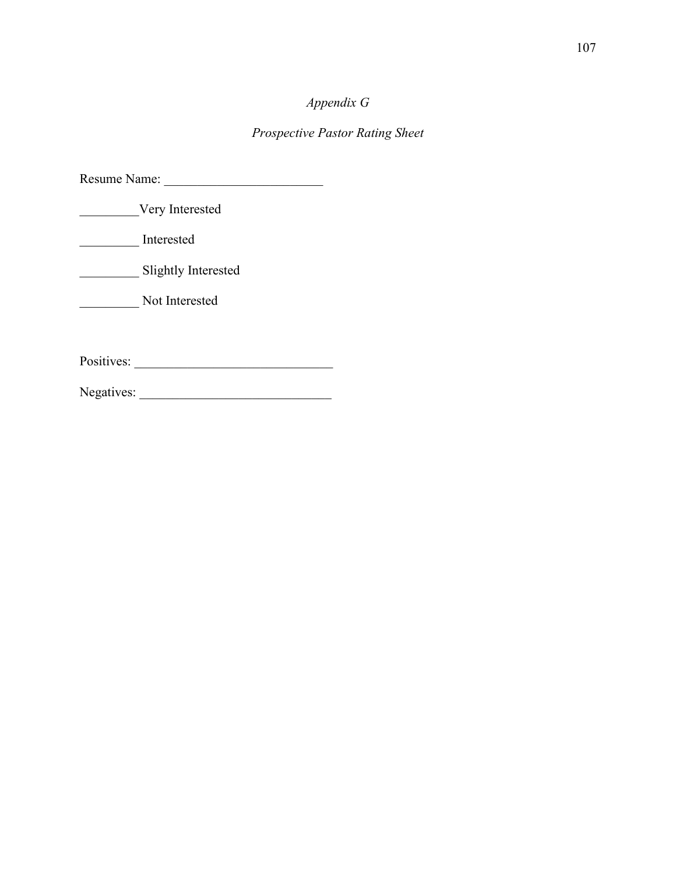# *Appendix G*

## *Prospective Pastor Rating Sheet*

| Resume Name: |                     |  |
|--------------|---------------------|--|
|              | Very Interested     |  |
|              | Interested          |  |
|              | Slightly Interested |  |
|              | Not Interested      |  |
|              |                     |  |
| Positives:   |                     |  |
| Negatives:   |                     |  |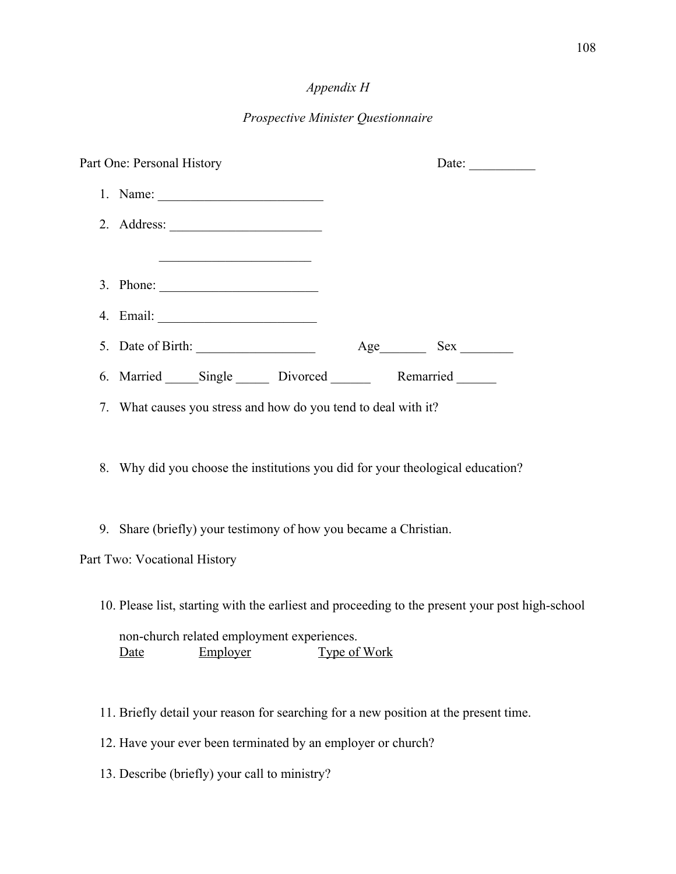## *Appendix H*

## *Prospective Minister Questionnaire*

| Part One: Personal History |                                                                                                                                                                   | Date: $\_\_$ |  |  |
|----------------------------|-------------------------------------------------------------------------------------------------------------------------------------------------------------------|--------------|--|--|
|                            |                                                                                                                                                                   |              |  |  |
|                            | 2. Address: $\frac{1}{\sqrt{1-\frac{1}{2}} \cdot \frac{1}{2}}$                                                                                                    |              |  |  |
|                            | <u> 1989 - Johann John Stone, markin fan it ferstjer fan it ferstjer fan it ferstjer fan it ferstjer fan it fers</u>                                              |              |  |  |
|                            | 3. Phone: $\qquad \qquad$                                                                                                                                         |              |  |  |
|                            |                                                                                                                                                                   |              |  |  |
|                            |                                                                                                                                                                   |              |  |  |
|                            | 6. Married Single Divorced Remarried                                                                                                                              |              |  |  |
|                            | 7. What causes you stress and how do you tend to deal with it?                                                                                                    |              |  |  |
|                            | 8. Why did you choose the institutions you did for your theological education?                                                                                    |              |  |  |
|                            | 9. Share (briefly) your testimony of how you became a Christian.                                                                                                  |              |  |  |
|                            | Part Two: Vocational History                                                                                                                                      |              |  |  |
|                            | 10. Please list, starting with the earliest and proceeding to the present your post high-school<br>non-church related employment experiences.<br>Employer<br>Date | Type of Work |  |  |

- 11. Briefly detail your reason for searching for a new position at the present time.
- 12. Have your ever been terminated by an employer or church?
- 13. Describe (briefly) your call to ministry?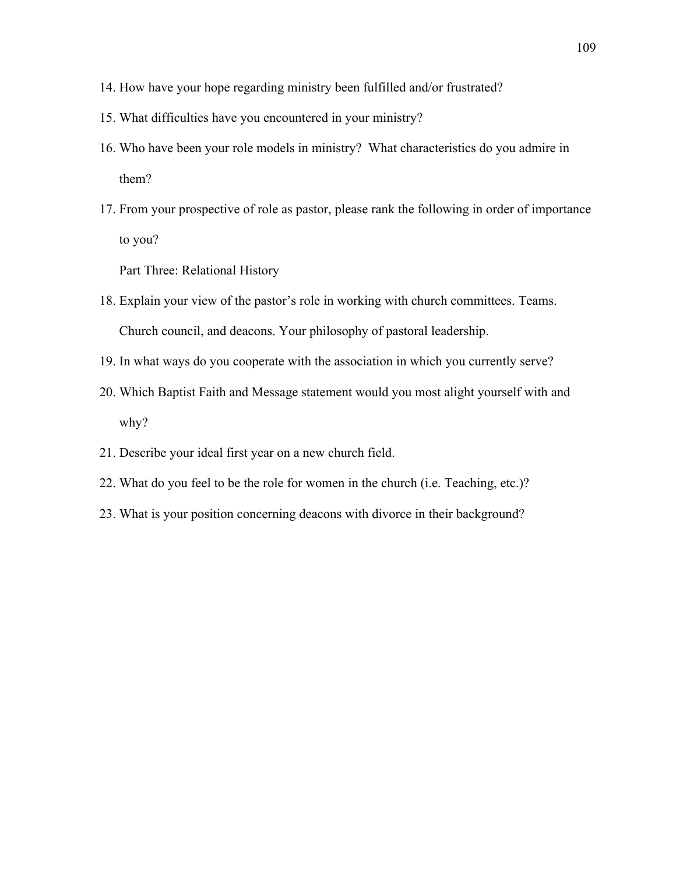- 14. How have your hope regarding ministry been fulfilled and/or frustrated?
- 15. What difficulties have you encountered in your ministry?
- 16. Who have been your role models in ministry? What characteristics do you admire in them?
- 17. From your prospective of role as pastor, please rank the following in order of importance to you?

Part Three: Relational History

- 18. Explain your view of the pastor's role in working with church committees. Teams. Church council, and deacons. Your philosophy of pastoral leadership.
- 19. In what ways do you cooperate with the association in which you currently serve?
- 20. Which Baptist Faith and Message statement would you most alight yourself with and why?
- 21. Describe your ideal first year on a new church field.
- 22. What do you feel to be the role for women in the church (i.e. Teaching, etc.)?
- 23. What is your position concerning deacons with divorce in their background?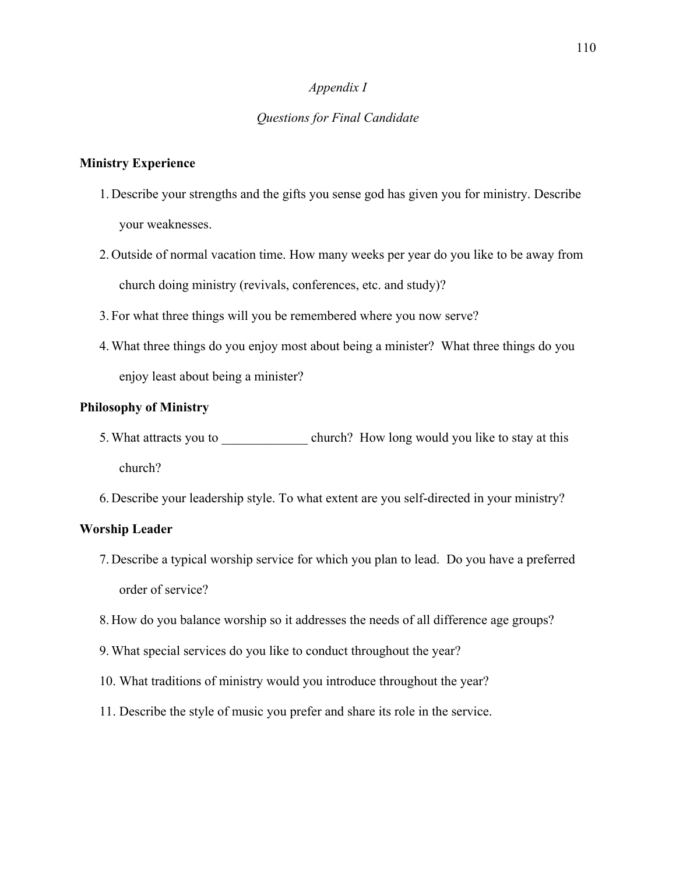## *Appendix I*

## *Questions for Final Candidate*

## **Ministry Experience**

- 1. Describe your strengths and the gifts you sense god has given you for ministry. Describe your weaknesses.
- 2. Outside of normal vacation time. How many weeks per year do you like to be away from church doing ministry (revivals, conferences, etc. and study)?
- 3. For what three things will you be remembered where you now serve?
- 4.What three things do you enjoy most about being a minister? What three things do you enjoy least about being a minister?

## **Philosophy of Ministry**

- 5. What attracts you to church? How long would you like to stay at this church?
- 6. Describe your leadership style. To what extent are you self-directed in your ministry?

#### **Worship Leader**

- 7. Describe a typical worship service for which you plan to lead. Do you have a preferred order of service?
- 8. How do you balance worship so it addresses the needs of all difference age groups?
- 9.What special services do you like to conduct throughout the year?
- 10. What traditions of ministry would you introduce throughout the year?
- 11. Describe the style of music you prefer and share its role in the service.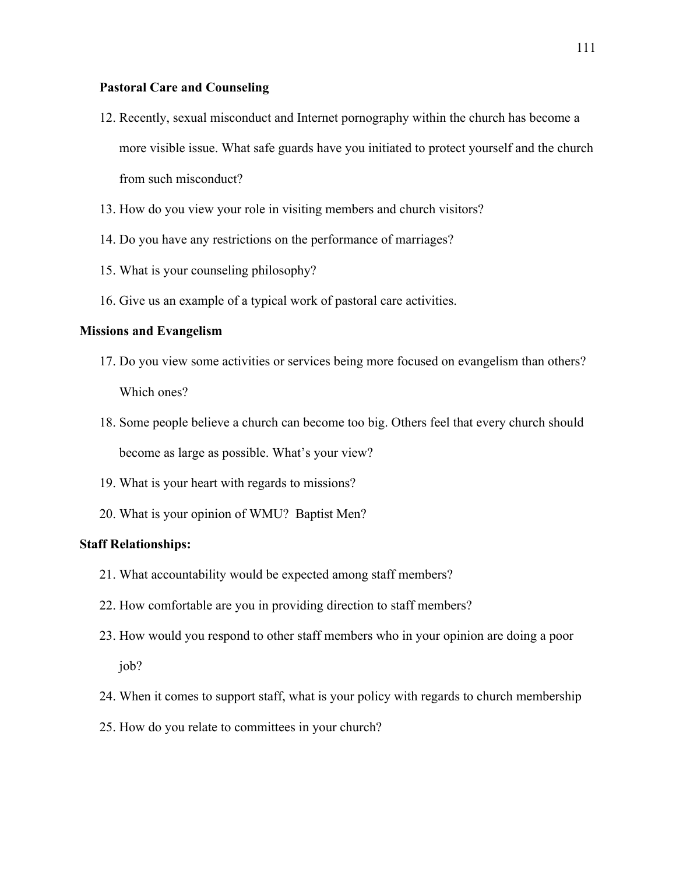## **Pastoral Care and Counseling**

- 12. Recently, sexual misconduct and Internet pornography within the church has become a more visible issue. What safe guards have you initiated to protect yourself and the church from such misconduct?
- 13. How do you view your role in visiting members and church visitors?
- 14. Do you have any restrictions on the performance of marriages?
- 15. What is your counseling philosophy?
- 16. Give us an example of a typical work of pastoral care activities.

#### **Missions and Evangelism**

- 17. Do you view some activities or services being more focused on evangelism than others? Which ones?
- 18. Some people believe a church can become too big. Others feel that every church should become as large as possible. What's your view?
- 19. What is your heart with regards to missions?
- 20. What is your opinion of WMU? Baptist Men?

#### **Staff Relationships:**

- 21. What accountability would be expected among staff members?
- 22. How comfortable are you in providing direction to staff members?
- 23. How would you respond to other staff members who in your opinion are doing a poor job?
- 24. When it comes to support staff, what is your policy with regards to church membership
- 25. How do you relate to committees in your church?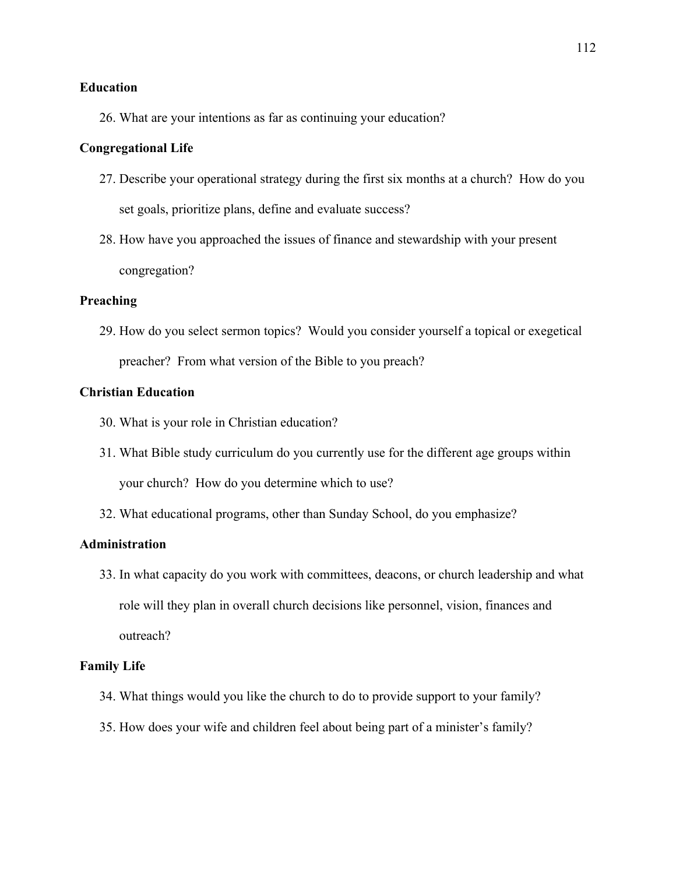## **Education**

26. What are your intentions as far as continuing your education?

## **Congregational Life**

- 27. Describe your operational strategy during the first six months at a church? How do you set goals, prioritize plans, define and evaluate success?
- 28. How have you approached the issues of finance and stewardship with your present congregation?

## **Preaching**

29. How do you select sermon topics? Would you consider yourself a topical or exegetical preacher? From what version of the Bible to you preach?

#### **Christian Education**

- 30. What is your role in Christian education?
- 31. What Bible study curriculum do you currently use for the different age groups within your church? How do you determine which to use?
- 32. What educational programs, other than Sunday School, do you emphasize?

## **Administration**

33. In what capacity do you work with committees, deacons, or church leadership and what role will they plan in overall church decisions like personnel, vision, finances and outreach?

#### **Family Life**

- 34. What things would you like the church to do to provide support to your family?
- 35. How does your wife and children feel about being part of a minister's family?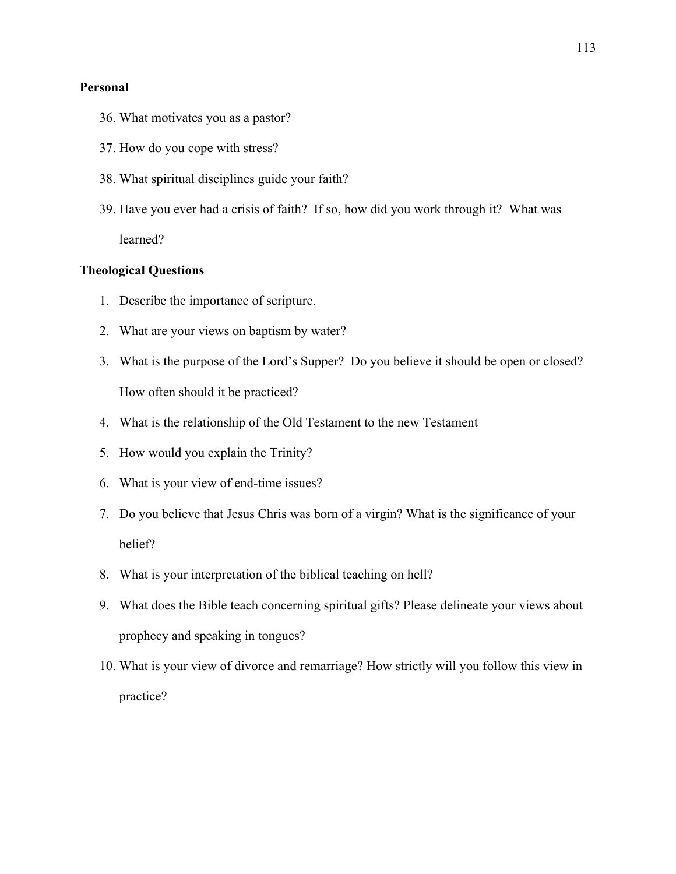#### **Personal**

- 36. What motivates you as a pastor?
- 37. How do you cope with stress?
- 38. What spiritual disciplines guide your faith?
- 39. Have you ever had a crisis of faith? If so, how did you work through it? What was learned?

## **Theological Questions**

- 1. Describe the importance of scripture.
- 2. What are your views on baptism by water?
- 3. What is the purpose of the Lord's Supper? Do you believe it should be open or closed? How often should it be practiced?
- 4. What is the relationship of the Old Testament to the new Testament
- 5. How would you explain the Trinity?
- 6. What is your view of end-time issues?
- 7. Do you believe that Jesus Chris was born of a virgin? What is the significance of your belief?
- 8. What is your interpretation of the biblical teaching on hell?
- 9. What does the Bible teach concerning spiritual gifts? Please delineate your views about prophecy and speaking in tongues?
- 10. What is your view of divorce and remarriage? How strictly will you follow this view in practice?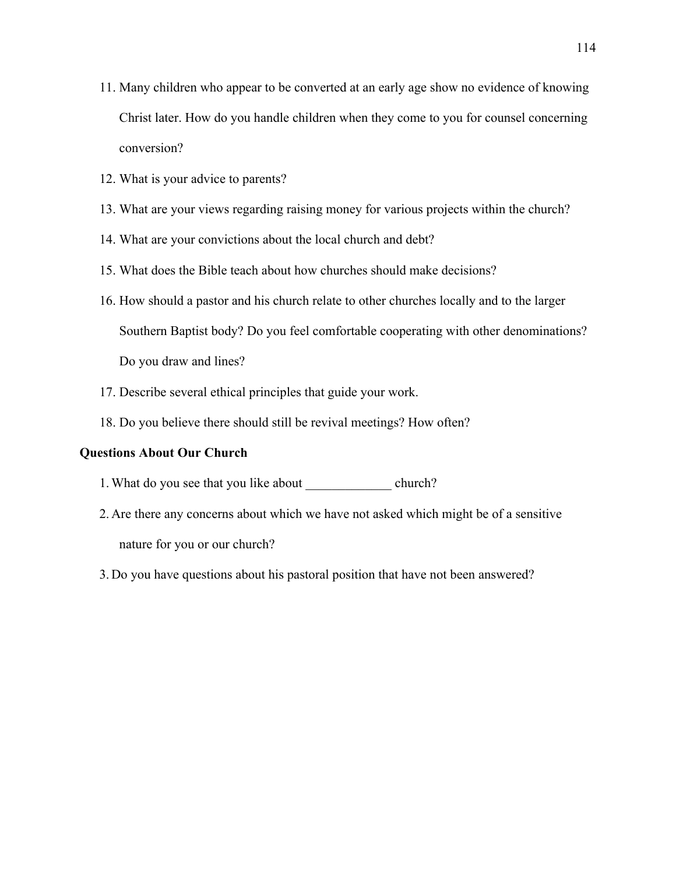- 11. Many children who appear to be converted at an early age show no evidence of knowing Christ later. How do you handle children when they come to you for counsel concerning conversion?
- 12. What is your advice to parents?
- 13. What are your views regarding raising money for various projects within the church?
- 14. What are your convictions about the local church and debt?
- 15. What does the Bible teach about how churches should make decisions?
- 16. How should a pastor and his church relate to other churches locally and to the larger Southern Baptist body? Do you feel comfortable cooperating with other denominations? Do you draw and lines?
- 17. Describe several ethical principles that guide your work.
- 18. Do you believe there should still be revival meetings? How often?

#### **Questions About Our Church**

- 1. What do you see that you like about \_\_\_\_\_\_\_\_\_\_\_\_\_\_\_\_ church?
- 2. Are there any concerns about which we have not asked which might be of a sensitive nature for you or our church?
- 3. Do you have questions about his pastoral position that have not been answered?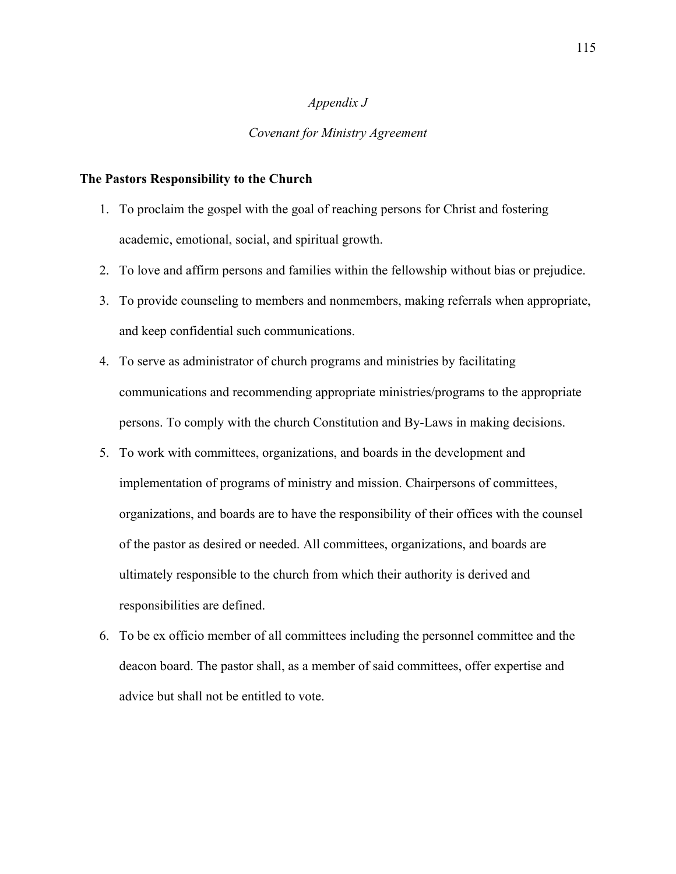#### *Appendix J*

#### *Covenant for Ministry Agreement*

#### **The Pastors Responsibility to the Church**

- 1. To proclaim the gospel with the goal of reaching persons for Christ and fostering academic, emotional, social, and spiritual growth.
- 2. To love and affirm persons and families within the fellowship without bias or prejudice.
- 3. To provide counseling to members and nonmembers, making referrals when appropriate, and keep confidential such communications.
- 4. To serve as administrator of church programs and ministries by facilitating communications and recommending appropriate ministries/programs to the appropriate persons. To comply with the church Constitution and By-Laws in making decisions.
- 5. To work with committees, organizations, and boards in the development and implementation of programs of ministry and mission. Chairpersons of committees, organizations, and boards are to have the responsibility of their offices with the counsel of the pastor as desired or needed. All committees, organizations, and boards are ultimately responsible to the church from which their authority is derived and responsibilities are defined.
- 6. To be ex officio member of all committees including the personnel committee and the deacon board. The pastor shall, as a member of said committees, offer expertise and advice but shall not be entitled to vote.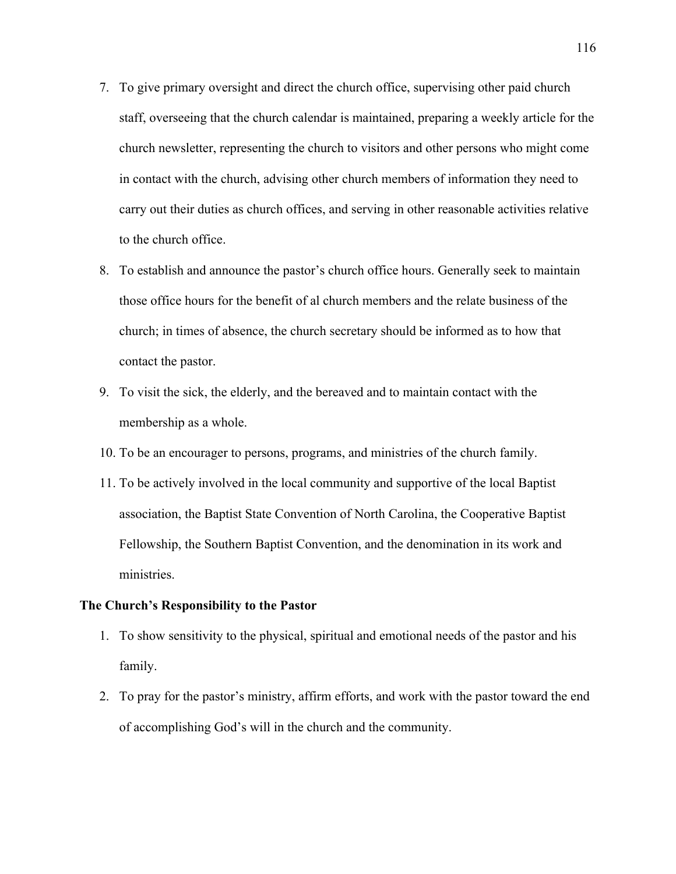- 7. To give primary oversight and direct the church office, supervising other paid church staff, overseeing that the church calendar is maintained, preparing a weekly article for the church newsletter, representing the church to visitors and other persons who might come in contact with the church, advising other church members of information they need to carry out their duties as church offices, and serving in other reasonable activities relative to the church office.
- 8. To establish and announce the pastor's church office hours. Generally seek to maintain those office hours for the benefit of al church members and the relate business of the church; in times of absence, the church secretary should be informed as to how that contact the pastor.
- 9. To visit the sick, the elderly, and the bereaved and to maintain contact with the membership as a whole.
- 10. To be an encourager to persons, programs, and ministries of the church family.
- 11. To be actively involved in the local community and supportive of the local Baptist association, the Baptist State Convention of North Carolina, the Cooperative Baptist Fellowship, the Southern Baptist Convention, and the denomination in its work and ministries.

#### **The Church's Responsibility to the Pastor**

- 1. To show sensitivity to the physical, spiritual and emotional needs of the pastor and his family.
- 2. To pray for the pastor's ministry, affirm efforts, and work with the pastor toward the end of accomplishing God's will in the church and the community.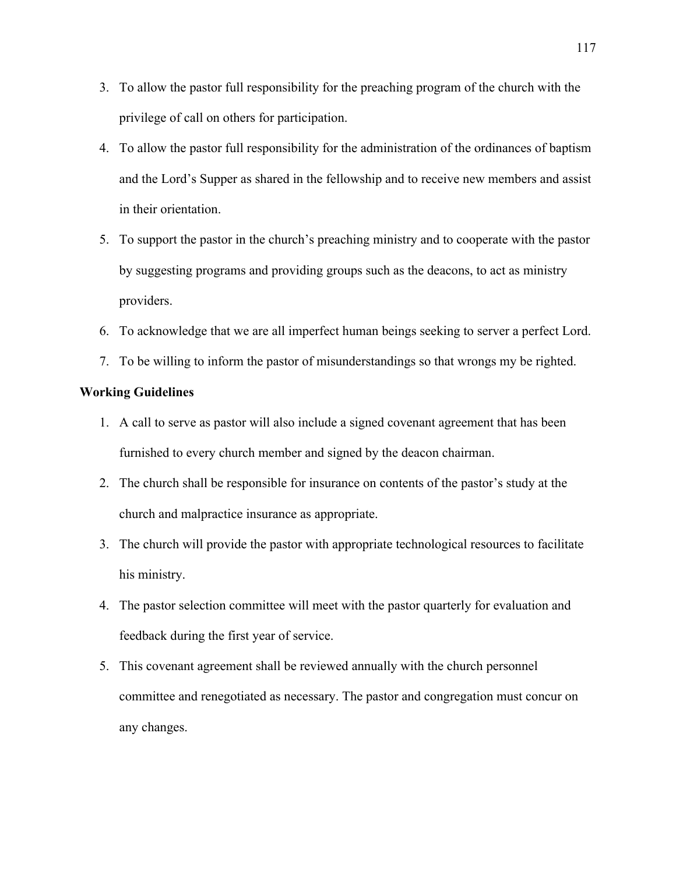- 3. To allow the pastor full responsibility for the preaching program of the church with the privilege of call on others for participation.
- 4. To allow the pastor full responsibility for the administration of the ordinances of baptism and the Lord's Supper as shared in the fellowship and to receive new members and assist in their orientation.
- 5. To support the pastor in the church's preaching ministry and to cooperate with the pastor by suggesting programs and providing groups such as the deacons, to act as ministry providers.
- 6. To acknowledge that we are all imperfect human beings seeking to server a perfect Lord.
- 7. To be willing to inform the pastor of misunderstandings so that wrongs my be righted.

## **Working Guidelines**

- 1. A call to serve as pastor will also include a signed covenant agreement that has been furnished to every church member and signed by the deacon chairman.
- 2. The church shall be responsible for insurance on contents of the pastor's study at the church and malpractice insurance as appropriate.
- 3. The church will provide the pastor with appropriate technological resources to facilitate his ministry.
- 4. The pastor selection committee will meet with the pastor quarterly for evaluation and feedback during the first year of service.
- 5. This covenant agreement shall be reviewed annually with the church personnel committee and renegotiated as necessary. The pastor and congregation must concur on any changes.